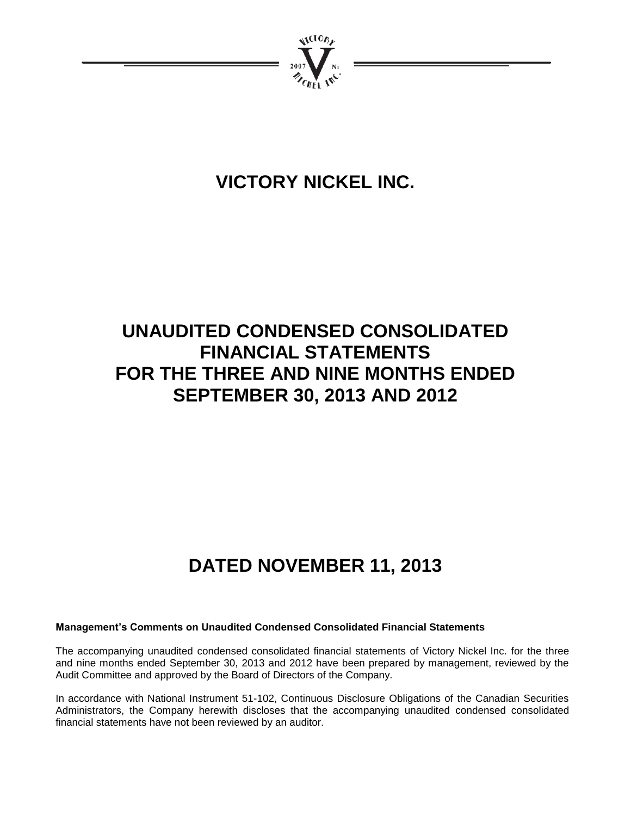

# **VICTORY NICKEL INC.**

# **UNAUDITED CONDENSED CONSOLIDATED FINANCIAL STATEMENTS FOR THE THREE AND NINE MONTHS ENDED SEPTEMBER 30, 2013 AND 2012**

# **DATED NOVEMBER 11, 2013**

# **Management's Comments on Unaudited Condensed Consolidated Financial Statements**

The accompanying unaudited condensed consolidated financial statements of Victory Nickel Inc. for the three and nine months ended September 30, 2013 and 2012 have been prepared by management, reviewed by the Audit Committee and approved by the Board of Directors of the Company.

In accordance with National Instrument 51-102, Continuous Disclosure Obligations of the Canadian Securities Administrators, the Company herewith discloses that the accompanying unaudited condensed consolidated financial statements have not been reviewed by an auditor.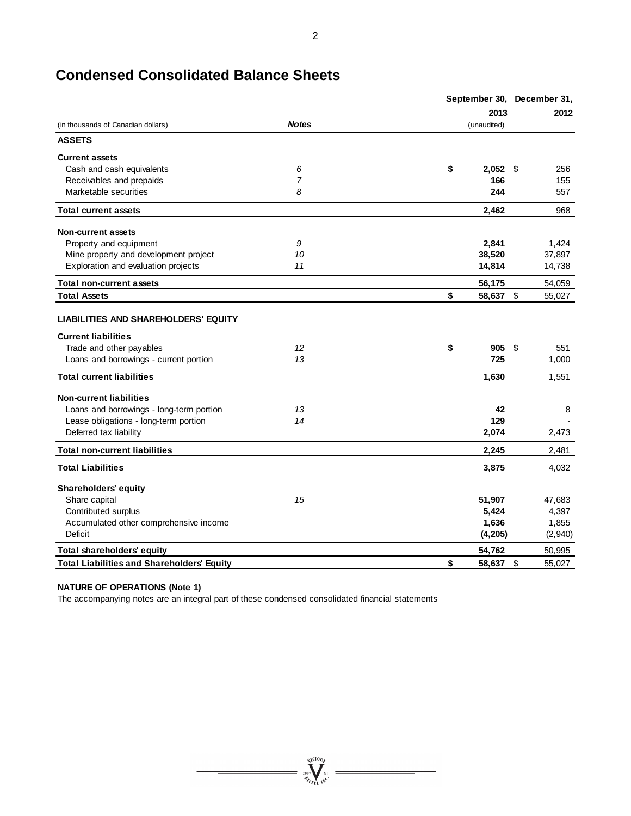|                                                   |                | September 30, December 31, |              |
|---------------------------------------------------|----------------|----------------------------|--------------|
|                                                   |                | 2013                       | 2012         |
| (in thousands of Canadian dollars)                | <b>Notes</b>   | (unaudited)                |              |
| <b>ASSETS</b>                                     |                |                            |              |
| <b>Current assets</b>                             |                |                            |              |
| Cash and cash equivalents                         | 6              | \$<br>$2,052$ \$           | 256          |
| Receivables and prepaids                          | $\overline{7}$ | 166                        | 155          |
| Marketable securities                             | 8              | 244                        | 557          |
| <b>Total current assets</b>                       |                | 2,462                      | 968          |
| <b>Non-current assets</b>                         |                |                            |              |
| Property and equipment                            | 9              | 2,841                      | 1,424        |
| Mine property and development project             | 10             | 38,520                     | 37,897       |
| Exploration and evaluation projects               | 11             | 14,814                     | 14,738       |
| <b>Total non-current assets</b>                   |                | 56,175                     | 54,059       |
| <b>Total Assets</b>                               |                | \$<br>58,637 \$            | 55,027       |
| <b>LIABILITIES AND SHAREHOLDERS' EQUITY</b>       |                |                            |              |
| <b>Current liabilities</b>                        |                |                            |              |
| Trade and other payables                          | 12             | \$<br>905                  | \$<br>551    |
| Loans and borrowings - current portion            | 13             | 725                        | 1,000        |
| <b>Total current liabilities</b>                  |                | 1,630                      | 1,551        |
| <b>Non-current liabilities</b>                    |                |                            |              |
| Loans and borrowings - long-term portion          | 13             | 42                         | 8            |
| Lease obligations - long-term portion             | 14             | 129                        |              |
| Deferred tax liability                            |                | 2,074                      | 2,473        |
| <b>Total non-current liabilities</b>              |                | 2,245                      | 2,481        |
| <b>Total Liabilities</b>                          |                | 3,875                      | 4,032        |
| <b>Shareholders' equity</b>                       |                |                            |              |
| Share capital                                     | 15             | 51,907                     | 47,683       |
| Contributed surplus                               |                | 5,424                      | 4,397        |
| Accumulated other comprehensive income            |                | 1,636                      | 1,855        |
| Deficit                                           |                | (4,205)                    | (2,940)      |
| Total shareholders' equity                        |                | 54,762                     | 50,995       |
| <b>Total Liabilities and Shareholders' Equity</b> |                | \$<br>58.637               | \$<br>55,027 |

 $\sum_{n=1}^{\infty}$  $\mathscr{D}_{\mathscr{F}_{\mathscr{F}_{\mathscr{C}}}}$ 

# **Condensed Consolidated Balance Sheets**

# **NATURE OF OPERATIONS (Note 1)**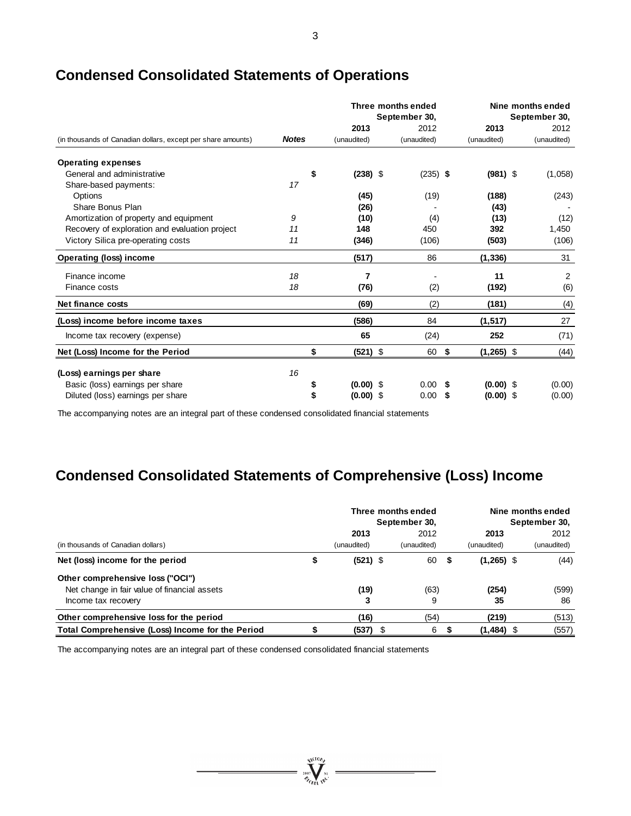|                                                              |              |             | Three months ended<br>September 30, |             |    |              | Nine months ended<br>September 30, |
|--------------------------------------------------------------|--------------|-------------|-------------------------------------|-------------|----|--------------|------------------------------------|
|                                                              |              | 2013        |                                     | 2012        |    | 2013         | 2012                               |
| (in thousands of Canadian dollars, except per share amounts) | <b>Notes</b> | (unaudited) |                                     | (unaudited) |    | (unaudited)  | (unaudited)                        |
| <b>Operating expenses</b>                                    |              |             |                                     |             |    |              |                                    |
| General and administrative                                   | \$           | $(238)$ \$  |                                     | $(235)$ \$  |    | $(981)$ \$   | (1,058)                            |
| Share-based payments:                                        | 17           |             |                                     |             |    |              |                                    |
| Options                                                      |              | (45)        |                                     | (19)        |    | (188)        | (243)                              |
| Share Bonus Plan                                             |              | (26)        |                                     |             |    | (43)         |                                    |
| Amortization of property and equipment                       | 9            | (10)        |                                     | (4)         |    | (13)         | (12)                               |
| Recovery of exploration and evaluation project               | 11           | 148         |                                     | 450         |    | 392          | 1,450                              |
| Victory Silica pre-operating costs                           | 11           | (346)       |                                     | (106)       |    | (503)        | (106)                              |
| <b>Operating (loss) income</b>                               |              | (517)       |                                     | 86          |    | (1, 336)     | 31                                 |
| Finance income                                               | 18           | 7           |                                     |             |    | 11           | 2                                  |
| Finance costs                                                | 18           | (76)        |                                     | (2)         |    | (192)        | (6)                                |
| Net finance costs                                            |              | (69)        |                                     | (2)         |    | (181)        | (4)                                |
| (Loss) income before income taxes                            |              | (586)       |                                     | 84          |    | (1, 517)     | 27                                 |
| Income tax recovery (expense)                                |              | 65          |                                     | (24)        |    | 252          | (71)                               |
| Net (Loss) Income for the Period                             | \$           | $(521)$ \$  |                                     | 60          | \$ | $(1,265)$ \$ | (44)                               |
| (Loss) earnings per share                                    | 16           |             |                                     |             |    |              |                                    |
| Basic (loss) earnings per share                              |              | $(0.00)$ \$ |                                     | 0.00        | S  | $(0.00)$ \$  | (0.00)                             |
| Diluted (loss) earnings per share                            |              | $(0.00)$ \$ |                                     | 0.00        | S  |              |                                    |
|                                                              |              |             |                                     |             |    | $(0.00)$ \$  | (0.00)                             |

# **Condensed Consolidated Statements of Operations**

The accompanying notes are an integral part of these condensed consolidated financial statements

# **Condensed Consolidated Statements of Comprehensive (Loss) Income**

|                                                  | Three months ended<br>September 30, |     |             | Nine months ended<br>September 30, |              |  |             |
|--------------------------------------------------|-------------------------------------|-----|-------------|------------------------------------|--------------|--|-------------|
|                                                  | 2013                                |     | 2012        |                                    | 2013         |  | 2012        |
| (in thousands of Canadian dollars)               | (unaudited)                         |     | (unaudited) |                                    | (unaudited)  |  | (unaudited) |
| Net (loss) income for the period                 | \$<br>$(521)$ \$                    |     | 60          | - \$                               | $(1,265)$ \$ |  | (44)        |
| Other comprehensive loss ("OCI")                 |                                     |     |             |                                    |              |  |             |
| Net change in fair value of financial assets     | (19)                                |     | (63)        |                                    | (254)        |  | (599)       |
| Income tax recovery                              | 3                                   |     | 9           |                                    | 35           |  | 86          |
| Other comprehensive loss for the period          | (16)                                |     | (54)        |                                    | (219)        |  | (513)       |
| Total Comprehensive (Loss) Income for the Period | (537)                               | - 5 | 6           |                                    | $(1,484)$ \$ |  | (557)       |

 $\sum_{i=1}^{N(10)}\sum_{m=1}^{N(10)}$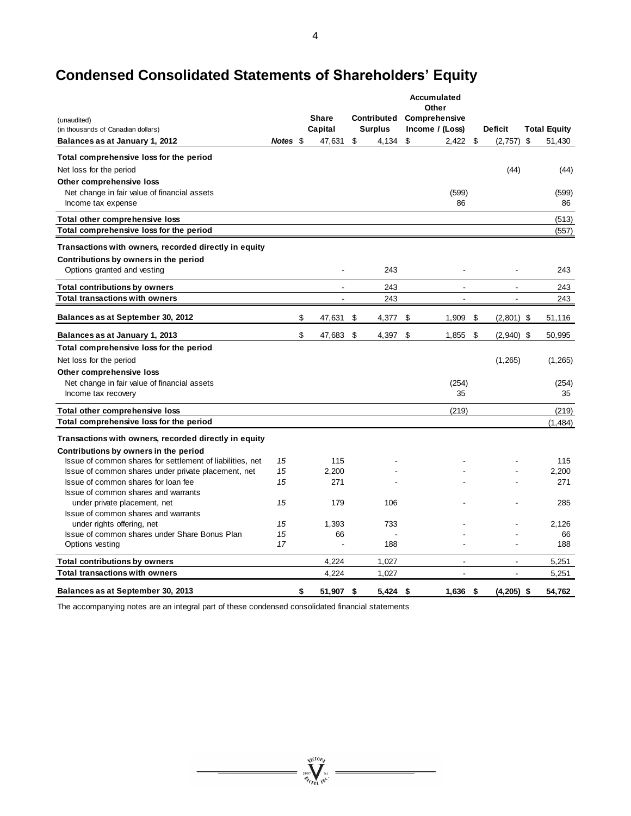# **Condensed Consolidated Statements of Shareholders' Equity**

|                                                                                                    |          | Accumulated<br>Other |                         |    |                               |    |                                  |    |                                  |                     |
|----------------------------------------------------------------------------------------------------|----------|----------------------|-------------------------|----|-------------------------------|----|----------------------------------|----|----------------------------------|---------------------|
| (unaudited)<br>(in thousands of Canadian dollars)                                                  |          |                      | <b>Share</b><br>Capital |    | Contributed<br><b>Surplus</b> |    | Comprehensive<br>Income / (Loss) |    | <b>Deficit</b>                   | <b>Total Equity</b> |
| Balances as at January 1, 2012                                                                     | Notes \$ |                      | 47,631                  | \$ | 4,134                         | \$ | 2,422                            | \$ | (2,757)                          | \$<br>51,430        |
| Total comprehensive loss for the period                                                            |          |                      |                         |    |                               |    |                                  |    |                                  |                     |
| Net loss for the period                                                                            |          |                      |                         |    |                               |    |                                  |    | (44)                             | (44)                |
| Other comprehensive loss                                                                           |          |                      |                         |    |                               |    |                                  |    |                                  |                     |
| Net change in fair value of financial assets                                                       |          |                      |                         |    |                               |    | (599)<br>86                      |    |                                  | (599)               |
| Income tax expense                                                                                 |          |                      |                         |    |                               |    |                                  |    |                                  | 86                  |
| Total other comprehensive loss                                                                     |          |                      |                         |    |                               |    |                                  |    |                                  | (513)               |
| Total comprehensive loss for the period                                                            |          |                      |                         |    |                               |    |                                  |    |                                  | (557)               |
| Transactions with owners, recorded directly in equity                                              |          |                      |                         |    |                               |    |                                  |    |                                  |                     |
| Contributions by owners in the period                                                              |          |                      | $\overline{a}$          |    | 243                           |    |                                  |    |                                  | 243                 |
| Options granted and vesting                                                                        |          |                      |                         |    |                               |    |                                  |    |                                  |                     |
| <b>Total contributions by owners</b>                                                               |          |                      | ÷.                      |    | 243                           |    | $\overline{a}$                   |    | L.                               | 243                 |
| <b>Total transactions with owners</b>                                                              |          |                      |                         |    | 243                           |    |                                  |    |                                  | 243                 |
| Balances as at September 30, 2012                                                                  |          | \$                   | 47,631                  | \$ | 4,377                         | \$ | 1,909                            | \$ | $(2,801)$ \$                     | 51,116              |
| Balances as at January 1, 2013                                                                     |          | \$                   | 47,683                  | \$ | 4,397 \$                      |    | 1,855                            | \$ | $(2,940)$ \$                     | 50,995              |
| Total comprehensive loss for the period                                                            |          |                      |                         |    |                               |    |                                  |    |                                  |                     |
| Net loss for the period                                                                            |          |                      |                         |    |                               |    |                                  |    | (1,265)                          | (1,265)             |
| Other comprehensive loss                                                                           |          |                      |                         |    |                               |    |                                  |    |                                  |                     |
| Net change in fair value of financial assets<br>Income tax recovery                                |          |                      |                         |    |                               |    | (254)<br>35                      |    |                                  | (254)<br>35         |
|                                                                                                    |          |                      |                         |    |                               |    |                                  |    |                                  |                     |
| Total other comprehensive loss<br>Total comprehensive loss for the period                          |          |                      |                         |    |                               |    | (219)                            |    |                                  | (219)               |
|                                                                                                    |          |                      |                         |    |                               |    |                                  |    |                                  | (1, 484)            |
| Transactions with owners, recorded directly in equity                                              |          |                      |                         |    |                               |    |                                  |    |                                  |                     |
| Contributions by owners in the period<br>Issue of common shares for settlement of liabilities, net | 15       |                      | 115                     |    |                               |    |                                  |    |                                  | 115                 |
| Issue of common shares under private placement, net                                                | 15       |                      | 2,200                   |    |                               |    |                                  |    |                                  | 2,200               |
| Issue of common shares for loan fee                                                                | 15       |                      | 271                     |    |                               |    |                                  |    |                                  | 271                 |
| Issue of common shares and warrants                                                                |          |                      |                         |    |                               |    |                                  |    |                                  |                     |
| under private placement, net                                                                       | 15       |                      | 179                     |    | 106                           |    |                                  |    |                                  | 285                 |
| Issue of common shares and warrants                                                                |          |                      |                         |    |                               |    |                                  |    |                                  |                     |
| under rights offering, net                                                                         | 15       |                      | 1,393                   |    | 733                           |    |                                  |    |                                  | 2,126               |
| Issue of common shares under Share Bonus Plan<br>Options vesting                                   | 15<br>17 |                      | 66                      |    | 188                           |    |                                  |    |                                  | 66<br>188           |
|                                                                                                    |          |                      |                         |    |                               |    |                                  |    |                                  |                     |
| <b>Total contributions by owners</b><br><b>Total transactions with owners</b>                      |          |                      | 4,224<br>4,224          |    | 1,027<br>1,027                |    | ÷<br>$\overline{\phantom{a}}$    |    | $\overline{a}$<br>$\overline{a}$ | 5,251<br>5,251      |
|                                                                                                    |          |                      |                         |    |                               |    |                                  |    |                                  |                     |
| Balances as at September 30, 2013                                                                  |          | \$                   | 51,907                  | \$ | 5,424                         | \$ | $1,636$ \$                       |    | $(4,205)$ \$                     | 54,762              |

 $\sum_{2007}$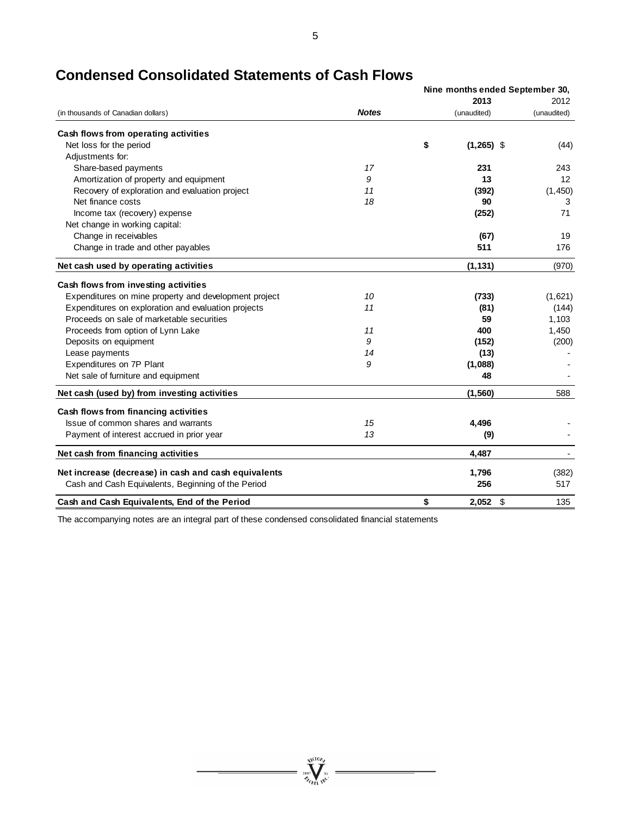|                                                       |              |    | Nine months ended September 30, |                |
|-------------------------------------------------------|--------------|----|---------------------------------|----------------|
|                                                       |              |    | 2013                            | 2012           |
| (in thousands of Canadian dollars)                    | <b>Notes</b> |    | (unaudited)                     | (unaudited)    |
| Cash flows from operating activities                  |              |    |                                 |                |
| Net loss for the period                               |              | \$ | $(1,265)$ \$                    | (44)           |
| Adjustments for:                                      |              |    |                                 |                |
| Share-based payments                                  | 17           |    | 231                             | 243            |
| Amortization of property and equipment                | 9            |    | 13                              | 12             |
| Recovery of exploration and evaluation project        | 11           |    | (392)                           | (1,450)        |
| Net finance costs                                     | 18           |    | 90                              | 3              |
| Income tax (recovery) expense                         |              |    | (252)                           | 71             |
| Net change in working capital:                        |              |    |                                 |                |
| Change in receivables                                 |              |    | (67)                            | 19             |
| Change in trade and other payables                    |              |    | 511                             | 176            |
| Net cash used by operating activities                 |              |    | (1, 131)                        | (970)          |
| Cash flows from investing activities                  |              |    |                                 |                |
| Expenditures on mine property and development project | 10           |    | (733)                           | (1,621)        |
| Expenditures on exploration and evaluation projects   | 11           |    | (81)                            | (144)          |
| Proceeds on sale of marketable securities             |              |    | 59                              | 1,103          |
| Proceeds from option of Lynn Lake                     | 11           |    | 400                             | 1,450          |
| Deposits on equipment                                 | 9            |    | (152)                           | (200)          |
| Lease payments                                        | 14           |    | (13)                            |                |
| Expenditures on 7P Plant                              | 9            |    | (1,088)                         |                |
| Net sale of furniture and equipment                   |              |    | 48                              |                |
| Net cash (used by) from investing activities          |              |    | (1,560)                         | 588            |
| Cash flows from financing activities                  |              |    |                                 |                |
| Issue of common shares and warrants                   | 15           |    | 4,496                           |                |
| Payment of interest accrued in prior year             | 13           |    | (9)                             |                |
| Net cash from financing activities                    |              |    | 4,487                           | $\blacksquare$ |
| Net increase (decrease) in cash and cash equivalents  |              |    | 1,796                           | (382)          |
| Cash and Cash Equivalents, Beginning of the Period    |              |    | 256                             | 517            |
| Cash and Cash Equivalents, End of the Period          |              | \$ | 2,052<br>\$                     | 135            |

# **Condensed Consolidated Statements of Cash Flows**

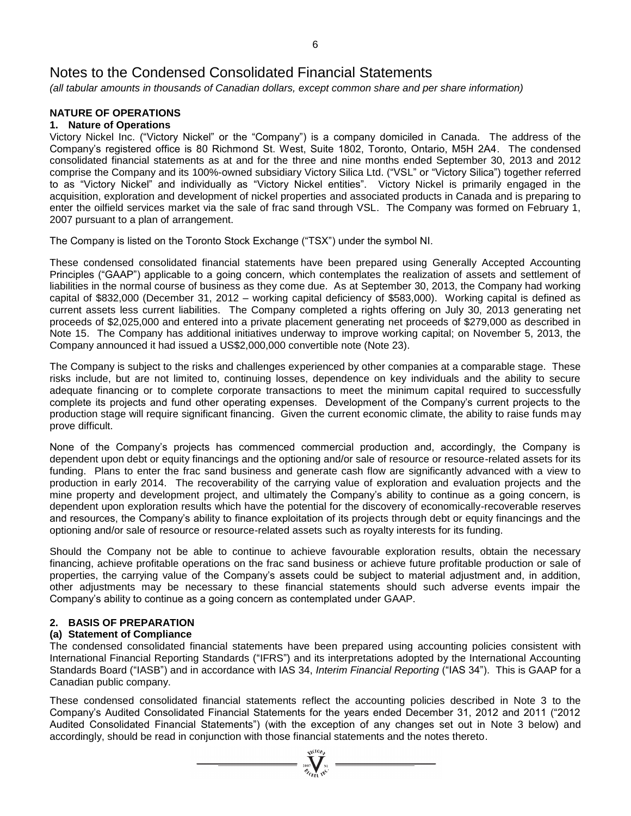*(all tabular amounts in thousands of Canadian dollars, except common share and per share information)*

# **NATURE OF OPERATIONS**

# **1. Nature of Operations**

Victory Nickel Inc. ("Victory Nickel" or the "Company") is a company domiciled in Canada. The address of the Company's registered office is 80 Richmond St. West, Suite 1802, Toronto, Ontario, M5H 2A4. The condensed consolidated financial statements as at and for the three and nine months ended September 30, 2013 and 2012 comprise the Company and its 100%-owned subsidiary Victory Silica Ltd. ("VSL" or "Victory Silica") together referred to as "Victory Nickel" and individually as "Victory Nickel entities". Victory Nickel is primarily engaged in the acquisition, exploration and development of nickel properties and associated products in Canada and is preparing to enter the oilfield services market via the sale of frac sand through VSL. The Company was formed on February 1, 2007 pursuant to a plan of arrangement.

The Company is listed on the Toronto Stock Exchange ("TSX") under the symbol NI.

These condensed consolidated financial statements have been prepared using Generally Accepted Accounting Principles ("GAAP") applicable to a going concern, which contemplates the realization of assets and settlement of liabilities in the normal course of business as they come due. As at September 30, 2013, the Company had working capital of \$832,000 (December 31, 2012 – working capital deficiency of \$583,000). Working capital is defined as current assets less current liabilities. The Company completed a rights offering on July 30, 2013 generating net proceeds of \$2,025,000 and entered into a private placement generating net proceeds of \$279,000 as described in Note 15. The Company has additional initiatives underway to improve working capital; on November 5, 2013, the Company announced it had issued a US\$2,000,000 convertible note (Note 23).

The Company is subject to the risks and challenges experienced by other companies at a comparable stage. These risks include, but are not limited to, continuing losses, dependence on key individuals and the ability to secure adequate financing or to complete corporate transactions to meet the minimum capital required to successfully complete its projects and fund other operating expenses. Development of the Company's current projects to the production stage will require significant financing. Given the current economic climate, the ability to raise funds may prove difficult.

None of the Company's projects has commenced commercial production and, accordingly, the Company is dependent upon debt or equity financings and the optioning and/or sale of resource or resource-related assets for its funding. Plans to enter the frac sand business and generate cash flow are significantly advanced with a view to production in early 2014. The recoverability of the carrying value of exploration and evaluation projects and the mine property and development project, and ultimately the Company's ability to continue as a going concern, is dependent upon exploration results which have the potential for the discovery of economically-recoverable reserves and resources, the Company's ability to finance exploitation of its projects through debt or equity financings and the optioning and/or sale of resource or resource-related assets such as royalty interests for its funding.

Should the Company not be able to continue to achieve favourable exploration results, obtain the necessary financing, achieve profitable operations on the frac sand business or achieve future profitable production or sale of properties, the carrying value of the Company's assets could be subject to material adjustment and, in addition, other adjustments may be necessary to these financial statements should such adverse events impair the Company's ability to continue as a going concern as contemplated under GAAP.

# **2. BASIS OF PREPARATION**

# **(a) Statement of Compliance**

The condensed consolidated financial statements have been prepared using accounting policies consistent with International Financial Reporting Standards ("IFRS") and its interpretations adopted by the International Accounting Standards Board ("IASB") and in accordance with IAS 34, *Interim Financial Reporting* ("IAS 34"). This is GAAP for a Canadian public company.

These condensed consolidated financial statements reflect the accounting policies described in Note 3 to the Company's Audited Consolidated Financial Statements for the years ended December 31, 2012 and 2011 ("2012 Audited Consolidated Financial Statements") (with the exception of any changes set out in Note 3 below) and accordingly, should be read in conjunction with those financial statements and the notes thereto.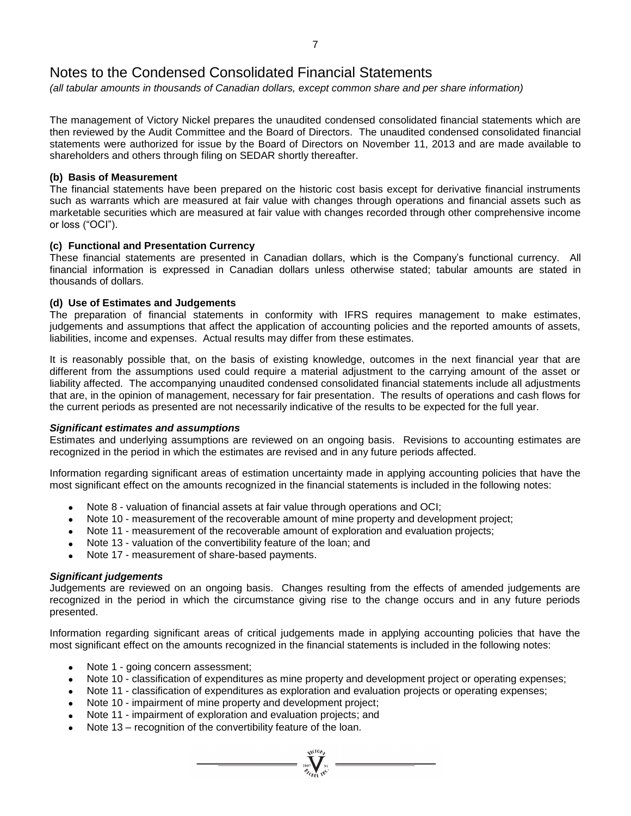*(all tabular amounts in thousands of Canadian dollars, except common share and per share information)*

The management of Victory Nickel prepares the unaudited condensed consolidated financial statements which are then reviewed by the Audit Committee and the Board of Directors. The unaudited condensed consolidated financial statements were authorized for issue by the Board of Directors on November 11, 2013 and are made available to shareholders and others through filing on SEDAR shortly thereafter.

# **(b) Basis of Measurement**

The financial statements have been prepared on the historic cost basis except for derivative financial instruments such as warrants which are measured at fair value with changes through operations and financial assets such as marketable securities which are measured at fair value with changes recorded through other comprehensive income or loss ("OCI").

# **(c) Functional and Presentation Currency**

These financial statements are presented in Canadian dollars, which is the Company's functional currency. All financial information is expressed in Canadian dollars unless otherwise stated; tabular amounts are stated in thousands of dollars.

# **(d) Use of Estimates and Judgements**

The preparation of financial statements in conformity with IFRS requires management to make estimates, judgements and assumptions that affect the application of accounting policies and the reported amounts of assets, liabilities, income and expenses. Actual results may differ from these estimates.

It is reasonably possible that, on the basis of existing knowledge, outcomes in the next financial year that are different from the assumptions used could require a material adjustment to the carrying amount of the asset or liability affected. The accompanying unaudited condensed consolidated financial statements include all adjustments that are, in the opinion of management, necessary for fair presentation. The results of operations and cash flows for the current periods as presented are not necessarily indicative of the results to be expected for the full year.

# *Significant estimates and assumptions*

Estimates and underlying assumptions are reviewed on an ongoing basis. Revisions to accounting estimates are recognized in the period in which the estimates are revised and in any future periods affected.

Information regarding significant areas of estimation uncertainty made in applying accounting policies that have the most significant effect on the amounts recognized in the financial statements is included in the following notes:

- Note 8 valuation of financial assets at fair value through operations and OCI;
- Note 10 measurement of the recoverable amount of mine property and development project;
- Note 11 measurement of the recoverable amount of exploration and evaluation projects;
- Note 13 valuation of the convertibility feature of the loan; and
- Note 17 measurement of share-based payments.

# *Significant judgements*

Judgements are reviewed on an ongoing basis. Changes resulting from the effects of amended judgements are recognized in the period in which the circumstance giving rise to the change occurs and in any future periods presented.

Information regarding significant areas of critical judgements made in applying accounting policies that have the most significant effect on the amounts recognized in the financial statements is included in the following notes:

- Note 1 going concern assessment:
- Note 10 classification of expenditures as mine property and development project or operating expenses;

- Note 11 classification of expenditures as exploration and evaluation projects or operating expenses;
- Note 10 impairment of mine property and development project;
- Note 11 impairment of exploration and evaluation projects; and
- Note 13 recognition of the convertibility feature of the loan.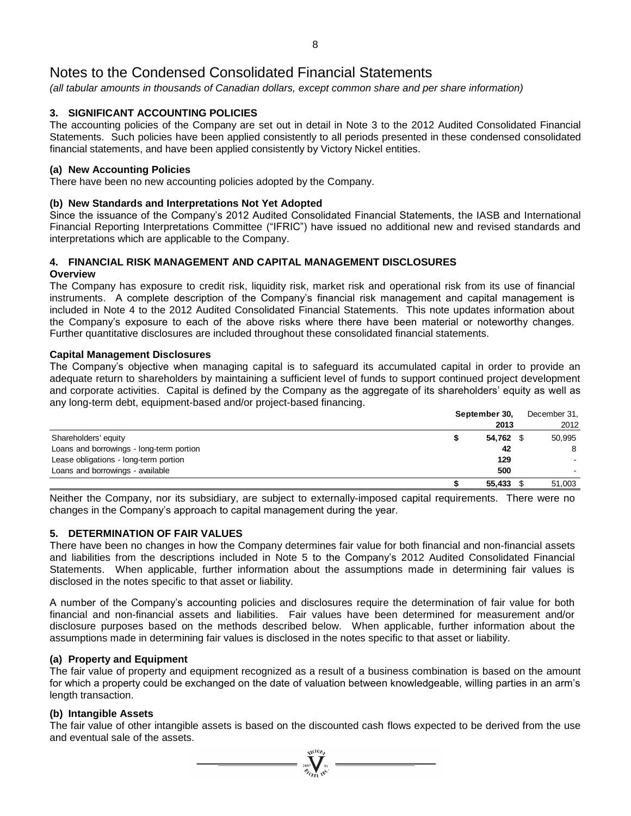*(all tabular amounts in thousands of Canadian dollars, except common share and per share information)*

# **3. SIGNIFICANT ACCOUNTING POLICIES**

The accounting policies of the Company are set out in detail in Note 3 to the 2012 Audited Consolidated Financial Statements. Such policies have been applied consistently to all periods presented in these condensed consolidated financial statements, and have been applied consistently by Victory Nickel entities.

# **(a) New Accounting Policies**

There have been no new accounting policies adopted by the Company.

# **(b) New Standards and Interpretations Not Yet Adopted**

Since the issuance of the Company's 2012 Audited Consolidated Financial Statements, the IASB and International Financial Reporting Interpretations Committee ("IFRIC") have issued no additional new and revised standards and interpretations which are applicable to the Company.

# **4. FINANCIAL RISK MANAGEMENT AND CAPITAL MANAGEMENT DISCLOSURES**

# **Overview**

The Company has exposure to credit risk, liquidity risk, market risk and operational risk from its use of financial instruments. A complete description of the Company's financial risk management and capital management is included in Note 4 to the 2012 Audited Consolidated Financial Statements. This note updates information about the Company's exposure to each of the above risks where there have been material or noteworthy changes. Further quantitative disclosures are included throughout these consolidated financial statements.

# **Capital Management Disclosures**

The Company's objective when managing capital is to safeguard its accumulated capital in order to provide an adequate return to shareholders by maintaining a sufficient level of funds to support continued project development and corporate activities. Capital is defined by the Company as the aggregate of its shareholders' equity as well as any long-term debt, equipment-based and/or project-based financing.

|                                          | September 30, | December 31, |  |  |
|------------------------------------------|---------------|--------------|--|--|
|                                          | 2013          | 2012         |  |  |
| Shareholders' equity                     | 54,762 \$     | 50.995       |  |  |
| Loans and borrowings - long-term portion | 42            | 8            |  |  |
| Lease obligations - long-term portion    | 129           |              |  |  |
| Loans and borrowings - available         | 500           |              |  |  |
|                                          | 55,433        | 51.003       |  |  |

Neither the Company, nor its subsidiary, are subject to externally-imposed capital requirements. There were no changes in the Company's approach to capital management during the year.

# **5. DETERMINATION OF FAIR VALUES**

There have been no changes in how the Company determines fair value for both financial and non-financial assets and liabilities from the descriptions included in Note 5 to the Company's 2012 Audited Consolidated Financial Statements. When applicable, further information about the assumptions made in determining fair values is disclosed in the notes specific to that asset or liability.

A number of the Company's accounting policies and disclosures require the determination of fair value for both financial and non-financial assets and liabilities. Fair values have been determined for measurement and/or disclosure purposes based on the methods described below. When applicable, further information about the assumptions made in determining fair values is disclosed in the notes specific to that asset or liability.

# **(a) Property and Equipment**

The fair value of property and equipment recognized as a result of a business combination is based on the amount for which a property could be exchanged on the date of valuation between knowledgeable, willing parties in an arm's length transaction.

# **(b) Intangible Assets**

The fair value of other intangible assets is based on the discounted cash flows expected to be derived from the use and eventual sale of the assets.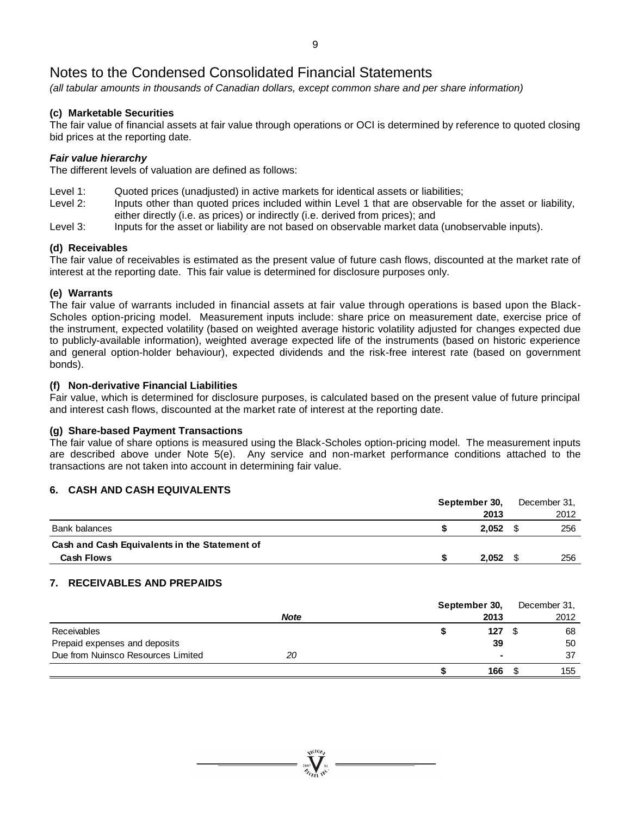*(all tabular amounts in thousands of Canadian dollars, except common share and per share information)*

# **(c) Marketable Securities**

The fair value of financial assets at fair value through operations or OCI is determined by reference to quoted closing bid prices at the reporting date.

# *Fair value hierarchy*

The different levels of valuation are defined as follows:

- Level 1: Quoted prices (unadjusted) in active markets for identical assets or liabilities;
- Level 2: Inputs other than quoted prices included within Level 1 that are observable for the asset or liability, either directly (i.e. as prices) or indirectly (i.e. derived from prices); and
- Level 3: Inputs for the asset or liability are not based on observable market data (unobservable inputs).

# **(d) Receivables**

The fair value of receivables is estimated as the present value of future cash flows, discounted at the market rate of interest at the reporting date. This fair value is determined for disclosure purposes only.

# **(e) Warrants**

The fair value of warrants included in financial assets at fair value through operations is based upon the Black-Scholes option-pricing model. Measurement inputs include: share price on measurement date, exercise price of the instrument, expected volatility (based on weighted average historic volatility adjusted for changes expected due to publicly-available information), weighted average expected life of the instruments (based on historic experience and general option-holder behaviour), expected dividends and the risk-free interest rate (based on government bonds).

# **(f) Non-derivative Financial Liabilities**

Fair value, which is determined for disclosure purposes, is calculated based on the present value of future principal and interest cash flows, discounted at the market rate of interest at the reporting date.

# **(g) Share-based Payment Transactions**

The fair value of share options is measured using the Black-Scholes option-pricing model. The measurement inputs are described above under Note 5(e). Any service and non-market performance conditions attached to the transactions are not taken into account in determining fair value.

# **6. CASH AND CASH EQUIVALENTS**

|                                               | September 30, | December 31, |
|-----------------------------------------------|---------------|--------------|
|                                               | 2013          | 2012         |
| Bank balances                                 | 2.052         | 256          |
| Cash and Cash Equivalents in the Statement of |               |              |
| <b>Cash Flows</b>                             | 2,052         | 256          |

# **7. RECEIVABLES AND PREPAIDS**

|                                    | September 30, |        | December 31, |
|------------------------------------|---------------|--------|--------------|
|                                    | <b>Note</b>   | 2013   | 2012         |
| <b>Receivables</b>                 |               | 127    | 68           |
| Prepaid expenses and deposits      |               | 39     | 50           |
| Due from Nuinsco Resources Limited | 20            | $\sim$ | 37           |
|                                    |               | 166    | 155          |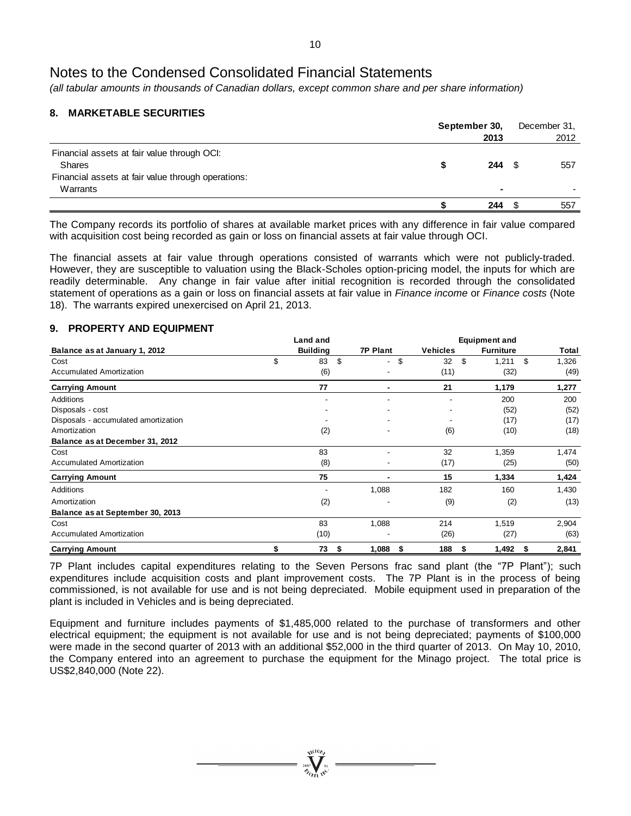*(all tabular amounts in thousands of Canadian dollars, except common share and per share information)*

# **8. MARKETABLE SECURITIES**

|                                                                                                             |   | September 30,  |  | December 31, |
|-------------------------------------------------------------------------------------------------------------|---|----------------|--|--------------|
|                                                                                                             |   | 2013           |  | 2012         |
| Financial assets at fair value through OCI:<br>Shares<br>Financial assets at fair value through operations: | S | 244            |  | 557          |
| Warrants                                                                                                    |   | $\blacksquare$ |  |              |
|                                                                                                             |   | 244            |  | 557          |

The Company records its portfolio of shares at available market prices with any difference in fair value compared with acquisition cost being recorded as gain or loss on financial assets at fair value through OCI.

The financial assets at fair value through operations consisted of warrants which were not publicly-traded. However, they are susceptible to valuation using the Black-Scholes option-pricing model, the inputs for which are readily determinable. Any change in fair value after initial recognition is recorded through the consolidated statement of operations as a gain or loss on financial assets at fair value in *Finance income* or *Finance costs* (Note 18). The warrants expired unexercised on April 21, 2013.

# **9. PROPERTY AND EQUIPMENT**

|                                      | Land and        |                          | <b>Equipment and</b> |                  |       |  |  |  |  |  |
|--------------------------------------|-----------------|--------------------------|----------------------|------------------|-------|--|--|--|--|--|
| Balance as at January 1, 2012        | <b>Building</b> | <b>7P Plant</b>          | <b>Vehicles</b>      | <b>Furniture</b> | Total |  |  |  |  |  |
| Cost                                 | \$<br>\$<br>83  | \$<br>٠                  | \$<br>32             | 1,211<br>\$      | 1,326 |  |  |  |  |  |
| <b>Accumulated Amortization</b>      | (6)             |                          | (11)                 | (32)             | (49)  |  |  |  |  |  |
| <b>Carrying Amount</b>               | 77              |                          | 21                   | 1,179            | 1,277 |  |  |  |  |  |
| Additions                            |                 |                          |                      | 200              | 200   |  |  |  |  |  |
| Disposals - cost                     |                 |                          | ۰                    | (52)             | (52)  |  |  |  |  |  |
| Disposals - accumulated amortization |                 |                          |                      | (17)             | (17)  |  |  |  |  |  |
| Amortization                         | (2)             | $\overline{\phantom{a}}$ | (6)                  | (10)             | (18)  |  |  |  |  |  |
| Balance as at December 31, 2012      |                 |                          |                      |                  |       |  |  |  |  |  |
| Cost                                 | 83              |                          | 32                   | 1,359            | 1,474 |  |  |  |  |  |
| <b>Accumulated Amortization</b>      | (8)             |                          | (17)                 | (25)             | (50)  |  |  |  |  |  |
| <b>Carrying Amount</b>               | 75              |                          | 15                   | 1,334            | 1,424 |  |  |  |  |  |
| Additions                            |                 | 1,088                    | 182                  | 160              | 1,430 |  |  |  |  |  |
| Amortization                         | (2)             |                          | (9)                  | (2)              | (13)  |  |  |  |  |  |
| Balance as at September 30, 2013     |                 |                          |                      |                  |       |  |  |  |  |  |
| Cost                                 | 83              | 1,088                    | 214                  | 1,519            | 2,904 |  |  |  |  |  |
| <b>Accumulated Amortization</b>      | (10)            |                          | (26)                 | (27)             | (63)  |  |  |  |  |  |
| <b>Carrying Amount</b>               | 73<br>S         | 1,088<br>S               | 188<br>S             | 1,492<br>S       | 2,841 |  |  |  |  |  |

7P Plant includes capital expenditures relating to the Seven Persons frac sand plant (the "7P Plant"); such expenditures include acquisition costs and plant improvement costs. The 7P Plant is in the process of being commissioned, is not available for use and is not being depreciated. Mobile equipment used in preparation of the plant is included in Vehicles and is being depreciated.

Equipment and furniture includes payments of \$1,485,000 related to the purchase of transformers and other electrical equipment; the equipment is not available for use and is not being depreciated; payments of \$100,000 were made in the second quarter of 2013 with an additional \$52,000 in the third quarter of 2013. On May 10, 2010, the Company entered into an agreement to purchase the equipment for the Minago project. The total price is US\$2,840,000 (Note 22).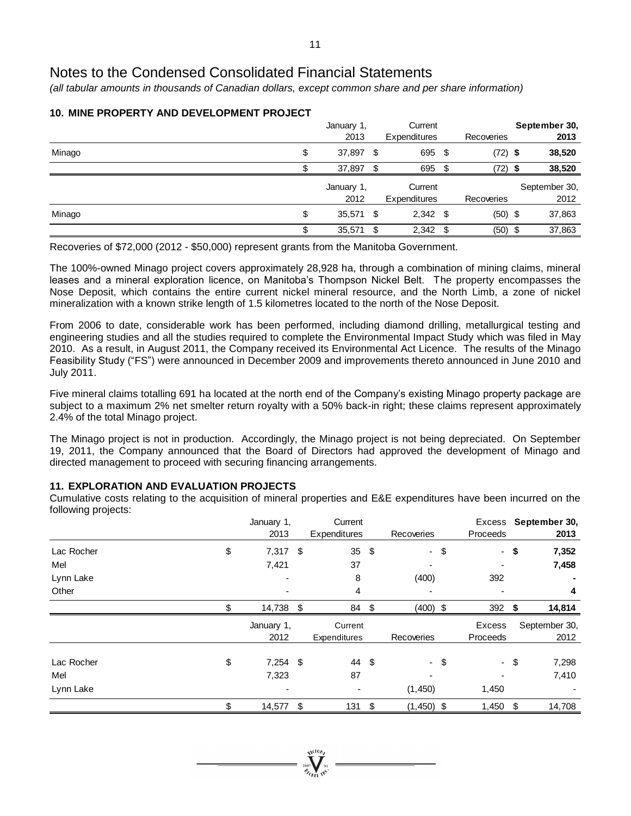*(all tabular amounts in thousands of Canadian dollars, except common share and per share information)*

|        | January 1,<br>2013 |     | Current<br>Expenditures |      | Recoveries | September 30,<br>2013 |
|--------|--------------------|-----|-------------------------|------|------------|-----------------------|
| Minago | \$<br>37,897 \$    |     | 695 \$                  |      | $(72)$ \$  | 38,520                |
|        | 37,897             | \$. | 695                     | - \$ | (72) \$    | 38,520                |
|        | January 1,         |     | Current                 |      |            | September 30,         |
|        | 2012               |     | <b>Expenditures</b>     |      | Recoveries | 2012                  |
| Minago | \$<br>35,571 \$    |     | $2,342$ \$              |      | $(50)$ \$  | 37,863                |
|        | \$<br>35,571       | \$  | $2,342$ \$              |      | $(50)$ \$  | 37,863                |

# **10. MINE PROPERTY AND DEVELOPMENT PROJECT**

Recoveries of \$72,000 (2012 - \$50,000) represent grants from the Manitoba Government.

The 100%-owned Minago project covers approximately 28,928 ha, through a combination of mining claims, mineral leases and a mineral exploration licence, on Manitoba's Thompson Nickel Belt. The property encompasses the Nose Deposit, which contains the entire current nickel mineral resource, and the North Limb, a zone of nickel mineralization with a known strike length of 1.5 kilometres located to the north of the Nose Deposit.

From 2006 to date, considerable work has been performed, including diamond drilling, metallurgical testing and engineering studies and all the studies required to complete the Environmental Impact Study which was filed in May 2010. As a result, in August 2011, the Company received its Environmental Act Licence. The results of the Minago Feasibility Study ("FS") were announced in December 2009 and improvements thereto announced in June 2010 and July 2011.

Five mineral claims totalling 691 ha located at the north end of the Company's existing Minago property package are subject to a maximum 2% net smelter return royalty with a 50% back-in right; these claims represent approximately 2.4% of the total Minago project.

The Minago project is not in production. Accordingly, the Minago project is not being depreciated. On September 19, 2011, the Company announced that the Board of Directors had approved the development of Minago and directed management to proceed with securing financing arrangements.

# **11. EXPLORATION AND EVALUATION PROJECTS**

Cumulative costs relating to the acquisition of mineral properties and E&E expenditures have been incurred on the following projects:

|            | January 1,<br>2013 |     | Current<br>Expenditures |            | Recoveries   | Proceeds |      | Excess September 30,<br>2013 |
|------------|--------------------|-----|-------------------------|------------|--------------|----------|------|------------------------------|
| Lac Rocher | \$<br>$7,317$ \$   |     | 35 $$$                  |            | $-$ \$       |          | - \$ | 7,352                        |
| Mel        | 7,421              |     | 37                      |            |              |          |      | 7,458                        |
| Lynn Lake  |                    |     | 8                       |            | (400)        | 392      |      |                              |
| Other      |                    |     | 4                       |            |              |          |      | 4                            |
|            | \$<br>14,738       | -\$ | 84                      | $\sqrt{3}$ | $(400)$ \$   | 392 $$$  |      | 14,814                       |
|            | January 1,         |     | Current                 |            |              | Excess   |      | September 30,                |
|            | 2012               |     | Expenditures            |            | Recoveries   | Proceeds |      | 2012                         |
| Lac Rocher | \$<br>$7,254$ \$   |     | 44 \$                   |            | - \$         |          | - \$ | 7,298                        |
| Mel        | 7,323              |     | 87                      |            |              |          |      | 7,410                        |
| Lynn Lake  | ٠                  |     | ٠                       |            | (1,450)      | 1,450    |      |                              |
|            | \$<br>14,577       | \$  | 131                     | \$         | $(1,450)$ \$ | 1,450    | \$   | 14,708                       |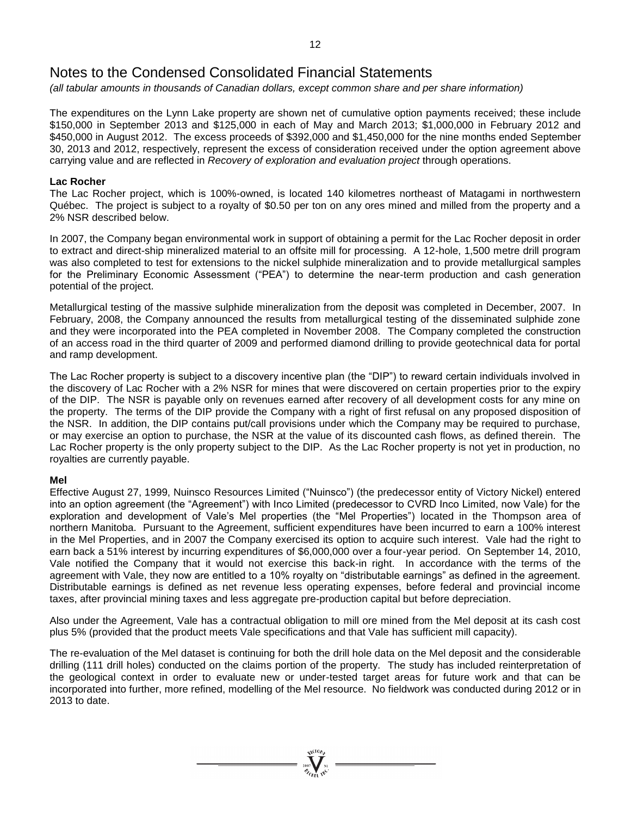*(all tabular amounts in thousands of Canadian dollars, except common share and per share information)*

The expenditures on the Lynn Lake property are shown net of cumulative option payments received; these include \$150,000 in September 2013 and \$125,000 in each of May and March 2013; \$1,000,000 in February 2012 and \$450,000 in August 2012. The excess proceeds of \$392,000 and \$1,450,000 for the nine months ended September 30, 2013 and 2012, respectively, represent the excess of consideration received under the option agreement above carrying value and are reflected in *Recovery of exploration and evaluation project* through operations.

# **Lac Rocher**

The Lac Rocher project, which is 100%-owned, is located 140 kilometres northeast of Matagami in northwestern Québec. The project is subject to a royalty of \$0.50 per ton on any ores mined and milled from the property and a 2% NSR described below.

In 2007, the Company began environmental work in support of obtaining a permit for the Lac Rocher deposit in order to extract and direct-ship mineralized material to an offsite mill for processing. A 12-hole, 1,500 metre drill program was also completed to test for extensions to the nickel sulphide mineralization and to provide metallurgical samples for the Preliminary Economic Assessment ("PEA") to determine the near-term production and cash generation potential of the project.

Metallurgical testing of the massive sulphide mineralization from the deposit was completed in December, 2007. In February, 2008, the Company announced the results from metallurgical testing of the disseminated sulphide zone and they were incorporated into the PEA completed in November 2008. The Company completed the construction of an access road in the third quarter of 2009 and performed diamond drilling to provide geotechnical data for portal and ramp development.

The Lac Rocher property is subject to a discovery incentive plan (the "DIP") to reward certain individuals involved in the discovery of Lac Rocher with a 2% NSR for mines that were discovered on certain properties prior to the expiry of the DIP. The NSR is payable only on revenues earned after recovery of all development costs for any mine on the property. The terms of the DIP provide the Company with a right of first refusal on any proposed disposition of the NSR. In addition, the DIP contains put/call provisions under which the Company may be required to purchase, or may exercise an option to purchase, the NSR at the value of its discounted cash flows, as defined therein. The Lac Rocher property is the only property subject to the DIP. As the Lac Rocher property is not yet in production, no royalties are currently payable.

# **Mel**

Effective August 27, 1999, Nuinsco Resources Limited ("Nuinsco") (the predecessor entity of Victory Nickel) entered into an option agreement (the "Agreement") with Inco Limited (predecessor to CVRD Inco Limited, now Vale) for the exploration and development of Vale's Mel properties (the "Mel Properties") located in the Thompson area of northern Manitoba. Pursuant to the Agreement, sufficient expenditures have been incurred to earn a 100% interest in the Mel Properties, and in 2007 the Company exercised its option to acquire such interest. Vale had the right to earn back a 51% interest by incurring expenditures of \$6,000,000 over a four-year period. On September 14, 2010, Vale notified the Company that it would not exercise this back-in right. In accordance with the terms of the agreement with Vale, they now are entitled to a 10% royalty on "distributable earnings" as defined in the agreement. Distributable earnings is defined as net revenue less operating expenses, before federal and provincial income taxes, after provincial mining taxes and less aggregate pre-production capital but before depreciation.

Also under the Agreement, Vale has a contractual obligation to mill ore mined from the Mel deposit at its cash cost plus 5% (provided that the product meets Vale specifications and that Vale has sufficient mill capacity).

The re-evaluation of the Mel dataset is continuing for both the drill hole data on the Mel deposit and the considerable drilling (111 drill holes) conducted on the claims portion of the property. The study has included reinterpretation of the geological context in order to evaluate new or under-tested target areas for future work and that can be incorporated into further, more refined, modelling of the Mel resource. No fieldwork was conducted during 2012 or in 2013 to date.

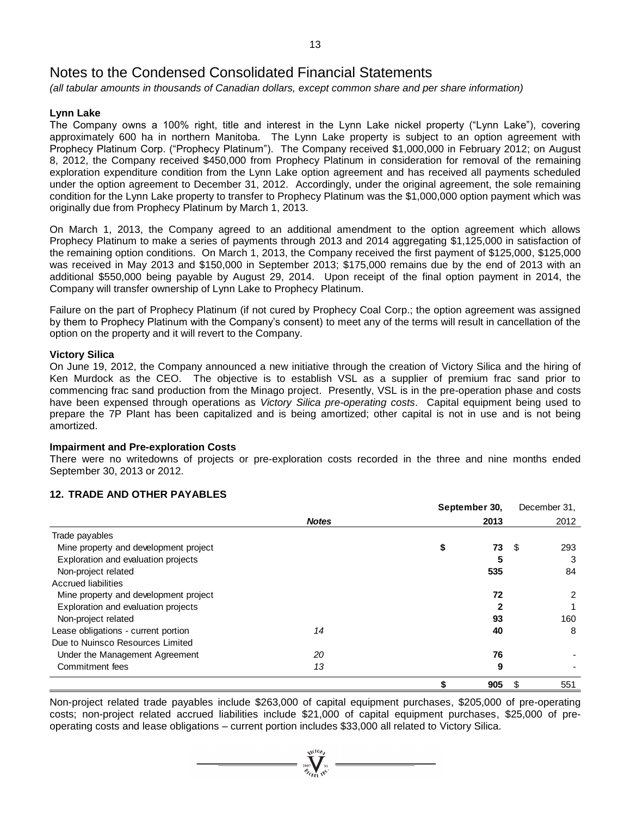*(all tabular amounts in thousands of Canadian dollars, except common share and per share information)*

# **Lynn Lake**

The Company owns a 100% right, title and interest in the Lynn Lake nickel property ("Lynn Lake"), covering approximately 600 ha in northern Manitoba. The Lynn Lake property is subject to an option agreement with Prophecy Platinum Corp. ("Prophecy Platinum"). The Company received \$1,000,000 in February 2012; on August 8, 2012, the Company received \$450,000 from Prophecy Platinum in consideration for removal of the remaining exploration expenditure condition from the Lynn Lake option agreement and has received all payments scheduled under the option agreement to December 31, 2012. Accordingly, under the original agreement, the sole remaining condition for the Lynn Lake property to transfer to Prophecy Platinum was the \$1,000,000 option payment which was originally due from Prophecy Platinum by March 1, 2013.

On March 1, 2013, the Company agreed to an additional amendment to the option agreement which allows Prophecy Platinum to make a series of payments through 2013 and 2014 aggregating \$1,125,000 in satisfaction of the remaining option conditions. On March 1, 2013, the Company received the first payment of \$125,000, \$125,000 was received in May 2013 and \$150,000 in September 2013; \$175,000 remains due by the end of 2013 with an additional \$550,000 being payable by August 29, 2014. Upon receipt of the final option payment in 2014, the Company will transfer ownership of Lynn Lake to Prophecy Platinum.

Failure on the part of Prophecy Platinum (if not cured by Prophecy Coal Corp.; the option agreement was assigned by them to Prophecy Platinum with the Company's consent) to meet any of the terms will result in cancellation of the option on the property and it will revert to the Company.

# **Victory Silica**

On June 19, 2012, the Company announced a new initiative through the creation of Victory Silica and the hiring of Ken Murdock as the CEO. The objective is to establish VSL as a supplier of premium frac sand prior to commencing frac sand production from the Minago project. Presently, VSL is in the pre-operation phase and costs have been expensed through operations as *Victory Silica pre-operating costs*. Capital equipment being used to prepare the 7P Plant has been capitalized and is being amortized; other capital is not in use and is not being amortized.

# **Impairment and Pre-exploration Costs**

There were no writedowns of projects or pre-exploration costs recorded in the three and nine months ended September 30, 2013 or 2012.

# **12. TRADE AND OTHER PAYABLES**

|                                       |              | September 30, |      |      | December 31, |
|---------------------------------------|--------------|---------------|------|------|--------------|
|                                       | <b>Notes</b> |               | 2013 |      | 2012         |
| Trade payables                        |              |               |      |      |              |
| Mine property and development project |              | S             | 73   | - \$ | 293          |
| Exploration and evaluation projects   |              |               | 5    |      | 3            |
| Non-project related                   |              |               | 535  |      | 84           |
| <b>Accrued liabilities</b>            |              |               |      |      |              |
| Mine property and development project |              |               | 72   |      | 2            |
| Exploration and evaluation projects   |              |               |      |      |              |
| Non-project related                   |              |               | 93   |      | 160          |
| Lease obligations - current portion   | 14           |               | 40   |      | 8            |
| Due to Nuinsco Resources Limited      |              |               |      |      |              |
| Under the Management Agreement        | 20           |               | 76   |      |              |
| Commitment fees                       | 13           |               | 9    |      |              |
|                                       |              |               | 905  | S    | 551          |

Non-project related trade payables include \$263,000 of capital equipment purchases, \$205,000 of pre-operating costs; non-project related accrued liabilities include \$21,000 of capital equipment purchases, \$25,000 of preoperating costs and lease obligations – current portion includes \$33,000 all related to Victory Silica.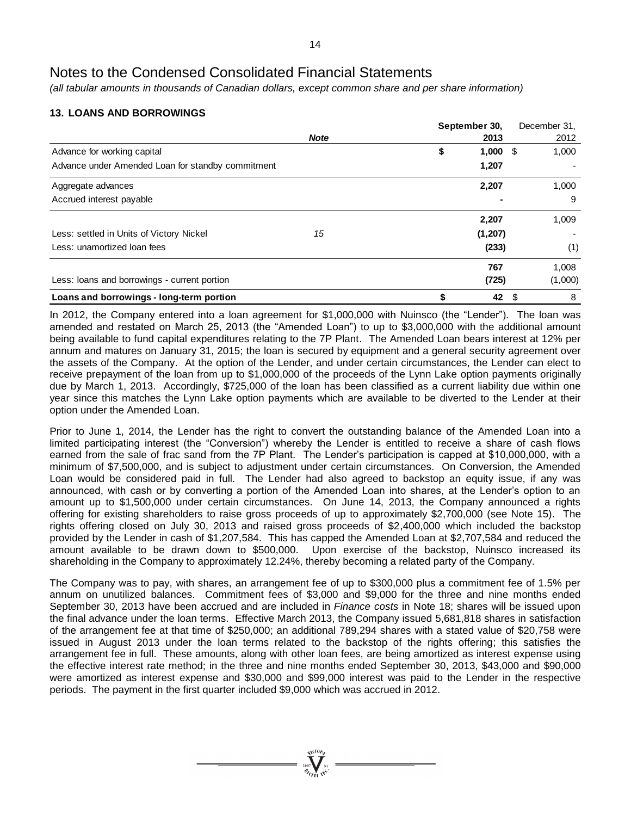*(all tabular amounts in thousands of Canadian dollars, except common share and per share information)*

# **13. LOANS AND BORROWINGS**

|                                                   |             | September 30,       | December 31. |
|---------------------------------------------------|-------------|---------------------|--------------|
|                                                   | <b>Note</b> | 2013                | 2012         |
| Advance for working capital                       |             | \$<br>1,000<br>- \$ | 1,000        |
| Advance under Amended Loan for standby commitment |             | 1,207               |              |
| Aggregate advances                                |             | 2,207               | 1,000        |
| Accrued interest payable                          |             |                     | -9           |
|                                                   |             | 2,207               | 1,009        |
| Less: settled in Units of Victory Nickel          | 15          | (1, 207)            |              |
| Less: unamortized loan fees                       |             | (233)               | (1)          |
|                                                   |             | 767                 | 1,008        |
| Less: loans and borrowings - current portion      |             | (725)               | (1,000)      |
| Loans and borrowings - long-term portion          |             | 42                  | \$<br>8      |

In 2012, the Company entered into a loan agreement for \$1,000,000 with Nuinsco (the "Lender"). The loan was amended and restated on March 25, 2013 (the "Amended Loan") to up to \$3,000,000 with the additional amount being available to fund capital expenditures relating to the 7P Plant. The Amended Loan bears interest at 12% per annum and matures on January 31, 2015; the loan is secured by equipment and a general security agreement over the assets of the Company. At the option of the Lender, and under certain circumstances, the Lender can elect to receive prepayment of the loan from up to \$1,000,000 of the proceeds of the Lynn Lake option payments originally due by March 1, 2013. Accordingly, \$725,000 of the loan has been classified as a current liability due within one year since this matches the Lynn Lake option payments which are available to be diverted to the Lender at their option under the Amended Loan.

Prior to June 1, 2014, the Lender has the right to convert the outstanding balance of the Amended Loan into a limited participating interest (the "Conversion") whereby the Lender is entitled to receive a share of cash flows earned from the sale of frac sand from the 7P Plant. The Lender's participation is capped at \$10,000,000, with a minimum of \$7,500,000, and is subject to adjustment under certain circumstances. On Conversion, the Amended Loan would be considered paid in full. The Lender had also agreed to backstop an equity issue, if any was announced, with cash or by converting a portion of the Amended Loan into shares, at the Lender's option to an amount up to \$1,500,000 under certain circumstances. On June 14, 2013, the Company announced a rights offering for existing shareholders to raise gross proceeds of up to approximately \$2,700,000 (see Note 15). The rights offering closed on July 30, 2013 and raised gross proceeds of \$2,400,000 which included the backstop provided by the Lender in cash of \$1,207,584. This has capped the Amended Loan at \$2,707,584 and reduced the amount available to be drawn down to \$500,000. Upon exercise of the backstop, Nuinsco increased its shareholding in the Company to approximately 12.24%, thereby becoming a related party of the Company.

The Company was to pay, with shares, an arrangement fee of up to \$300,000 plus a commitment fee of 1.5% per annum on unutilized balances. Commitment fees of \$3,000 and \$9,000 for the three and nine months ended September 30, 2013 have been accrued and are included in *Finance costs* in Note 18; shares will be issued upon the final advance under the loan terms. Effective March 2013, the Company issued 5,681,818 shares in satisfaction of the arrangement fee at that time of \$250,000; an additional 789,294 shares with a stated value of \$20,758 were issued in August 2013 under the loan terms related to the backstop of the rights offering; this satisfies the arrangement fee in full. These amounts, along with other loan fees, are being amortized as interest expense using the effective interest rate method; in the three and nine months ended September 30, 2013, \$43,000 and \$90,000 were amortized as interest expense and \$30,000 and \$99,000 interest was paid to the Lender in the respective periods. The payment in the first quarter included \$9,000 which was accrued in 2012.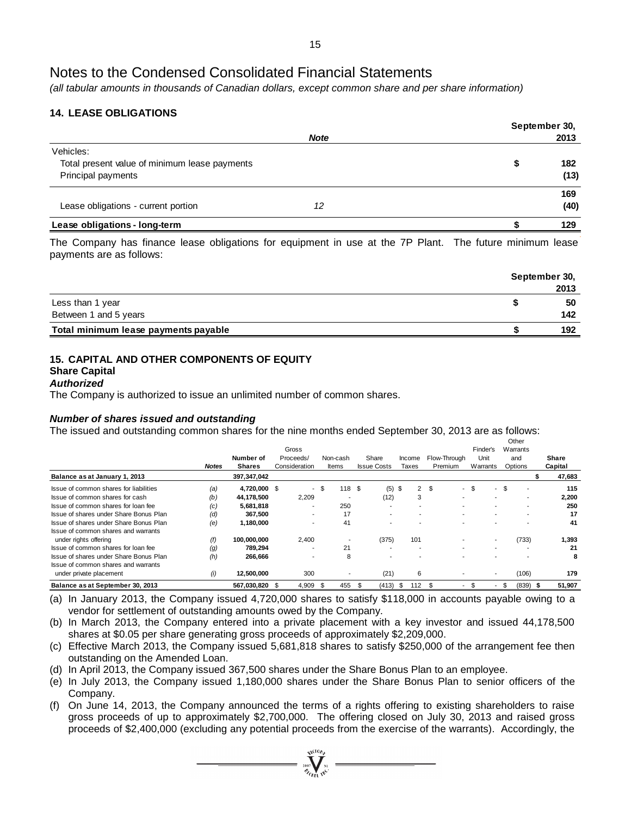*(all tabular amounts in thousands of Canadian dollars, except common share and per share information)*

# **14. LEASE OBLIGATIONS**

|                                               |             | September 30, |      |  |  |  |
|-----------------------------------------------|-------------|---------------|------|--|--|--|
|                                               | <b>Note</b> |               | 2013 |  |  |  |
| Vehicles:                                     |             |               |      |  |  |  |
| Total present value of minimum lease payments |             | S             | 182  |  |  |  |
| Principal payments                            |             |               | (13) |  |  |  |
|                                               |             |               | 169  |  |  |  |
| Lease obligations - current portion           | 12          |               | (40) |  |  |  |
| Lease obligations - long-term                 |             |               | 129  |  |  |  |
|                                               |             |               |      |  |  |  |

The Company has finance lease obligations for equipment in use at the 7P Plant. The future minimum lease payments are as follows:

|                                      | September 30, |
|--------------------------------------|---------------|
|                                      | 2013          |
| Less than 1 year                     | 50            |
| Between 1 and 5 years                | 142           |
| Total minimum lease payments payable | 192           |

# **15. CAPITAL AND OTHER COMPONENTS OF EQUITY**

# **Share Capital**

#### *Authorized*

The Company is authorized to issue an unlimited number of common shares.

# *Number of shares issued and outstanding*

The issued and outstanding common shares for the nine months ended September 30, 2013 are as follows:

|                                        |              |               |                          |     |          |     |                          |          |                          |                                 |                                |     | Other                    |   |         |
|----------------------------------------|--------------|---------------|--------------------------|-----|----------|-----|--------------------------|----------|--------------------------|---------------------------------|--------------------------------|-----|--------------------------|---|---------|
|                                        |              | Number of     | Gross<br>Proceeds/       |     | Non-cash |     | Share                    | Income   |                          | Flow-Through                    | Finder's<br>Unit               |     | Warrants<br>and          |   | Share   |
|                                        | <b>Notes</b> | <b>Shares</b> | Consideration            |     | Items    |     | <b>Issue Costs</b>       | Taxes    |                          | Premium                         | Warrants                       |     | Options                  |   | Capital |
| Balance as at January 1, 2013          |              | 397,347,042   |                          |     |          |     |                          |          |                          |                                 |                                |     |                          | S | 47,683  |
| Issue of common shares for liabilities | (a)          | 4.720.000 \$  | $\sim$                   | \$  | 118 \$   |     | (5)                      | \$       | $\overline{2}$           | -\$<br>$\overline{\phantom{a}}$ | \$<br>$\overline{\phantom{a}}$ | \$  |                          |   | 115     |
| Issue of common shares for cash        | (b)          | 44,178,500    | 2,209                    |     |          |     | (12)                     |          | 3                        | -                               |                                |     | ۰                        |   | 2,200   |
| Issue of common shares for loan fee    | (c)          | 5,681,818     |                          |     | 250      |     | $\overline{\phantom{a}}$ |          |                          | -                               |                                |     |                          |   | 250     |
| Issue of shares under Share Bonus Plan | (d)          | 367,500       | $\overline{\phantom{a}}$ |     | 17       |     | $\overline{\phantom{a}}$ |          | $\overline{\phantom{a}}$ | -                               |                                |     | $\overline{\phantom{a}}$ |   | 17      |
| Issue of shares under Share Bonus Plan | (e)          | 1,180,000     |                          |     | 41       |     | $\overline{\phantom{a}}$ |          |                          |                                 |                                |     |                          |   | 41      |
| Issue of common shares and warrants    |              |               |                          |     |          |     |                          |          |                          |                                 |                                |     |                          |   |         |
| under rights offering                  | († )         | 100,000,000   | 2.400                    |     |          |     | (375)                    |          | 101                      |                                 |                                |     | (733)                    |   | 1,393   |
| Issue of common shares for loan fee    | (q)          | 789,294       |                          |     | 21       |     | -                        |          |                          |                                 |                                |     |                          |   | 21      |
| Issue of shares under Share Bonus Plan | (h)          | 266,666       | $\overline{\phantom{0}}$ |     | 8        |     | -                        |          |                          |                                 |                                |     |                          |   | 8       |
| Issue of common shares and warrants    |              |               |                          |     |          |     |                          |          |                          |                                 |                                |     |                          |   |         |
| under private placement                | (i)          | 12,500,000    | 300                      |     | ۰        |     | (21)                     |          | 6                        | $\overline{\phantom{a}}$        | $\overline{\phantom{a}}$       |     | (106)                    |   | 179     |
| Balance as at September 30, 2013       |              | 567,030,820   | 4,909                    | -\$ | 455      | \$. | (413)                    | <b>S</b> | 112                      | ۹.                              |                                | \$. | (839)                    |   | 51,907  |

(a) In January 2013, the Company issued 4,720,000 shares to satisfy \$118,000 in accounts payable owing to a vendor for settlement of outstanding amounts owed by the Company.

(b) In March 2013, the Company entered into a private placement with a key investor and issued 44,178,500 shares at \$0.05 per share generating gross proceeds of approximately \$2,209,000.

(c) Effective March 2013, the Company issued 5,681,818 shares to satisfy \$250,000 of the arrangement fee then outstanding on the Amended Loan.

(d) In April 2013, the Company issued 367,500 shares under the Share Bonus Plan to an employee.

(e) In July 2013, the Company issued 1,180,000 shares under the Share Bonus Plan to senior officers of the Company.

(f) On June 14, 2013, the Company announced the terms of a rights offering to existing shareholders to raise gross proceeds of up to approximately \$2,700,000. The offering closed on July 30, 2013 and raised gross proceeds of \$2,400,000 (excluding any potential proceeds from the exercise of the warrants). Accordingly, the

 $\sum_{i=0}^{\sqrt{100}h_i}$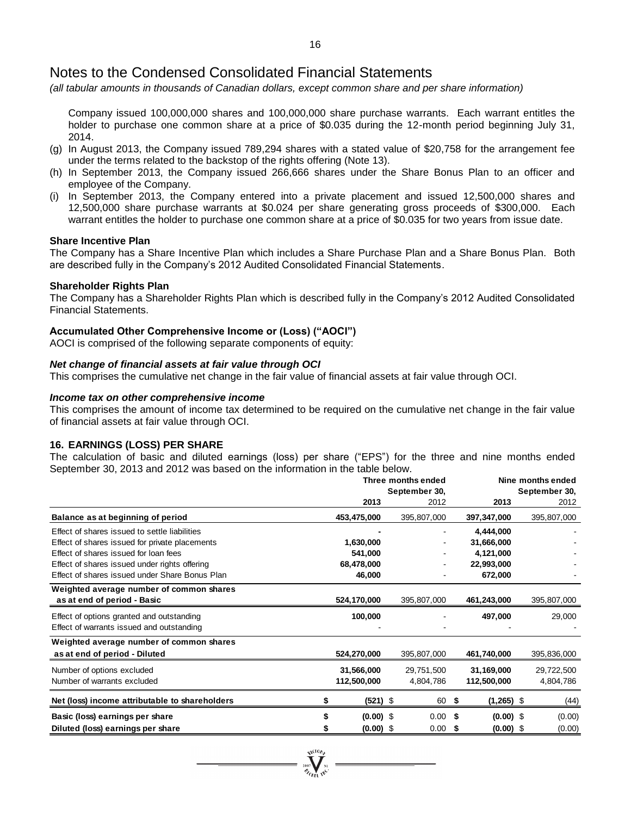*(all tabular amounts in thousands of Canadian dollars, except common share and per share information)*

Company issued 100,000,000 shares and 100,000,000 share purchase warrants. Each warrant entitles the holder to purchase one common share at a price of \$0.035 during the 12-month period beginning July 31, 2014.

- (g) In August 2013, the Company issued 789,294 shares with a stated value of \$20,758 for the arrangement fee under the terms related to the backstop of the rights offering (Note 13).
- (h) In September 2013, the Company issued 266,666 shares under the Share Bonus Plan to an officer and employee of the Company.
- (i) In September 2013, the Company entered into a private placement and issued 12,500,000 shares and 12,500,000 share purchase warrants at \$0.024 per share generating gross proceeds of \$300,000. Each warrant entitles the holder to purchase one common share at a price of \$0.035 for two years from issue date.

#### **Share Incentive Plan**

The Company has a Share Incentive Plan which includes a Share Purchase Plan and a Share Bonus Plan. Both are described fully in the Company's 2012 Audited Consolidated Financial Statements.

#### **Shareholder Rights Plan**

The Company has a Shareholder Rights Plan which is described fully in the Company's 2012 Audited Consolidated Financial Statements.

#### **Accumulated Other Comprehensive Income or (Loss) ("AOCI")**

AOCI is comprised of the following separate components of equity:

#### *Net change of financial assets at fair value through OCI*

This comprises the cumulative net change in the fair value of financial assets at fair value through OCI.

#### *Income tax on other comprehensive income*

This comprises the amount of income tax determined to be required on the cumulative net change in the fair value of financial assets at fair value through OCI.

# **16. EARNINGS (LOSS) PER SHARE**

The calculation of basic and diluted earnings (loss) per share ("EPS") for the three and nine months ended September 30, 2013 and 2012 was based on the information in the table below.

|                                                                                                 | Three months ended<br>September 30, |  |                         |    |                           | Nine months ended<br>September 30, |  |
|-------------------------------------------------------------------------------------------------|-------------------------------------|--|-------------------------|----|---------------------------|------------------------------------|--|
|                                                                                                 | 2013                                |  | 2012                    |    | 2013                      | 2012                               |  |
| Balance as at beginning of period                                                               | 453,475,000                         |  | 395,807,000             |    | 397,347,000               | 395,807,000                        |  |
| Effect of shares issued to settle liabilities<br>Effect of shares issued for private placements | 1,630,000                           |  |                         |    | 4,444,000<br>31,666,000   |                                    |  |
| Effect of shares issued for loan fees<br>Effect of shares issued under rights offering          | 541,000<br>68,478,000               |  |                         |    | 4,121,000<br>22,993,000   |                                    |  |
| Effect of shares issued under Share Bonus Plan                                                  | 46,000                              |  |                         |    | 672,000                   |                                    |  |
| Weighted average number of common shares<br>as at end of period - Basic                         | 524,170,000                         |  | 395,807,000             |    | 461,243,000               | 395,807,000                        |  |
| Effect of options granted and outstanding<br>Effect of warrants issued and outstanding          | 100,000                             |  |                         |    | 497,000                   | 29,000                             |  |
| Weighted average number of common shares<br>as at end of period - Diluted                       | 524,270,000                         |  | 395,807,000             |    | 461,740,000               | 395,836,000                        |  |
| Number of options excluded<br>Number of warrants excluded                                       | 31,566,000<br>112,500,000           |  | 29,751,500<br>4,804,786 |    | 31,169,000<br>112,500,000 | 29,722,500<br>4,804,786            |  |
| Net (loss) income attributable to shareholders                                                  | (521) \$                            |  | 60 \$                   |    | $(1,265)$ \$              | (44)                               |  |
| Basic (loss) earnings per share                                                                 | $(0.00)$ \$                         |  | $0.00$ \$               |    | $(0.00)$ \$               | (0.00)                             |  |
| Diluted (loss) earnings per share                                                               | $(0.00)$ \$                         |  | 0.00                    | \$ | $(0.00)$ \$               | (0.00)                             |  |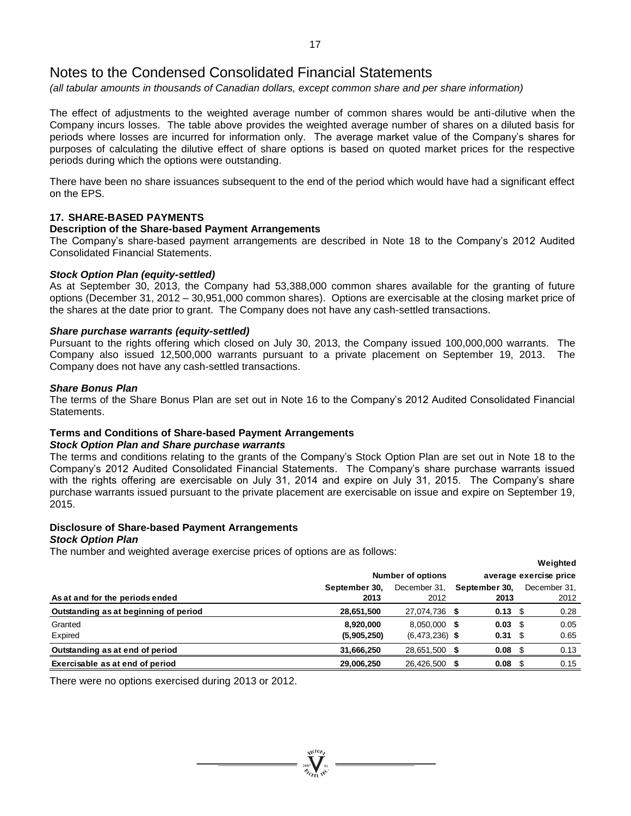*(all tabular amounts in thousands of Canadian dollars, except common share and per share information)*

The effect of adjustments to the weighted average number of common shares would be anti-dilutive when the Company incurs losses. The table above provides the weighted average number of shares on a diluted basis for periods where losses are incurred for information only. The average market value of the Company's shares for purposes of calculating the dilutive effect of share options is based on quoted market prices for the respective periods during which the options were outstanding.

There have been no share issuances subsequent to the end of the period which would have had a significant effect on the EPS.

# **17. SHARE-BASED PAYMENTS**

#### **Description of the Share-based Payment Arrangements**

The Company's share-based payment arrangements are described in Note 18 to the Company's 2012 Audited Consolidated Financial Statements.

# *Stock Option Plan (equity-settled)*

As at September 30, 2013, the Company had 53,388,000 common shares available for the granting of future options (December 31, 2012 – 30,951,000 common shares). Options are exercisable at the closing market price of the shares at the date prior to grant. The Company does not have any cash-settled transactions.

# *Share purchase warrants (equity-settled)*

Pursuant to the rights offering which closed on July 30, 2013, the Company issued 100,000,000 warrants. The Company also issued 12,500,000 warrants pursuant to a private placement on September 19, 2013. The Company does not have any cash-settled transactions.

#### *Share Bonus Plan*

The terms of the Share Bonus Plan are set out in Note 16 to the Company's 2012 Audited Consolidated Financial Statements.

# **Terms and Conditions of Share-based Payment Arrangements**

#### *Stock Option Plan and Share purchase warrants*

The terms and conditions relating to the grants of the Company's Stock Option Plan are set out in Note 18 to the Company's 2012 Audited Consolidated Financial Statements. The Company's share purchase warrants issued with the rights offering are exercisable on July 31, 2014 and expire on July 31, 2015. The Company's share purchase warrants issued pursuant to the private placement are exercisable on issue and expire on September 19, 2015.

# **Disclosure of Share-based Payment Arrangements**

# *Stock Option Plan*

The number and weighted average exercise prices of options are as follows:

|                                       |               |                          |                        | weighted     |  |  |  |
|---------------------------------------|---------------|--------------------------|------------------------|--------------|--|--|--|
|                                       |               | <b>Number of options</b> | average exercise price |              |  |  |  |
|                                       | September 30. | December 31.             | September 30,          | December 31, |  |  |  |
| As at and for the periods ended       | 2013          | 2012                     | 2013                   | 2012         |  |  |  |
| Outstanding as at beginning of period | 28,651,500    | 27,074,736               | $0.13$ \$              | 0.28         |  |  |  |
| Granted                               | 8,920,000     | 8.050.000                | 0.03                   | 0.05<br>- 35 |  |  |  |
| Expired                               | (5,905,250)   | $(6,473,236)$ \$         | 0.31                   | 0.65<br>- \$ |  |  |  |
| Outstanding as at end of period       | 31,666,250    | 28.651.500               | 0.08                   | 0.13         |  |  |  |
| Exercisable as at end of period       | 29,006,250    | 26,426,500               | 0.08                   | 0.15         |  |  |  |

**Weighted**

There were no options exercised during 2013 or 2012.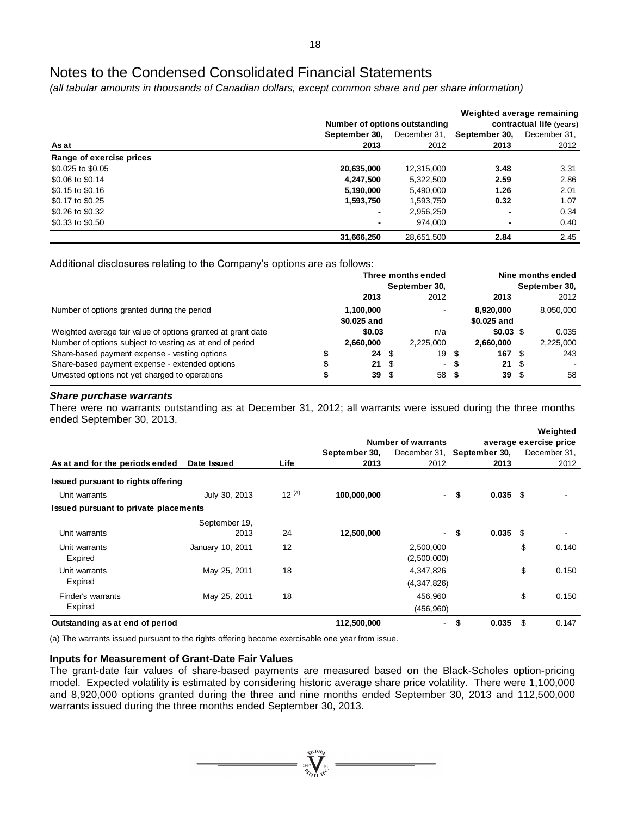*(all tabular amounts in thousands of Canadian dollars, except common share and per share information)*

|                          | Number of options outstanding | Weighted average remaining<br>contractual life (years) |                          |              |  |
|--------------------------|-------------------------------|--------------------------------------------------------|--------------------------|--------------|--|
|                          | September 30.                 | December 31,                                           | September 30,            | December 31, |  |
| As at                    | 2013                          | 2012                                                   | 2013                     | 2012         |  |
| Range of exercise prices |                               |                                                        |                          |              |  |
| \$0.025 to \$0.05        | 20,635,000                    | 12.315.000                                             | 3.48                     | 3.31         |  |
| \$0.06 to \$0.14         | 4,247,500                     | 5,322,500                                              | 2.59                     | 2.86         |  |
| \$0.15 to \$0.16         | 5,190,000                     | 5.490.000                                              | 1.26                     | 2.01         |  |
| \$0.17 to \$0.25         | 1,593,750                     | 1.593.750                                              | 0.32                     | 1.07         |  |
| \$0.26 to \$0.32         | -                             | 2,956,250                                              | $\overline{\phantom{0}}$ | 0.34         |  |
| \$0.33 to \$0.50         | -                             | 974.000                                                | ۰                        | 0.40         |  |
|                          | 31,666,250                    | 28,651,500                                             | 2.84                     | 2.45         |  |

Additional disclosures relating to the Company's options are as follows:

|                                                                                                                          |                          | Three months ended<br>September 30, |                      | Nine months ended<br>September 30, |                          |              |                    |
|--------------------------------------------------------------------------------------------------------------------------|--------------------------|-------------------------------------|----------------------|------------------------------------|--------------------------|--------------|--------------------|
|                                                                                                                          | 2013                     |                                     | 2012                 |                                    | 2013                     |              | 2012               |
| Number of options granted during the period                                                                              | 1.100.000<br>\$0.025 and |                                     |                      |                                    | 8.920.000<br>\$0.025 and |              | 8,050,000          |
| Weighted average fair value of options granted at grant date<br>Number of options subject to vesting as at end of period | \$0.03<br>2,660,000      |                                     | n/a<br>2.225,000     |                                    | \$0.03\$<br>2,660,000    |              | 0.035<br>2,225,000 |
| Share-based payment expense - vesting options<br>Share-based payment expense - extended options                          | 24<br>21                 | \$<br>-\$                           | 19<br>$\blacksquare$ | \$<br>- 55                         | 167<br>21                | - \$<br>- \$ | 243                |
| Unvested options not yet charged to operations                                                                           | 39                       | \$                                  | 58                   | - 5                                | 39                       | - \$         | 58                 |

#### *Share purchase warrants*

There were no warrants outstanding as at December 31, 2012; all warrants were issued during the three months ended September 30, 2013.

|                                       |            |               |             |                           |                                                   |               | Weighted     |  |
|---------------------------------------|------------|---------------|-------------|---------------------------|---------------------------------------------------|---------------|--------------|--|
|                                       |            |               |             | average exercise price    |                                                   |               |              |  |
|                                       |            | September 30, |             |                           |                                                   |               | December 31, |  |
| Date Issued                           | Life       | 2013          | 2012        |                           | 2013                                              |               | 2012         |  |
| Issued pursuant to rights offering    |            |               |             |                           |                                                   |               |              |  |
| July 30, 2013                         | $12^{(a)}$ | 100,000,000   |             |                           |                                                   |               |              |  |
| Issued pursuant to private placements |            |               |             |                           |                                                   |               |              |  |
| September 19,                         |            |               |             |                           |                                                   |               |              |  |
| 2013                                  | 24         | 12,500,000    | ۰           | \$                        | 0.035                                             | -\$           |              |  |
| January 10, 2011                      | 12         |               | 2,500,000   |                           |                                                   | \$            | 0.140        |  |
|                                       |            |               |             |                           |                                                   |               |              |  |
| May 25, 2011                          | 18         |               | 4,347,826   |                           |                                                   | \$            | 0.150        |  |
|                                       |            |               | (4,347,826) |                           |                                                   |               |              |  |
| May 25, 2011                          | 18         |               | 456,960     |                           |                                                   | \$            | 0.150        |  |
|                                       |            |               |             |                           |                                                   |               |              |  |
|                                       |            | 112,500,000   | ۰           | \$                        | 0.035                                             | \$            | 0.147        |  |
|                                       |            |               |             | <b>Number of warrants</b> | December 31,<br>- \$<br>(2,500,000)<br>(456, 960) | September 30, | $0.035$ \$   |  |

(a) The warrants issued pursuant to the rights offering become exercisable one year from issue.

# **Inputs for Measurement of Grant-Date Fair Values**

The grant-date fair values of share-based payments are measured based on the Black-Scholes option-pricing model. Expected volatility is estimated by considering historic average share price volatility. There were 1,100,000 and 8,920,000 options granted during the three and nine months ended September 30, 2013 and 112,500,000 warrants issued during the three months ended September 30, 2013.

 $\sum_{2007}$  Well We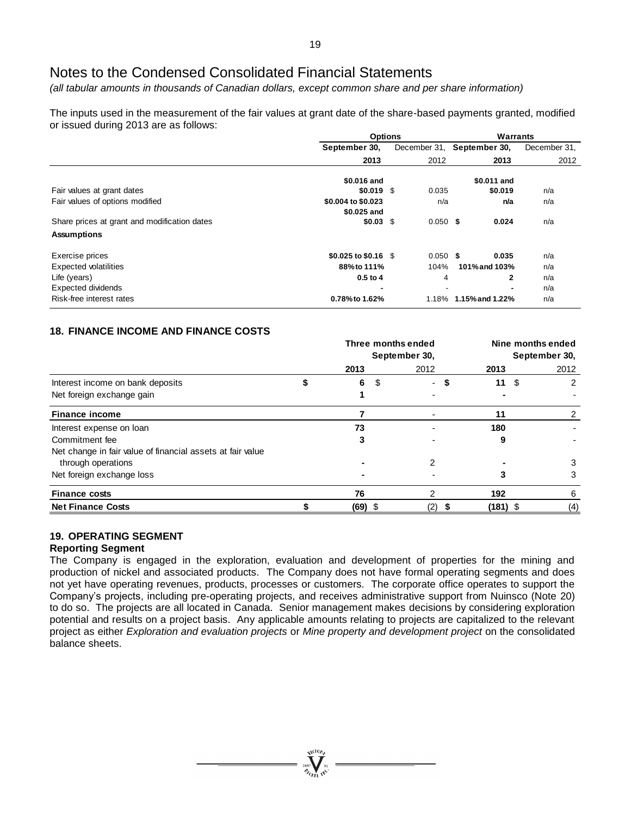*(all tabular amounts in thousands of Canadian dollars, except common share and per share information)*

The inputs used in the measurement of the fair values at grant date of the share-based payments granted, modified or issued during 2013 are as follows:

|                                              | <b>Options</b>       |              | Warrants              |              |  |  |
|----------------------------------------------|----------------------|--------------|-----------------------|--------------|--|--|
|                                              | September 30,        | December 31, | September 30,         | December 31, |  |  |
|                                              | 2013                 | 2012         | 2013                  | 2012         |  |  |
|                                              | \$0.016 and          |              | \$0.011 and           |              |  |  |
| Fair values at grant dates                   | $$0.019$ \$          | 0.035        | \$0.019               | n/a          |  |  |
| Fair values of options modified              | \$0.004 to \$0.023   | n/a          | n/a                   | n/a          |  |  |
|                                              | \$0.025 and          |              |                       |              |  |  |
| Share prices at grant and modification dates | $$0.03$$ \$          | $0.050$ \$   | 0.024                 | n/a          |  |  |
| <b>Assumptions</b>                           |                      |              |                       |              |  |  |
| Exercise prices                              | \$0.025 to \$0.16 \$ | $0.050$ \$   | 0.035                 | n/a          |  |  |
| <b>Expected volatilities</b>                 | 88% to 111%          | 104%         | 101% and 103%         | n/a          |  |  |
| Life (years)                                 | $0.5$ to $4$         | 4            | 2                     | n/a          |  |  |
| <b>Expected dividends</b>                    |                      |              |                       | n/a          |  |  |
| Risk-free interest rates                     | 0.78% to 1.62%       |              | 1.18% 1.15% and 1.22% | n/a          |  |  |

# **18. FINANCE INCOME AND FINANCE COSTS**

|                                                            | Three months ended<br>September 30, |    |      |   | Nine months ended<br>September 30, |     |      |  |
|------------------------------------------------------------|-------------------------------------|----|------|---|------------------------------------|-----|------|--|
|                                                            | 2013                                |    | 2012 |   | 2013                               |     | 2012 |  |
| Interest income on bank deposits                           | 6                                   | \$ | -    | S | 11                                 | -\$ |      |  |
| Net foreign exchange gain                                  |                                     |    |      |   |                                    |     |      |  |
| <b>Finance income</b>                                      |                                     |    |      |   | 11                                 |     |      |  |
| Interest expense on loan                                   | 73                                  |    |      |   | 180                                |     |      |  |
| Commitment fee                                             |                                     |    |      |   |                                    |     |      |  |
| Net change in fair value of financial assets at fair value |                                     |    |      |   |                                    |     |      |  |
| through operations                                         |                                     |    |      |   |                                    |     |      |  |
| Net foreign exchange loss                                  |                                     |    |      |   |                                    |     | 3    |  |
| <b>Finance costs</b>                                       | 76                                  |    |      |   | 192                                |     | 6    |  |
| <b>Net Finance Costs</b>                                   | $(69)$ \$                           |    | (2)  |   | $(181)$ \$                         |     | (4)  |  |

# **19. OPERATING SEGMENT**

# **Reporting Segment**

The Company is engaged in the exploration, evaluation and development of properties for the mining and production of nickel and associated products. The Company does not have formal operating segments and does not yet have operating revenues, products, processes or customers. The corporate office operates to support the Company's projects, including pre-operating projects, and receives administrative support from Nuinsco (Note 20) to do so. The projects are all located in Canada. Senior management makes decisions by considering exploration potential and results on a project basis. Any applicable amounts relating to projects are capitalized to the relevant project as either *Exploration and evaluation projects* or *Mine property and development project* on the consolidated balance sheets.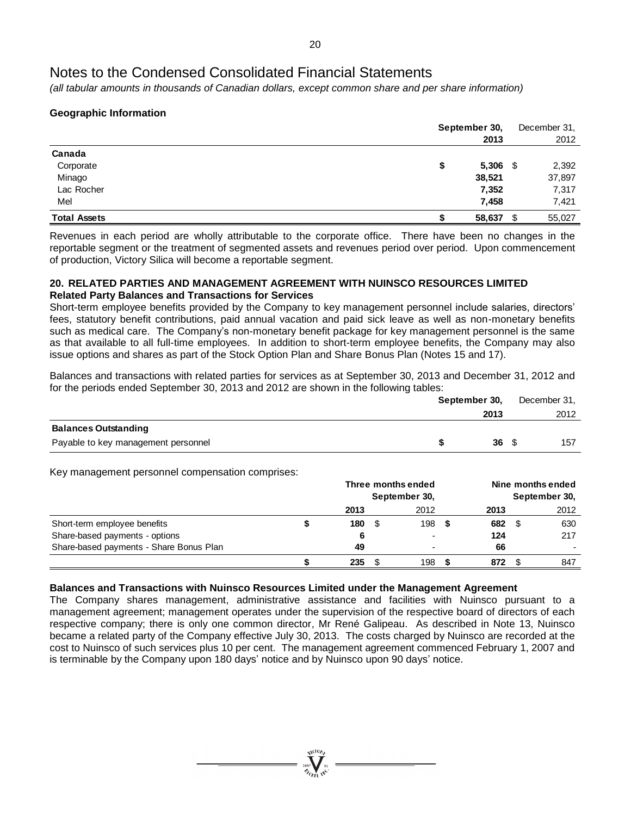*(all tabular amounts in thousands of Canadian dollars, except common share and per share information)*

# **Geographic Information**

| September 30, |               |  |
|---------------|---------------|--|
| 2013          | 2012          |  |
|               |               |  |
| S             | 2,392<br>- \$ |  |
| 38,521        | 37,897        |  |
| 7,352         | 7,317         |  |
| 7,458         | 7,421         |  |
| 58,637        | \$<br>55,027  |  |
|               | 5,306         |  |

Revenues in each period are wholly attributable to the corporate office. There have been no changes in the reportable segment or the treatment of segmented assets and revenues period over period. Upon commencement of production, Victory Silica will become a reportable segment.

# **20. RELATED PARTIES AND MANAGEMENT AGREEMENT WITH NUINSCO RESOURCES LIMITED Related Party Balances and Transactions for Services**

Short-term employee benefits provided by the Company to key management personnel include salaries, directors' fees, statutory benefit contributions, paid annual vacation and paid sick leave as well as non-monetary benefits such as medical care. The Company's non-monetary benefit package for key management personnel is the same as that available to all full-time employees. In addition to short-term employee benefits, the Company may also issue options and shares as part of the Stock Option Plan and Share Bonus Plan (Notes 15 and 17).

Balances and transactions with related parties for services as at September 30, 2013 and December 31, 2012 and for the periods ended September 30, 2013 and 2012 are shown in the following tables:

|                                     | September 30, |      |  | December 31, |
|-------------------------------------|---------------|------|--|--------------|
|                                     |               | 2013 |  | 2012         |
| <b>Balances Outstanding</b>         |               |      |  |              |
| Payable to key management personnel |               | 36S  |  | 157          |

Key management personnel compensation comprises:

|                                         | Three months ended<br>September 30, |  |                |  | Nine months ended<br>September 30, |      |      |  |
|-----------------------------------------|-------------------------------------|--|----------------|--|------------------------------------|------|------|--|
|                                         | 2013                                |  | 2012           |  | 2013                               |      | 2012 |  |
| Short-term employee benefits            | 180                                 |  | 198            |  | 682                                | - \$ | 630  |  |
| Share-based payments - options          | 6                                   |  | $\blacksquare$ |  | 124                                |      | 217  |  |
| Share-based payments - Share Bonus Plan | 49                                  |  |                |  | 66                                 |      |      |  |
|                                         | 235                                 |  | 198            |  | 872                                |      | 847  |  |

# **Balances and Transactions with Nuinsco Resources Limited under the Management Agreement**

The Company shares management, administrative assistance and facilities with Nuinsco pursuant to a management agreement; management operates under the supervision of the respective board of directors of each respective company; there is only one common director, Mr René Galipeau. As described in Note 13, Nuinsco became a related party of the Company effective July 30, 2013. The costs charged by Nuinsco are recorded at the cost to Nuinsco of such services plus 10 per cent. The management agreement commenced February 1, 2007 and is terminable by the Company upon 180 days' notice and by Nuinsco upon 90 days' notice.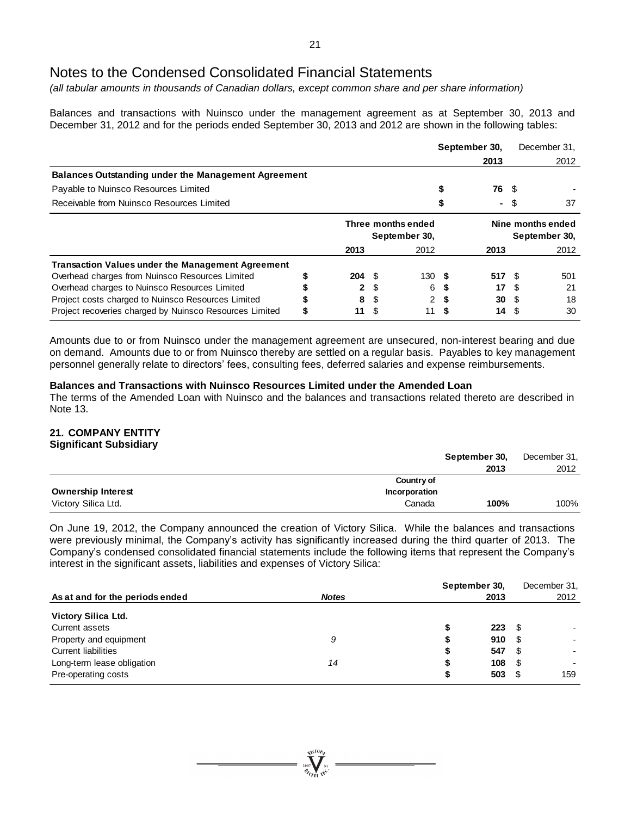*(all tabular amounts in thousands of Canadian dollars, except common share and per share information)*

Balances and transactions with Nuinsco under the management agreement as at September 30, 2013 and December 31, 2012 and for the periods ended September 30, 2013 and 2012 are shown in the following tables:

|                                                            |                                     |   |                | September 30, |                                    |      | December 31. |
|------------------------------------------------------------|-------------------------------------|---|----------------|---------------|------------------------------------|------|--------------|
|                                                            |                                     |   |                |               | 2013                               |      | 2012         |
| <b>Balances Outstanding under the Management Agreement</b> |                                     |   |                |               |                                    |      |              |
| Payable to Nuinsco Resources Limited                       |                                     |   |                |               | 76                                 | - \$ |              |
| Receivable from Nuinsco Resources Limited                  |                                     |   |                |               | $\blacksquare$                     | S    | 37           |
|                                                            | Three months ended<br>September 30, |   |                |               | Nine months ended<br>September 30, |      |              |
|                                                            | 2013                                |   | 2012           |               | 2013                               |      | 2012         |
| <b>Transaction Values under the Management Agreement</b>   |                                     |   |                |               |                                    |      |              |
| Overhead charges from Nuinsco Resources Limited            | $204 \tS$                           |   | 130S           |               | 517S                               |      | 501          |
| Overhead charges to Nuinsco Resources Limited              | $\mathbf{2}$                        | S | 6              |               | 17                                 |      | 21           |
| Project costs charged to Nuinsco Resources Limited         | 8                                   | S | $\overline{2}$ | S             | 30                                 | - \$ | 18           |
| Project recoveries charged by Nuinsco Resources Limited    | \$<br>11                            |   | 11             |               | 14                                 |      | 30           |

Amounts due to or from Nuinsco under the management agreement are unsecured, non-interest bearing and due on demand. Amounts due to or from Nuinsco thereby are settled on a regular basis. Payables to key management personnel generally relate to directors' fees, consulting fees, deferred salaries and expense reimbursements.

# **Balances and Transactions with Nuinsco Resources Limited under the Amended Loan**

The terms of the Amended Loan with Nuinsco and the balances and transactions related thereto are described in Note 13.

# **21. COMPANY ENTITY Significant Subsidiary**

|                           |               | September 30, | December 31, |
|---------------------------|---------------|---------------|--------------|
|                           |               | 2013          | 2012         |
|                           | Country of    |               |              |
| <b>Ownership Interest</b> | Incorporation |               |              |
| Victory Silica Ltd.       | Canada        | 100%          | 100%         |

On June 19, 2012, the Company announced the creation of Victory Silica. While the balances and transactions were previously minimal, the Company's activity has significantly increased during the third quarter of 2013. The Company's condensed consolidated financial statements include the following items that represent the Company's interest in the significant assets, liabilities and expenses of Victory Silica:

|                                 |              | September 30, | December 31, |      |      |
|---------------------------------|--------------|---------------|--------------|------|------|
| As at and for the periods ended | <b>Notes</b> |               | 2013         |      | 2012 |
| <b>Victory Silica Ltd.</b>      |              |               |              |      |      |
| Current assets                  |              | S             | 223          | -SS  |      |
| Property and equipment          | 9            | จ             | 910          | \$   |      |
| <b>Current liabilities</b>      |              | \$            | 547          | - \$ |      |
| Long-term lease obligation      | 14           | S             | 108          | \$   |      |
| Pre-operating costs             |              | \$            | $503 \t{S}$  |      | 159  |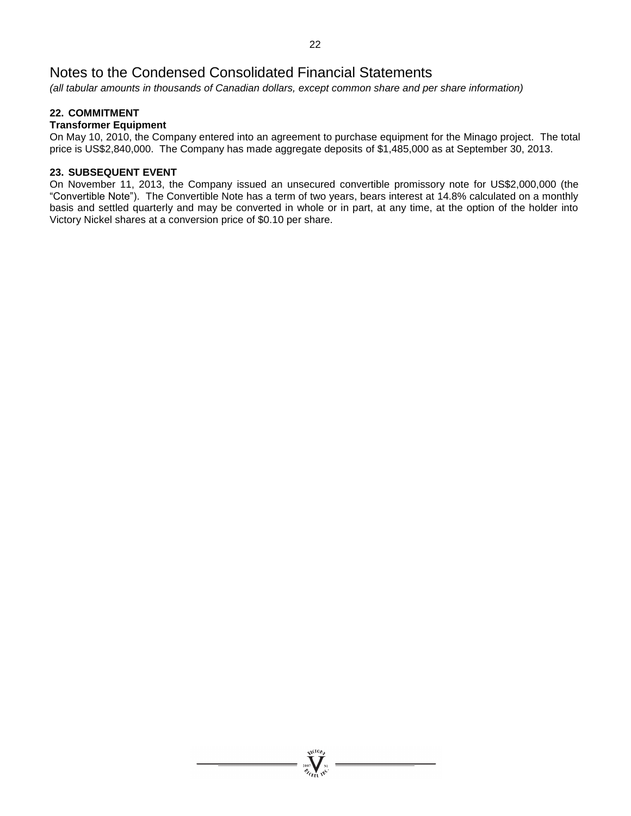*(all tabular amounts in thousands of Canadian dollars, except common share and per share information)*

# **22. COMMITMENT**

# **Transformer Equipment**

On May 10, 2010, the Company entered into an agreement to purchase equipment for the Minago project. The total price is US\$2,840,000. The Company has made aggregate deposits of \$1,485,000 as at September 30, 2013.

# **23. SUBSEQUENT EVENT**

On November 11, 2013, the Company issued an unsecured convertible promissory note for US\$2,000,000 (the "Convertible Note"). The Convertible Note has a term of two years, bears interest at 14.8% calculated on a monthly basis and settled quarterly and may be converted in whole or in part, at any time, at the option of the holder into Victory Nickel shares at a conversion price of \$0.10 per share.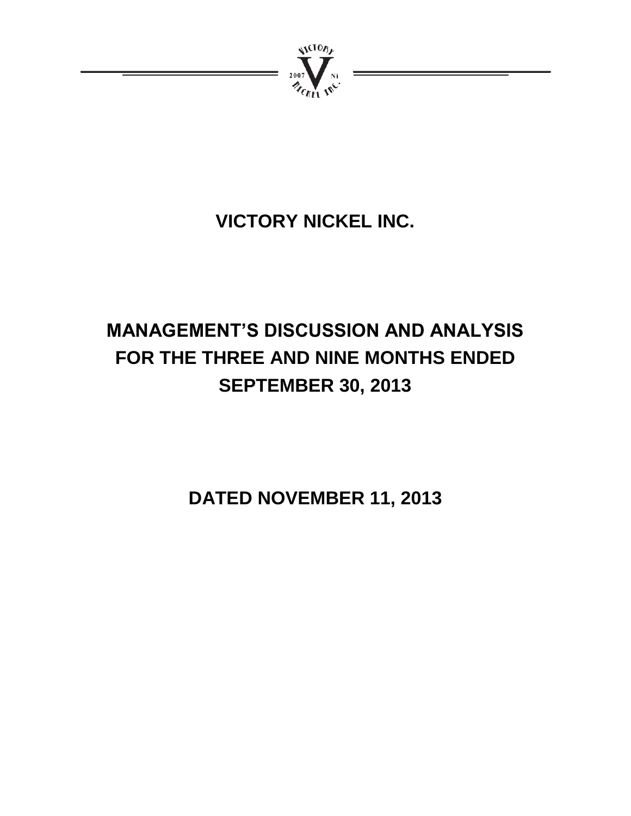

# **VICTORY NICKEL INC.**

# **MANAGEMENT'S DISCUSSION AND ANALYSIS FOR THE THREE AND NINE MONTHS ENDED SEPTEMBER 30, 2013**

**DATED NOVEMBER 11, 2013**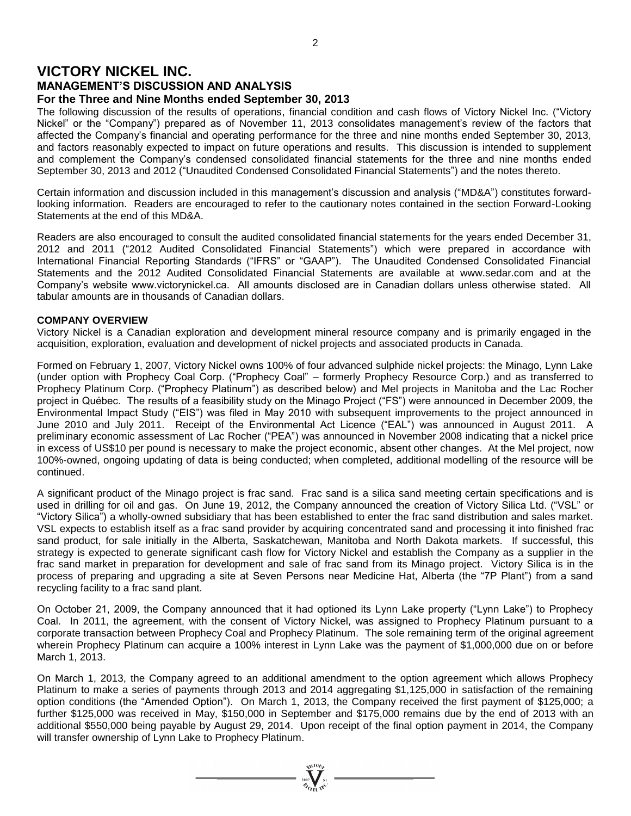# **VICTORY NICKEL INC.**

# **MANAGEMENT'S DISCUSSION AND ANALYSIS For the Three and Nine Months ended September 30, 2013**

The following discussion of the results of operations, financial condition and cash flows of Victory Nickel Inc. ("Victory Nickel" or the "Company") prepared as of November 11, 2013 consolidates management's review of the factors that affected the Company's financial and operating performance for the three and nine months ended September 30, 2013, and factors reasonably expected to impact on future operations and results. This discussion is intended to supplement and complement the Company's condensed consolidated financial statements for the three and nine months ended September 30, 2013 and 2012 ("Unaudited Condensed Consolidated Financial Statements") and the notes thereto.

Certain information and discussion included in this management's discussion and analysis ("MD&A") constitutes forwardlooking information. Readers are encouraged to refer to the cautionary notes contained in the section Forward-Looking Statements at the end of this MD&A.

Readers are also encouraged to consult the audited consolidated financial statements for the years ended December 31, 2012 and 2011 ("2012 Audited Consolidated Financial Statements") which were prepared in accordance with International Financial Reporting Standards ("IFRS" or "GAAP"). The Unaudited Condensed Consolidated Financial Statements and the 2012 Audited Consolidated Financial Statements are available at www.sedar.com and at the Company's website www.victorynickel.ca. All amounts disclosed are in Canadian dollars unless otherwise stated. All tabular amounts are in thousands of Canadian dollars.

# **COMPANY OVERVIEW**

Victory Nickel is a Canadian exploration and development mineral resource company and is primarily engaged in the acquisition, exploration, evaluation and development of nickel projects and associated products in Canada.

Formed on February 1, 2007, Victory Nickel owns 100% of four advanced sulphide nickel projects: the Minago, Lynn Lake (under option with Prophecy Coal Corp. ("Prophecy Coal" – formerly Prophecy Resource Corp.) and as transferred to Prophecy Platinum Corp. ("Prophecy Platinum") as described below) and Mel projects in Manitoba and the Lac Rocher project in Québec. The results of a feasibility study on the Minago Project ("FS") were announced in December 2009, the Environmental Impact Study ("EIS") was filed in May 2010 with subsequent improvements to the project announced in June 2010 and July 2011. Receipt of the Environmental Act Licence ("EAL") was announced in August 2011. A preliminary economic assessment of Lac Rocher ("PEA") was announced in November 2008 indicating that a nickel price in excess of US\$10 per pound is necessary to make the project economic, absent other changes. At the Mel project, now 100%-owned, ongoing updating of data is being conducted; when completed, additional modelling of the resource will be continued.

A significant product of the Minago project is frac sand. Frac sand is a silica sand meeting certain specifications and is used in drilling for oil and gas. On June 19, 2012, the Company announced the creation of Victory Silica Ltd. ("VSL" or "Victory Silica") a wholly-owned subsidiary that has been established to enter the frac sand distribution and sales market. VSL expects to establish itself as a frac sand provider by acquiring concentrated sand and processing it into finished frac sand product, for sale initially in the Alberta, Saskatchewan, Manitoba and North Dakota markets. If successful, this strategy is expected to generate significant cash flow for Victory Nickel and establish the Company as a supplier in the frac sand market in preparation for development and sale of frac sand from its Minago project. Victory Silica is in the process of preparing and upgrading a site at Seven Persons near Medicine Hat, Alberta (the "7P Plant") from a sand recycling facility to a frac sand plant.

On October 21, 2009, the Company announced that it had optioned its Lynn Lake property ("Lynn Lake") to Prophecy Coal. In 2011, the agreement, with the consent of Victory Nickel, was assigned to Prophecy Platinum pursuant to a corporate transaction between Prophecy Coal and Prophecy Platinum. The sole remaining term of the original agreement wherein Prophecy Platinum can acquire a 100% interest in Lynn Lake was the payment of \$1,000,000 due on or before March 1, 2013.

On March 1, 2013, the Company agreed to an additional amendment to the option agreement which allows Prophecy Platinum to make a series of payments through 2013 and 2014 aggregating \$1,125,000 in satisfaction of the remaining option conditions (the "Amended Option"). On March 1, 2013, the Company received the first payment of \$125,000; a further \$125,000 was received in May, \$150,000 in September and \$175,000 remains due by the end of 2013 with an additional \$550,000 being payable by August 29, 2014. Upon receipt of the final option payment in 2014, the Company will transfer ownership of Lynn Lake to Prophecy Platinum.

 $\overbrace{\mathscr{E}_{\mathscr{C}_{\mathscr{C}_{\mathscr{C}_{\mathscr{C}}},\mathscr{C}_{\mathscr{C}}}}^{\mathscr{C}_{\mathscr{C}_{\mathscr{C}_{\mathscr{C}}}}}}$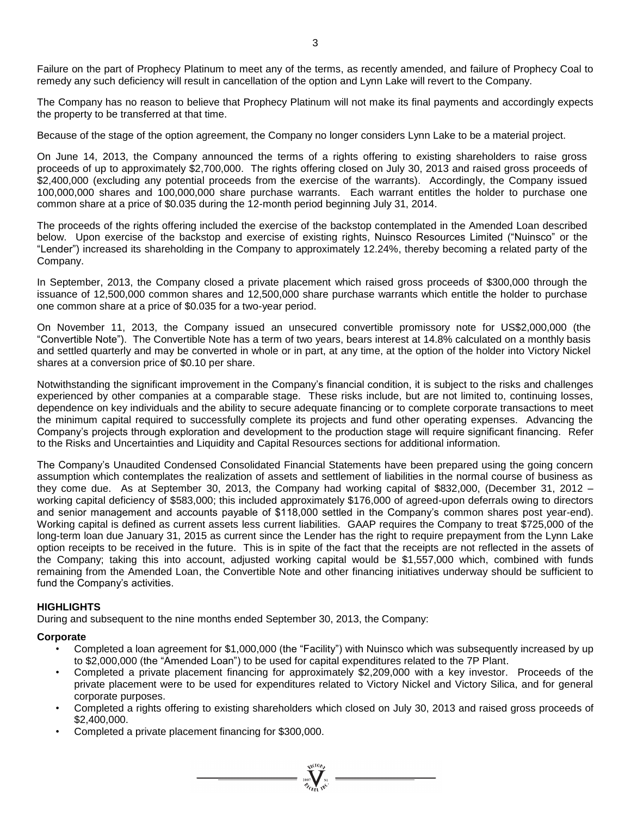Failure on the part of Prophecy Platinum to meet any of the terms, as recently amended, and failure of Prophecy Coal to remedy any such deficiency will result in cancellation of the option and Lynn Lake will revert to the Company.

The Company has no reason to believe that Prophecy Platinum will not make its final payments and accordingly expects the property to be transferred at that time.

Because of the stage of the option agreement, the Company no longer considers Lynn Lake to be a material project.

On June 14, 2013, the Company announced the terms of a rights offering to existing shareholders to raise gross proceeds of up to approximately \$2,700,000. The rights offering closed on July 30, 2013 and raised gross proceeds of \$2,400,000 (excluding any potential proceeds from the exercise of the warrants). Accordingly, the Company issued 100,000,000 shares and 100,000,000 share purchase warrants. Each warrant entitles the holder to purchase one common share at a price of \$0.035 during the 12-month period beginning July 31, 2014.

The proceeds of the rights offering included the exercise of the backstop contemplated in the Amended Loan described below. Upon exercise of the backstop and exercise of existing rights, Nuinsco Resources Limited ("Nuinsco" or the "Lender") increased its shareholding in the Company to approximately 12.24%, thereby becoming a related party of the Company.

In September, 2013, the Company closed a private placement which raised gross proceeds of \$300,000 through the issuance of 12,500,000 common shares and 12,500,000 share purchase warrants which entitle the holder to purchase one common share at a price of \$0.035 for a two-year period.

On November 11, 2013, the Company issued an unsecured convertible promissory note for US\$2,000,000 (the "Convertible Note"). The Convertible Note has a term of two years, bears interest at 14.8% calculated on a monthly basis and settled quarterly and may be converted in whole or in part, at any time, at the option of the holder into Victory Nickel shares at a conversion price of \$0.10 per share.

Notwithstanding the significant improvement in the Company's financial condition, it is subject to the risks and challenges experienced by other companies at a comparable stage. These risks include, but are not limited to, continuing losses, dependence on key individuals and the ability to secure adequate financing or to complete corporate transactions to meet the minimum capital required to successfully complete its projects and fund other operating expenses. Advancing the Company's projects through exploration and development to the production stage will require significant financing. Refer to the Risks and Uncertainties and Liquidity and Capital Resources sections for additional information.

The Company's Unaudited Condensed Consolidated Financial Statements have been prepared using the going concern assumption which contemplates the realization of assets and settlement of liabilities in the normal course of business as they come due. As at September 30, 2013, the Company had working capital of \$832,000, (December 31, 2012 – working capital deficiency of \$583,000; this included approximately \$176,000 of agreed-upon deferrals owing to directors and senior management and accounts payable of \$118,000 settled in the Company's common shares post year-end). Working capital is defined as current assets less current liabilities. GAAP requires the Company to treat \$725,000 of the long-term loan due January 31, 2015 as current since the Lender has the right to require prepayment from the Lynn Lake option receipts to be received in the future. This is in spite of the fact that the receipts are not reflected in the assets of the Company; taking this into account, adjusted working capital would be \$1,557,000 which, combined with funds remaining from the Amended Loan, the Convertible Note and other financing initiatives underway should be sufficient to fund the Company's activities.

# **HIGHLIGHTS**

During and subsequent to the nine months ended September 30, 2013, the Company:

# **Corporate**

- Completed a loan agreement for \$1,000,000 (the "Facility") with Nuinsco which was subsequently increased by up to \$2,000,000 (the "Amended Loan") to be used for capital expenditures related to the 7P Plant.
- Completed a private placement financing for approximately \$2,209,000 with a key investor. Proceeds of the private placement were to be used for expenditures related to Victory Nickel and Victory Silica, and for general corporate purposes.
- Completed a rights offering to existing shareholders which closed on July 30, 2013 and raised gross proceeds of \$2,400,000.

 $\sum_{\substack{i=0\\i\neq j}}^{\text{NUD}}$ 

• Completed a private placement financing for \$300,000.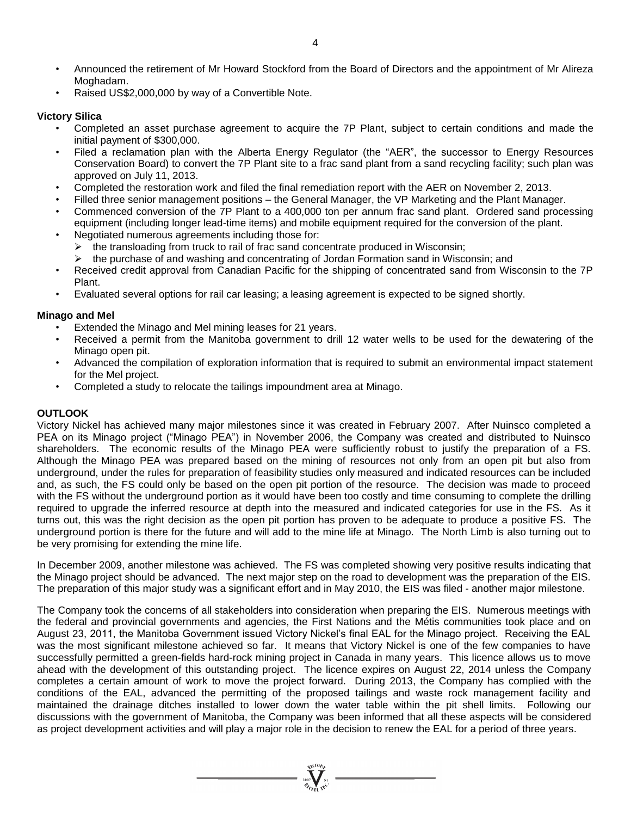- Announced the retirement of Mr Howard Stockford from the Board of Directors and the appointment of Mr Alireza Moghadam.
- Raised US\$2,000,000 by way of a Convertible Note.

# **Victory Silica**

- Completed an asset purchase agreement to acquire the 7P Plant, subject to certain conditions and made the initial payment of \$300,000.
- Filed a reclamation plan with the Alberta Energy Regulator (the "AER", the successor to Energy Resources Conservation Board) to convert the 7P Plant site to a frac sand plant from a sand recycling facility; such plan was approved on July 11, 2013.
- Completed the restoration work and filed the final remediation report with the AER on November 2, 2013.
- Filled three senior management positions the General Manager, the VP Marketing and the Plant Manager.
- Commenced conversion of the 7P Plant to a 400,000 ton per annum frac sand plant. Ordered sand processing equipment (including longer lead-time items) and mobile equipment required for the conversion of the plant.
- Negotiated numerous agreements including those for:
	- $\triangleright$  the transloading from truck to rail of frac sand concentrate produced in Wisconsin;
	- the purchase of and washing and concentrating of Jordan Formation sand in Wisconsin; and
- Received credit approval from Canadian Pacific for the shipping of concentrated sand from Wisconsin to the 7P Plant.
- Evaluated several options for rail car leasing; a leasing agreement is expected to be signed shortly.

# **Minago and Mel**

- Extended the Minago and Mel mining leases for 21 years.
- Received a permit from the Manitoba government to drill 12 water wells to be used for the dewatering of the Minago open pit.
- Advanced the compilation of exploration information that is required to submit an environmental impact statement for the Mel project.
- Completed a study to relocate the tailings impoundment area at Minago.

# **OUTLOOK**

Victory Nickel has achieved many major milestones since it was created in February 2007. After Nuinsco completed a PEA on its Minago project ("Minago PEA") in November 2006, the Company was created and distributed to Nuinsco shareholders. The economic results of the Minago PEA were sufficiently robust to justify the preparation of a FS. Although the Minago PEA was prepared based on the mining of resources not only from an open pit but also from underground, under the rules for preparation of feasibility studies only measured and indicated resources can be included and, as such, the FS could only be based on the open pit portion of the resource. The decision was made to proceed with the FS without the underground portion as it would have been too costly and time consuming to complete the drilling required to upgrade the inferred resource at depth into the measured and indicated categories for use in the FS. As it turns out, this was the right decision as the open pit portion has proven to be adequate to produce a positive FS. The underground portion is there for the future and will add to the mine life at Minago. The North Limb is also turning out to be very promising for extending the mine life.

In December 2009, another milestone was achieved. The FS was completed showing very positive results indicating that the Minago project should be advanced. The next major step on the road to development was the preparation of the EIS. The preparation of this major study was a significant effort and in May 2010, the EIS was filed - another major milestone.

The Company took the concerns of all stakeholders into consideration when preparing the EIS. Numerous meetings with the federal and provincial governments and agencies, the First Nations and the Métis communities took place and on August 23, 2011, the Manitoba Government issued Victory Nickel's final EAL for the Minago project. Receiving the EAL was the most significant milestone achieved so far. It means that Victory Nickel is one of the few companies to have successfully permitted a green-fields hard-rock mining project in Canada in many years. This licence allows us to move ahead with the development of this outstanding project. The licence expires on August 22, 2014 unless the Company completes a certain amount of work to move the project forward. During 2013, the Company has complied with the conditions of the EAL, advanced the permitting of the proposed tailings and waste rock management facility and maintained the drainage ditches installed to lower down the water table within the pit shell limits. Following our discussions with the government of Manitoba, the Company was been informed that all these aspects will be considered as project development activities and will play a major role in the decision to renew the EAL for a period of three years.

 $\sum_{\substack{\text{2007}\ \text{V}\subset \text{F}\ \text{N}^{\text{N}}\\ \text{Z}_{\ell_{\ell+1}}\ \text{N}^{\text{C}}}}\frac{\text{Z}_{\text{N}}^{\text{N}}}{\text{Z}_{\ell_{\ell+1}}\ \text{N}^{\text{C}}}\ \text{Z}_{\text{N}}^{\text{N}}$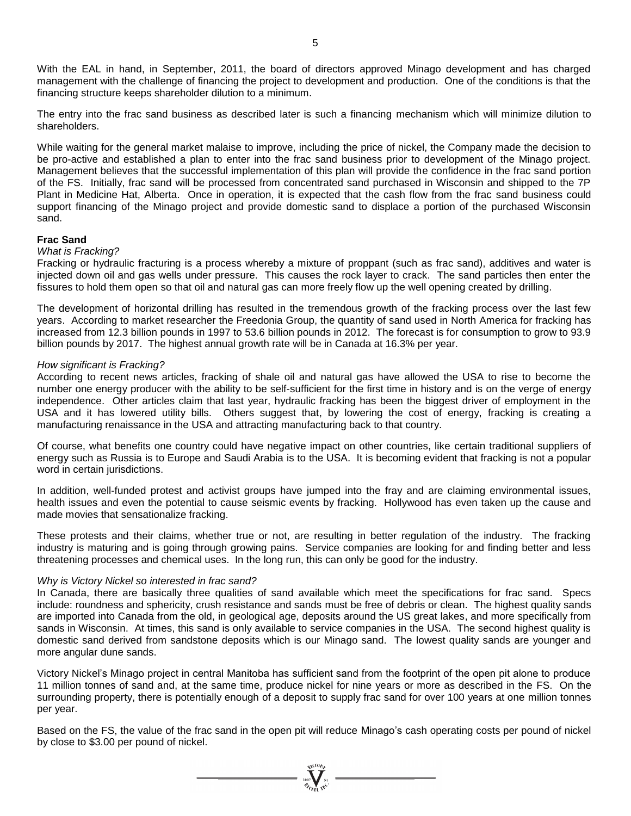With the EAL in hand, in September, 2011, the board of directors approved Minago development and has charged management with the challenge of financing the project to development and production. One of the conditions is that the financing structure keeps shareholder dilution to a minimum.

The entry into the frac sand business as described later is such a financing mechanism which will minimize dilution to shareholders.

While waiting for the general market malaise to improve, including the price of nickel, the Company made the decision to be pro-active and established a plan to enter into the frac sand business prior to development of the Minago project. Management believes that the successful implementation of this plan will provide the confidence in the frac sand portion of the FS. Initially, frac sand will be processed from concentrated sand purchased in Wisconsin and shipped to the 7P Plant in Medicine Hat, Alberta. Once in operation, it is expected that the cash flow from the frac sand business could support financing of the Minago project and provide domestic sand to displace a portion of the purchased Wisconsin sand.

#### **Frac Sand**

#### *What is Fracking?*

Fracking or hydraulic fracturing is a process whereby a mixture of proppant (such as frac sand), additives and water is injected down oil and gas wells under pressure. This causes the rock layer to crack. The sand particles then enter the fissures to hold them open so that oil and natural gas can more freely flow up the well opening created by drilling.

The development of horizontal drilling has resulted in the tremendous growth of the fracking process over the last few years. According to market researcher the Freedonia Group, the quantity of sand used in North America for fracking has increased from 12.3 billion pounds in 1997 to 53.6 billion pounds in 2012. The forecast is for consumption to grow to 93.9 billion pounds by 2017. The highest annual growth rate will be in Canada at 16.3% per year.

#### *How significant is Fracking?*

According to recent news articles, fracking of shale oil and natural gas have allowed the USA to rise to become the number one energy producer with the ability to be self-sufficient for the first time in history and is on the verge of energy independence. Other articles claim that last year, hydraulic fracking has been the biggest driver of employment in the USA and it has lowered utility bills. Others suggest that, by lowering the cost of energy, fracking is creating a manufacturing renaissance in the USA and attracting manufacturing back to that country.

Of course, what benefits one country could have negative impact on other countries, like certain traditional suppliers of energy such as Russia is to Europe and Saudi Arabia is to the USA. It is becoming evident that fracking is not a popular word in certain jurisdictions.

In addition, well-funded protest and activist groups have jumped into the fray and are claiming environmental issues, health issues and even the potential to cause seismic events by fracking. Hollywood has even taken up the cause and made movies that sensationalize fracking.

These protests and their claims, whether true or not, are resulting in better regulation of the industry. The fracking industry is maturing and is going through growing pains. Service companies are looking for and finding better and less threatening processes and chemical uses. In the long run, this can only be good for the industry.

#### *Why is Victory Nickel so interested in frac sand?*

In Canada, there are basically three qualities of sand available which meet the specifications for frac sand. Specs include: roundness and sphericity, crush resistance and sands must be free of debris or clean. The highest quality sands are imported into Canada from the old, in geological age, deposits around the US great lakes, and more specifically from sands in Wisconsin. At times, this sand is only available to service companies in the USA. The second highest quality is domestic sand derived from sandstone deposits which is our Minago sand. The lowest quality sands are younger and more angular dune sands.

Victory Nickel's Minago project in central Manitoba has sufficient sand from the footprint of the open pit alone to produce 11 million tonnes of sand and, at the same time, produce nickel for nine years or more as described in the FS. On the surrounding property, there is potentially enough of a deposit to supply frac sand for over 100 years at one million tonnes per year.

Based on the FS, the value of the frac sand in the open pit will reduce Minago's cash operating costs per pound of nickel by close to \$3.00 per pound of nickel.

 $\sum_{\substack{\text{2007} \\ \text{77}} \text{N}^{\text{NLOO}} \text{N}^{\text{N}}}$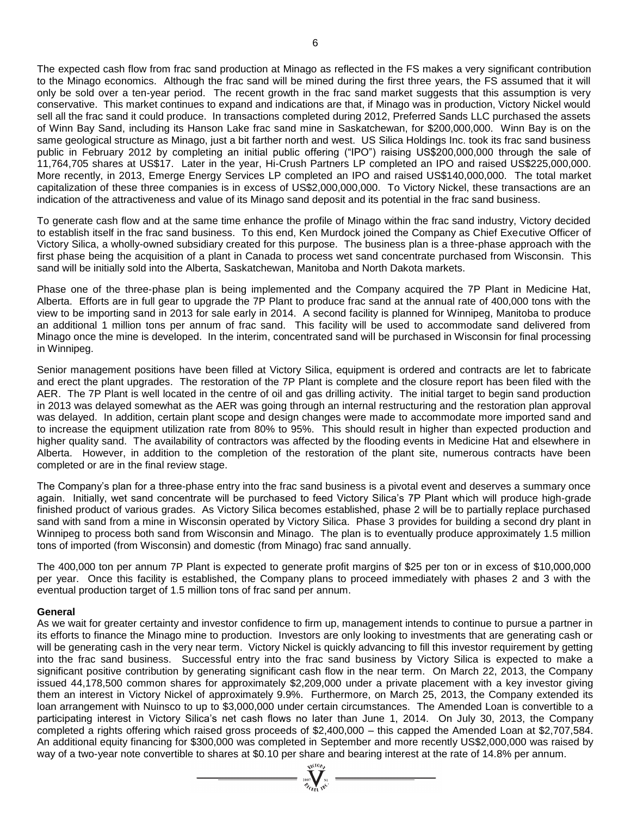The expected cash flow from frac sand production at Minago as reflected in the FS makes a very significant contribution to the Minago economics. Although the frac sand will be mined during the first three years, the FS assumed that it will only be sold over a ten-year period. The recent growth in the frac sand market suggests that this assumption is very conservative. This market continues to expand and indications are that, if Minago was in production, Victory Nickel would sell all the frac sand it could produce. In transactions completed during 2012, Preferred Sands LLC purchased the assets of Winn Bay Sand, including its Hanson Lake frac sand mine in Saskatchewan, for \$200,000,000. Winn Bay is on the same geological structure as Minago, just a bit farther north and west. US Silica Holdings Inc. took its frac sand business public in February 2012 by completing an initial public offering ("IPO") raising US\$200,000,000 through the sale of 11,764,705 shares at US\$17. Later in the year, Hi-Crush Partners LP completed an IPO and raised US\$225,000,000. More recently, in 2013, Emerge Energy Services LP completed an IPO and raised US\$140,000,000. The total market capitalization of these three companies is in excess of US\$2,000,000,000. To Victory Nickel, these transactions are an indication of the attractiveness and value of its Minago sand deposit and its potential in the frac sand business.

To generate cash flow and at the same time enhance the profile of Minago within the frac sand industry, Victory decided to establish itself in the frac sand business. To this end, Ken Murdock joined the Company as Chief Executive Officer of Victory Silica, a wholly-owned subsidiary created for this purpose. The business plan is a three-phase approach with the first phase being the acquisition of a plant in Canada to process wet sand concentrate purchased from Wisconsin. This sand will be initially sold into the Alberta, Saskatchewan, Manitoba and North Dakota markets.

Phase one of the three-phase plan is being implemented and the Company acquired the 7P Plant in Medicine Hat, Alberta. Efforts are in full gear to upgrade the 7P Plant to produce frac sand at the annual rate of 400,000 tons with the view to be importing sand in 2013 for sale early in 2014. A second facility is planned for Winnipeg, Manitoba to produce an additional 1 million tons per annum of frac sand. This facility will be used to accommodate sand delivered from Minago once the mine is developed. In the interim, concentrated sand will be purchased in Wisconsin for final processing in Winnipeg.

Senior management positions have been filled at Victory Silica, equipment is ordered and contracts are let to fabricate and erect the plant upgrades. The restoration of the 7P Plant is complete and the closure report has been filed with the AER. The 7P Plant is well located in the centre of oil and gas drilling activity. The initial target to begin sand production in 2013 was delayed somewhat as the AER was going through an internal restructuring and the restoration plan approval was delayed. In addition, certain plant scope and design changes were made to accommodate more imported sand and to increase the equipment utilization rate from 80% to 95%. This should result in higher than expected production and higher quality sand. The availability of contractors was affected by the flooding events in Medicine Hat and elsewhere in Alberta. However, in addition to the completion of the restoration of the plant site, numerous contracts have been completed or are in the final review stage.

The Company's plan for a three-phase entry into the frac sand business is a pivotal event and deserves a summary once again. Initially, wet sand concentrate will be purchased to feed Victory Silica's 7P Plant which will produce high-grade finished product of various grades. As Victory Silica becomes established, phase 2 will be to partially replace purchased sand with sand from a mine in Wisconsin operated by Victory Silica. Phase 3 provides for building a second dry plant in Winnipeg to process both sand from Wisconsin and Minago. The plan is to eventually produce approximately 1.5 million tons of imported (from Wisconsin) and domestic (from Minago) frac sand annually.

The 400,000 ton per annum 7P Plant is expected to generate profit margins of \$25 per ton or in excess of \$10,000,000 per year. Once this facility is established, the Company plans to proceed immediately with phases 2 and 3 with the eventual production target of 1.5 million tons of frac sand per annum.

# **General**

As we wait for greater certainty and investor confidence to firm up, management intends to continue to pursue a partner in its efforts to finance the Minago mine to production. Investors are only looking to investments that are generating cash or will be generating cash in the very near term. Victory Nickel is quickly advancing to fill this investor requirement by getting into the frac sand business. Successful entry into the frac sand business by Victory Silica is expected to make a significant positive contribution by generating significant cash flow in the near term. On March 22, 2013, the Company issued 44,178,500 common shares for approximately \$2,209,000 under a private placement with a key investor giving them an interest in Victory Nickel of approximately 9.9%. Furthermore, on March 25, 2013, the Company extended its loan arrangement with Nuinsco to up to \$3,000,000 under certain circumstances. The Amended Loan is convertible to a participating interest in Victory Silica's net cash flows no later than June 1, 2014. On July 30, 2013, the Company completed a rights offering which raised gross proceeds of \$2,400,000 – this capped the Amended Loan at \$2,707,584. An additional equity financing for \$300,000 was completed in September and more recently US\$2,000,000 was raised by way of a two-year note convertible to shares at \$0.10 per share and bearing interest at the rate of 14.8% per annum.<br> $\frac{1}{\sqrt[n]{\sum_{i=1}^{N} \sum_{j \in N}^{N} \sum_{j \in N}^{N}}$ 

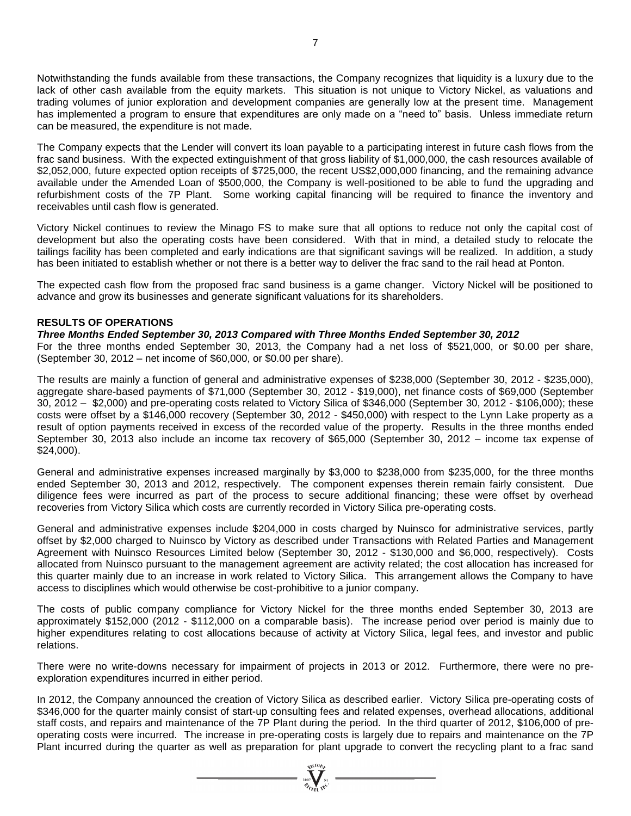Notwithstanding the funds available from these transactions, the Company recognizes that liquidity is a luxury due to the lack of other cash available from the equity markets. This situation is not unique to Victory Nickel, as valuations and trading volumes of junior exploration and development companies are generally low at the present time. Management has implemented a program to ensure that expenditures are only made on a "need to" basis. Unless immediate return can be measured, the expenditure is not made.

The Company expects that the Lender will convert its loan payable to a participating interest in future cash flows from the frac sand business. With the expected extinguishment of that gross liability of \$1,000,000, the cash resources available of \$2,052,000, future expected option receipts of \$725,000, the recent US\$2,000,000 financing, and the remaining advance available under the Amended Loan of \$500,000, the Company is well-positioned to be able to fund the upgrading and refurbishment costs of the 7P Plant. Some working capital financing will be required to finance the inventory and receivables until cash flow is generated.

Victory Nickel continues to review the Minago FS to make sure that all options to reduce not only the capital cost of development but also the operating costs have been considered. With that in mind, a detailed study to relocate the tailings facility has been completed and early indications are that significant savings will be realized. In addition, a study has been initiated to establish whether or not there is a better way to deliver the frac sand to the rail head at Ponton.

The expected cash flow from the proposed frac sand business is a game changer. Victory Nickel will be positioned to advance and grow its businesses and generate significant valuations for its shareholders.

# **RESULTS OF OPERATIONS**

# *Three Months Ended September 30, 2013 Compared with Three Months Ended September 30, 2012*

For the three months ended September 30, 2013, the Company had a net loss of \$521,000, or \$0.00 per share, (September 30, 2012 – net income of \$60,000, or \$0.00 per share).

The results are mainly a function of general and administrative expenses of \$238,000 (September 30, 2012 - \$235,000), aggregate share-based payments of \$71,000 (September 30, 2012 - \$19,000), net finance costs of \$69,000 (September 30, 2012 – \$2,000) and pre-operating costs related to Victory Silica of \$346,000 (September 30, 2012 - \$106,000); these costs were offset by a \$146,000 recovery (September 30, 2012 - \$450,000) with respect to the Lynn Lake property as a result of option payments received in excess of the recorded value of the property. Results in the three months ended September 30, 2013 also include an income tax recovery of \$65,000 (September 30, 2012 – income tax expense of \$24,000).

General and administrative expenses increased marginally by \$3,000 to \$238,000 from \$235,000, for the three months ended September 30, 2013 and 2012, respectively. The component expenses therein remain fairly consistent. Due diligence fees were incurred as part of the process to secure additional financing; these were offset by overhead recoveries from Victory Silica which costs are currently recorded in Victory Silica pre-operating costs.

General and administrative expenses include \$204,000 in costs charged by Nuinsco for administrative services, partly offset by \$2,000 charged to Nuinsco by Victory as described under Transactions with Related Parties and Management Agreement with Nuinsco Resources Limited below (September 30, 2012 - \$130,000 and \$6,000, respectively). Costs allocated from Nuinsco pursuant to the management agreement are activity related; the cost allocation has increased for this quarter mainly due to an increase in work related to Victory Silica. This arrangement allows the Company to have access to disciplines which would otherwise be cost-prohibitive to a junior company.

The costs of public company compliance for Victory Nickel for the three months ended September 30, 2013 are approximately \$152,000 (2012 - \$112,000 on a comparable basis). The increase period over period is mainly due to higher expenditures relating to cost allocations because of activity at Victory Silica, legal fees, and investor and public relations.

There were no write-downs necessary for impairment of projects in 2013 or 2012. Furthermore, there were no preexploration expenditures incurred in either period.

In 2012, the Company announced the creation of Victory Silica as described earlier. Victory Silica pre-operating costs of \$346,000 for the quarter mainly consist of start-up consulting fees and related expenses, overhead allocations, additional staff costs, and repairs and maintenance of the 7P Plant during the period. In the third quarter of 2012, \$106,000 of preoperating costs were incurred. The increase in pre-operating costs is largely due to repairs and maintenance on the 7P Plant incurred during the quarter as well as preparation for plant upgrade to convert the recycling plant to a frac sand

 $= \frac{\sqrt{100}h}{2007}$   $=$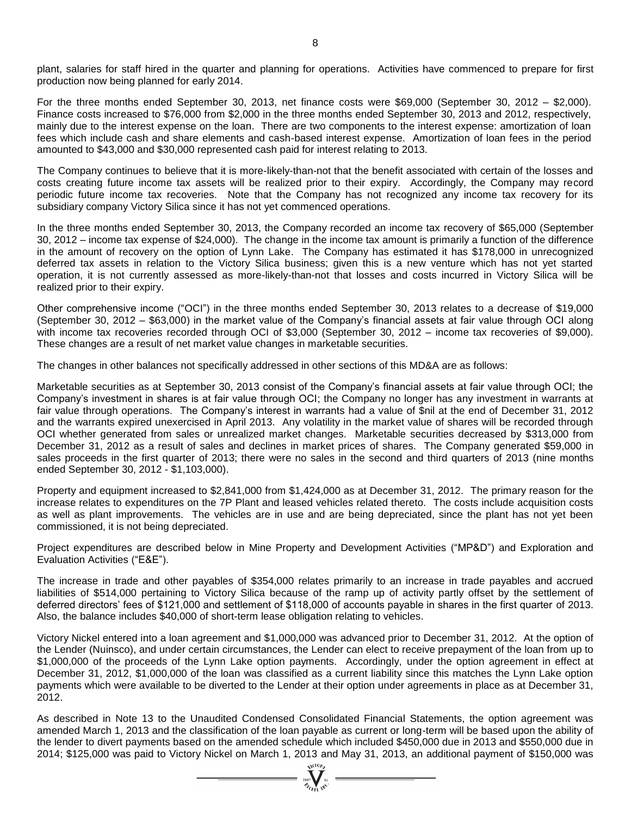plant, salaries for staff hired in the quarter and planning for operations. Activities have commenced to prepare for first production now being planned for early 2014.

For the three months ended September 30, 2013, net finance costs were \$69,000 (September 30, 2012 – \$2,000). Finance costs increased to \$76,000 from \$2,000 in the three months ended September 30, 2013 and 2012, respectively, mainly due to the interest expense on the loan. There are two components to the interest expense: amortization of loan fees which include cash and share elements and cash-based interest expense. Amortization of loan fees in the period amounted to \$43,000 and \$30,000 represented cash paid for interest relating to 2013.

The Company continues to believe that it is more-likely-than-not that the benefit associated with certain of the losses and costs creating future income tax assets will be realized prior to their expiry. Accordingly, the Company may record periodic future income tax recoveries. Note that the Company has not recognized any income tax recovery for its subsidiary company Victory Silica since it has not yet commenced operations.

In the three months ended September 30, 2013, the Company recorded an income tax recovery of \$65,000 (September 30, 2012 – income tax expense of \$24,000). The change in the income tax amount is primarily a function of the difference in the amount of recovery on the option of Lynn Lake. The Company has estimated it has \$178,000 in unrecognized deferred tax assets in relation to the Victory Silica business; given this is a new venture which has not yet started operation, it is not currently assessed as more-likely-than-not that losses and costs incurred in Victory Silica will be realized prior to their expiry.

Other comprehensive income ("OCI") in the three months ended September 30, 2013 relates to a decrease of \$19,000 (September 30, 2012 – \$63,000) in the market value of the Company's financial assets at fair value through OCI along with income tax recoveries recorded through OCI of \$3,000 (September 30, 2012 – income tax recoveries of \$9,000). These changes are a result of net market value changes in marketable securities.

The changes in other balances not specifically addressed in other sections of this MD&A are as follows:

Marketable securities as at September 30, 2013 consist of the Company's financial assets at fair value through OCI; the Company's investment in shares is at fair value through OCI; the Company no longer has any investment in warrants at fair value through operations. The Company's interest in warrants had a value of \$nil at the end of December 31, 2012 and the warrants expired unexercised in April 2013. Any volatility in the market value of shares will be recorded through OCI whether generated from sales or unrealized market changes. Marketable securities decreased by \$313,000 from December 31, 2012 as a result of sales and declines in market prices of shares. The Company generated \$59,000 in sales proceeds in the first quarter of 2013; there were no sales in the second and third quarters of 2013 (nine months ended September 30, 2012 - \$1,103,000).

Property and equipment increased to \$2,841,000 from \$1,424,000 as at December 31, 2012. The primary reason for the increase relates to expenditures on the 7P Plant and leased vehicles related thereto. The costs include acquisition costs as well as plant improvements. The vehicles are in use and are being depreciated, since the plant has not yet been commissioned, it is not being depreciated.

Project expenditures are described below in Mine Property and Development Activities ("MP&D") and Exploration and Evaluation Activities ("E&E").

The increase in trade and other payables of \$354,000 relates primarily to an increase in trade payables and accrued liabilities of \$514,000 pertaining to Victory Silica because of the ramp up of activity partly offset by the settlement of deferred directors' fees of \$121,000 and settlement of \$118,000 of accounts payable in shares in the first quarter of 2013. Also, the balance includes \$40,000 of short-term lease obligation relating to vehicles.

Victory Nickel entered into a loan agreement and \$1,000,000 was advanced prior to December 31, 2012. At the option of the Lender (Nuinsco), and under certain circumstances, the Lender can elect to receive prepayment of the loan from up to \$1,000,000 of the proceeds of the Lynn Lake option payments. Accordingly, under the option agreement in effect at December 31, 2012, \$1,000,000 of the loan was classified as a current liability since this matches the Lynn Lake option payments which were available to be diverted to the Lender at their option under agreements in place as at December 31, 2012.

As described in Note 13 to the Unaudited Condensed Consolidated Financial Statements, the option agreement was amended March 1, 2013 and the classification of the loan payable as current or long-term will be based upon the ability of the lender to divert payments based on the amended schedule which included \$450,000 due in 2013 and \$550,000 due in 2014; \$125,000 was paid to Victory Nickel on March 1, 2013 and May 31, 2013, an additional payment of \$150,000 was

 $\sum_{\substack{2007 \ \text{with } n^{C}}}$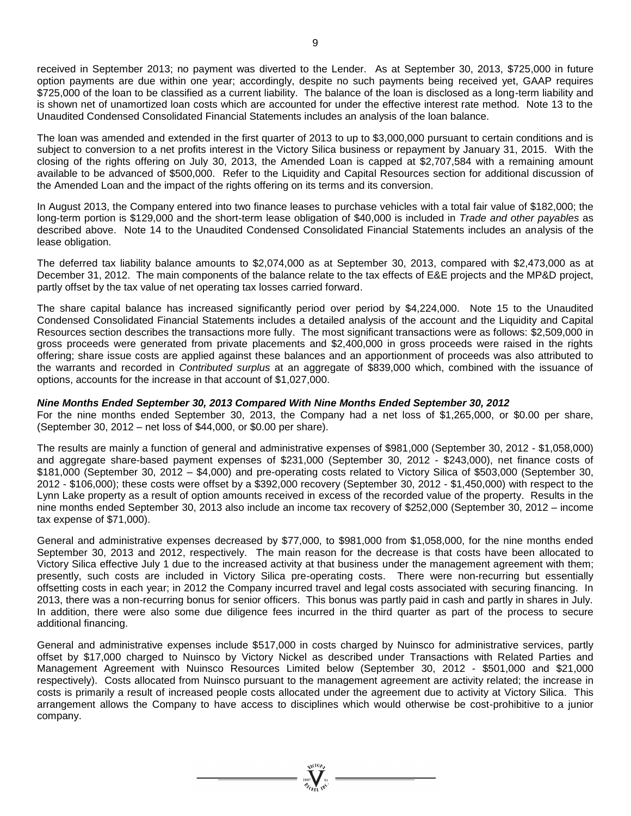The loan was amended and extended in the first quarter of 2013 to up to \$3,000,000 pursuant to certain conditions and is subject to conversion to a net profits interest in the Victory Silica business or repayment by January 31, 2015. With the closing of the rights offering on July 30, 2013, the Amended Loan is capped at \$2,707,584 with a remaining amount available to be advanced of \$500,000. Refer to the Liquidity and Capital Resources section for additional discussion of the Amended Loan and the impact of the rights offering on its terms and its conversion.

In August 2013, the Company entered into two finance leases to purchase vehicles with a total fair value of \$182,000; the long-term portion is \$129,000 and the short-term lease obligation of \$40,000 is included in *Trade and other payables* as described above. Note 14 to the Unaudited Condensed Consolidated Financial Statements includes an analysis of the lease obligation.

The deferred tax liability balance amounts to \$2,074,000 as at September 30, 2013, compared with \$2,473,000 as at December 31, 2012. The main components of the balance relate to the tax effects of E&E projects and the MP&D project, partly offset by the tax value of net operating tax losses carried forward.

The share capital balance has increased significantly period over period by \$4,224,000. Note 15 to the Unaudited Condensed Consolidated Financial Statements includes a detailed analysis of the account and the Liquidity and Capital Resources section describes the transactions more fully. The most significant transactions were as follows: \$2,509,000 in gross proceeds were generated from private placements and \$2,400,000 in gross proceeds were raised in the rights offering; share issue costs are applied against these balances and an apportionment of proceeds was also attributed to the warrants and recorded in *Contributed surplus* at an aggregate of \$839,000 which, combined with the issuance of options, accounts for the increase in that account of \$1,027,000.

# *Nine Months Ended September 30, 2013 Compared With Nine Months Ended September 30, 2012*

For the nine months ended September 30, 2013, the Company had a net loss of \$1,265,000, or \$0.00 per share, (September 30, 2012 – net loss of \$44,000, or \$0.00 per share).

The results are mainly a function of general and administrative expenses of \$981,000 (September 30, 2012 - \$1,058,000) and aggregate share-based payment expenses of \$231,000 (September 30, 2012 - \$243,000), net finance costs of \$181,000 (September 30, 2012 – \$4,000) and pre-operating costs related to Victory Silica of \$503,000 (September 30, 2012 - \$106,000); these costs were offset by a \$392,000 recovery (September 30, 2012 - \$1,450,000) with respect to the Lynn Lake property as a result of option amounts received in excess of the recorded value of the property. Results in the nine months ended September 30, 2013 also include an income tax recovery of \$252,000 (September 30, 2012 – income tax expense of \$71,000).

General and administrative expenses decreased by \$77,000, to \$981,000 from \$1,058,000, for the nine months ended September 30, 2013 and 2012, respectively. The main reason for the decrease is that costs have been allocated to Victory Silica effective July 1 due to the increased activity at that business under the management agreement with them; presently, such costs are included in Victory Silica pre-operating costs. There were non-recurring but essentially offsetting costs in each year; in 2012 the Company incurred travel and legal costs associated with securing financing. In 2013, there was a non-recurring bonus for senior officers. This bonus was partly paid in cash and partly in shares in July. In addition, there were also some due diligence fees incurred in the third quarter as part of the process to secure additional financing.

General and administrative expenses include \$517,000 in costs charged by Nuinsco for administrative services, partly offset by \$17,000 charged to Nuinsco by Victory Nickel as described under Transactions with Related Parties and Management Agreement with Nuinsco Resources Limited below (September 30, 2012 - \$501,000 and \$21,000 respectively). Costs allocated from Nuinsco pursuant to the management agreement are activity related; the increase in costs is primarily a result of increased people costs allocated under the agreement due to activity at Victory Silica. This arrangement allows the Company to have access to disciplines which would otherwise be cost-prohibitive to a junior company.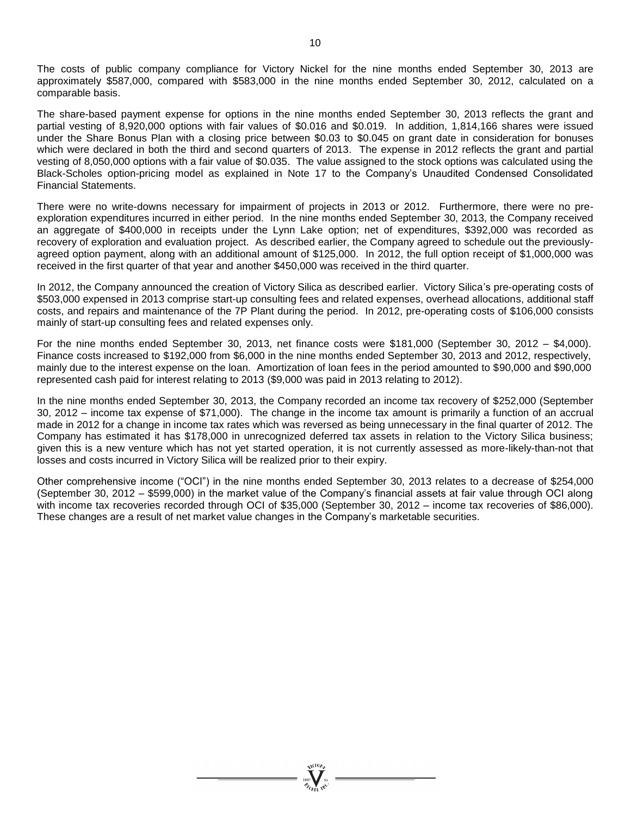The costs of public company compliance for Victory Nickel for the nine months ended September 30, 2013 are approximately \$587,000, compared with \$583,000 in the nine months ended September 30, 2012, calculated on a comparable basis.

The share-based payment expense for options in the nine months ended September 30, 2013 reflects the grant and partial vesting of 8,920,000 options with fair values of \$0.016 and \$0.019. In addition, 1,814,166 shares were issued under the Share Bonus Plan with a closing price between \$0.03 to \$0.045 on grant date in consideration for bonuses which were declared in both the third and second quarters of 2013. The expense in 2012 reflects the grant and partial vesting of 8,050,000 options with a fair value of \$0.035. The value assigned to the stock options was calculated using the Black-Scholes option-pricing model as explained in Note 17 to the Company's Unaudited Condensed Consolidated Financial Statements.

There were no write-downs necessary for impairment of projects in 2013 or 2012. Furthermore, there were no preexploration expenditures incurred in either period. In the nine months ended September 30, 2013, the Company received an aggregate of \$400,000 in receipts under the Lynn Lake option; net of expenditures, \$392,000 was recorded as recovery of exploration and evaluation project. As described earlier, the Company agreed to schedule out the previouslyagreed option payment, along with an additional amount of \$125,000. In 2012, the full option receipt of \$1,000,000 was received in the first quarter of that year and another \$450,000 was received in the third quarter.

In 2012, the Company announced the creation of Victory Silica as described earlier. Victory Silica's pre-operating costs of \$503,000 expensed in 2013 comprise start-up consulting fees and related expenses, overhead allocations, additional staff costs, and repairs and maintenance of the 7P Plant during the period. In 2012, pre-operating costs of \$106,000 consists mainly of start-up consulting fees and related expenses only.

For the nine months ended September 30, 2013, net finance costs were \$181,000 (September 30, 2012 – \$4,000). Finance costs increased to \$192,000 from \$6,000 in the nine months ended September 30, 2013 and 2012, respectively, mainly due to the interest expense on the loan. Amortization of loan fees in the period amounted to \$90,000 and \$90,000 represented cash paid for interest relating to 2013 (\$9,000 was paid in 2013 relating to 2012).

In the nine months ended September 30, 2013, the Company recorded an income tax recovery of \$252,000 (September 30, 2012 – income tax expense of \$71,000). The change in the income tax amount is primarily a function of an accrual made in 2012 for a change in income tax rates which was reversed as being unnecessary in the final quarter of 2012. The Company has estimated it has \$178,000 in unrecognized deferred tax assets in relation to the Victory Silica business; given this is a new venture which has not yet started operation, it is not currently assessed as more-likely-than-not that losses and costs incurred in Victory Silica will be realized prior to their expiry.

Other comprehensive income ("OCI") in the nine months ended September 30, 2013 relates to a decrease of \$254,000 (September 30, 2012 – \$599,000) in the market value of the Company's financial assets at fair value through OCI along with income tax recoveries recorded through OCI of \$35,000 (September 30, 2012 – income tax recoveries of \$86,000). These changes are a result of net market value changes in the Company's marketable securities.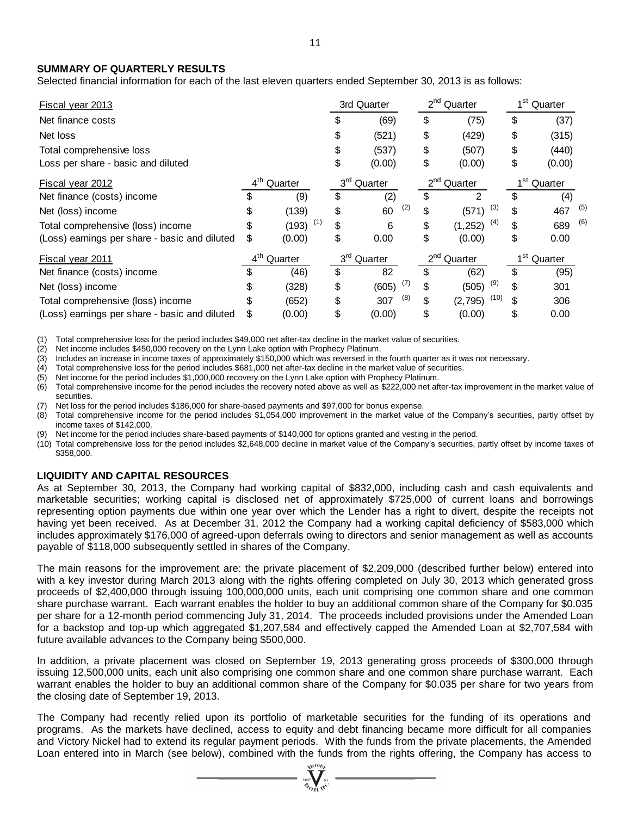# **SUMMARY OF QUARTERLY RESULTS**

| <b>Fiscal year 2013</b>                       |                            |              |                            | 3rd Quarter  |          | $2nd$ Quarter       | 1 <sup>st</sup> Quarter |         |         |     |
|-----------------------------------------------|----------------------------|--------------|----------------------------|--------------|----------|---------------------|-------------------------|---------|---------|-----|
| Net finance costs                             |                            |              |                            | (69)         | \$       | (75)                |                         | \$      | (37)    |     |
| Net loss                                      |                            |              |                            | (521)        | \$       | (429)               |                         | \$      | (315)   |     |
| Total comprehensive loss                      |                            |              | \$                         | (537)        | \$       | (507)               |                         | \$      | (440)   |     |
| Loss per share - basic and diluted            |                            |              | \$                         | (0.00)       | \$       | (0.00)              |                         | \$      | (0.00)  |     |
| Fiscal year 2012                              | $4^{\text{th}}$<br>Quarter |              | 3 <sup>rd</sup><br>Quarter |              |          | $2^{nd}$<br>Quarter |                         |         | Quarter |     |
| Net finance (costs) income                    |                            | (9)          | \$                         | (2)          | \$       | $\mathfrak{p}$      |                         | \$      | (4)     |     |
| Net (loss) income                             | S                          | (139)        | \$                         | (2)<br>60    | \$       | (571)               | (3)                     | \$      | 467     | (5) |
| Total comprehensive (loss) income             |                            | (1)<br>(193) | \$                         | 6            | \$       | (1, 252)            | (4)                     | \$      | 689     | (6) |
| (Loss) earnings per share - basic and diluted | \$                         | (0.00)       | \$                         | 0.00         | \$       | (0.00)              |                         | \$      | 0.00    |     |
| <b>Fiscal year 2011</b>                       | $4^{\sf th}$               | Quarter      | 3 <sup>rd</sup>            | Quarter      | $2^{nd}$ | Quarter             |                         | $1st$ . | Quarter |     |
| Net finance (costs) income                    | \$                         | (46)         | \$                         | 82           | \$       | (62)                |                         | \$      | (95)    |     |
| Net (loss) income                             | S                          | (328)        | \$                         | (7)<br>(605) | \$       | (505)               | (9)                     | \$      | 301     |     |
| Total comprehensive (loss) income             |                            | (652)        | \$                         | (8)<br>307   | \$       | (2,795)             | (10)                    |         | 306     |     |
|                                               | \$                         | (0.00)       | \$                         | (0.00)       | \$       | (0.00)              |                         |         | 0.00    |     |

(1) Total comprehensive loss for the period includes \$49,000 net after-tax decline in the market value of securities.

(2) Net income includes \$450,000 recovery on the Lynn Lake option with Prophecy Platinum.

(3) Includes an increase in income taxes of approximately \$150,000 which was reversed in the fourth quarter as it was not necessary.

(4) Total comprehensive loss for the period includes \$681,000 net after-tax decline in the market value of securities.

(5) Net income for the period includes \$1,000,000 recovery on the Lynn Lake option with Prophecy Platinum.<br>(6) Total comprehensive income for the period includes the recovery noted above as well as \$222,000 net af

(6) Total comprehensive income for the period includes the recovery noted above as well as \$222,000 net after-tax improvement in the market value of securities.

Net loss for the period includes \$186,000 for share-based payments and \$97,000 for bonus expense.

(8) Total comprehensive income for the period includes \$1,054,000 improvement in the market value of the Company's securities, partly offset by income taxes of \$142,000.

Net income for the period includes share-based payments of \$140,000 for options granted and vesting in the period.

(10) Total comprehensive loss for the period includes \$2,648,000 decline in market value of the Company's securities, partly offset by income taxes of \$358,000.

# **LIQUIDITY AND CAPITAL RESOURCES**

As at September 30, 2013, the Company had working capital of \$832,000, including cash and cash equivalents and marketable securities; working capital is disclosed net of approximately \$725,000 of current loans and borrowings representing option payments due within one year over which the Lender has a right to divert, despite the receipts not having yet been received. As at December 31, 2012 the Company had a working capital deficiency of \$583,000 which includes approximately \$176,000 of agreed-upon deferrals owing to directors and senior management as well as accounts payable of \$118,000 subsequently settled in shares of the Company.

The main reasons for the improvement are: the private placement of \$2,209,000 (described further below) entered into with a key investor during March 2013 along with the rights offering completed on July 30, 2013 which generated gross proceeds of \$2,400,000 through issuing 100,000,000 units, each unit comprising one common share and one common share purchase warrant. Each warrant enables the holder to buy an additional common share of the Company for \$0.035 per share for a 12-month period commencing July 31, 2014. The proceeds included provisions under the Amended Loan for a backstop and top-up which aggregated \$1,207,584 and effectively capped the Amended Loan at \$2,707,584 with future available advances to the Company being \$500,000.

In addition, a private placement was closed on September 19, 2013 generating gross proceeds of \$300,000 through issuing 12,500,000 units, each unit also comprising one common share and one common share purchase warrant. Each warrant enables the holder to buy an additional common share of the Company for \$0.035 per share for two years from the closing date of September 19, 2013.

The Company had recently relied upon its portfolio of marketable securities for the funding of its operations and programs. As the markets have declined, access to equity and debt financing became more difficult for all companies and Victory Nickel had to extend its regular payment periods. With the funds from the private placements, the Amended Loan entered into in March (see below), combined with the funds from the rights offering, the Company has access to

 $\sum_{\substack{2007\\ \mathscr{D}_{\text{Cyl}}\text{ odd}}}^{\infty}$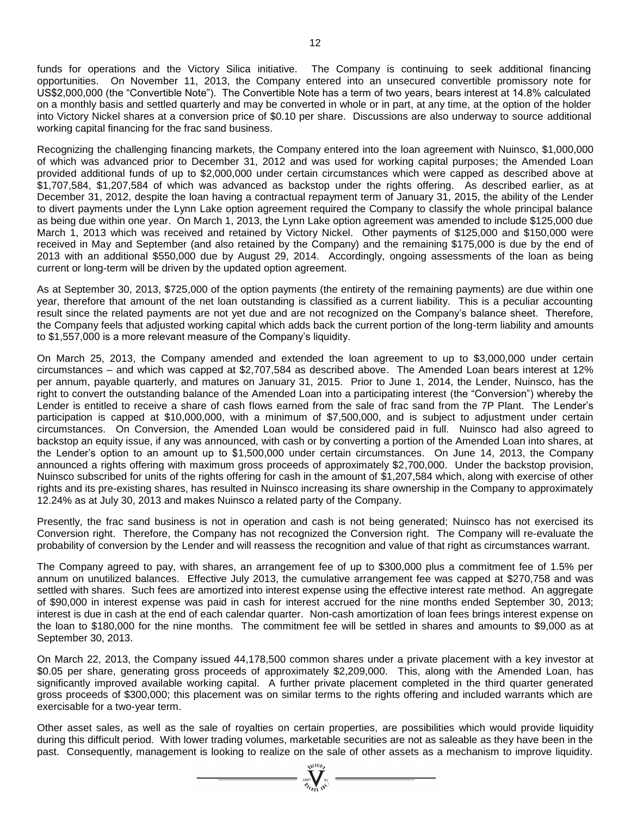funds for operations and the Victory Silica initiative. The Company is continuing to seek additional financing opportunities. On November 11, 2013, the Company entered into an unsecured convertible promissory note for US\$2,000,000 (the "Convertible Note"). The Convertible Note has a term of two years, bears interest at 14.8% calculated on a monthly basis and settled quarterly and may be converted in whole or in part, at any time, at the option of the holder into Victory Nickel shares at a conversion price of \$0.10 per share. Discussions are also underway to source additional working capital financing for the frac sand business.

Recognizing the challenging financing markets, the Company entered into the loan agreement with Nuinsco, \$1,000,000 of which was advanced prior to December 31, 2012 and was used for working capital purposes; the Amended Loan provided additional funds of up to \$2,000,000 under certain circumstances which were capped as described above at \$1,707,584, \$1,207,584 of which was advanced as backstop under the rights offering. As described earlier, as at December 31, 2012, despite the loan having a contractual repayment term of January 31, 2015, the ability of the Lender to divert payments under the Lynn Lake option agreement required the Company to classify the whole principal balance as being due within one year. On March 1, 2013, the Lynn Lake option agreement was amended to include \$125,000 due March 1, 2013 which was received and retained by Victory Nickel. Other payments of \$125,000 and \$150,000 were received in May and September (and also retained by the Company) and the remaining \$175,000 is due by the end of 2013 with an additional \$550,000 due by August 29, 2014. Accordingly, ongoing assessments of the loan as being current or long-term will be driven by the updated option agreement.

As at September 30, 2013, \$725,000 of the option payments (the entirety of the remaining payments) are due within one year, therefore that amount of the net loan outstanding is classified as a current liability. This is a peculiar accounting result since the related payments are not yet due and are not recognized on the Company's balance sheet. Therefore, the Company feels that adjusted working capital which adds back the current portion of the long-term liability and amounts to \$1,557,000 is a more relevant measure of the Company's liquidity.

On March 25, 2013, the Company amended and extended the loan agreement to up to \$3,000,000 under certain circumstances – and which was capped at \$2,707,584 as described above. The Amended Loan bears interest at 12% per annum, payable quarterly, and matures on January 31, 2015. Prior to June 1, 2014, the Lender, Nuinsco, has the right to convert the outstanding balance of the Amended Loan into a participating interest (the "Conversion") whereby the Lender is entitled to receive a share of cash flows earned from the sale of frac sand from the 7P Plant. The Lender's participation is capped at \$10,000,000, with a minimum of \$7,500,000, and is subject to adjustment under certain circumstances. On Conversion, the Amended Loan would be considered paid in full. Nuinsco had also agreed to backstop an equity issue, if any was announced, with cash or by converting a portion of the Amended Loan into shares, at the Lender's option to an amount up to \$1,500,000 under certain circumstances. On June 14, 2013, the Company announced a rights offering with maximum gross proceeds of approximately \$2,700,000. Under the backstop provision, Nuinsco subscribed for units of the rights offering for cash in the amount of \$1,207,584 which, along with exercise of other rights and its pre-existing shares, has resulted in Nuinsco increasing its share ownership in the Company to approximately 12.24% as at July 30, 2013 and makes Nuinsco a related party of the Company.

Presently, the frac sand business is not in operation and cash is not being generated; Nuinsco has not exercised its Conversion right. Therefore, the Company has not recognized the Conversion right. The Company will re-evaluate the probability of conversion by the Lender and will reassess the recognition and value of that right as circumstances warrant.

The Company agreed to pay, with shares, an arrangement fee of up to \$300,000 plus a commitment fee of 1.5% per annum on unutilized balances. Effective July 2013, the cumulative arrangement fee was capped at \$270,758 and was settled with shares. Such fees are amortized into interest expense using the effective interest rate method. An aggregate of \$90,000 in interest expense was paid in cash for interest accrued for the nine months ended September 30, 2013; interest is due in cash at the end of each calendar quarter. Non-cash amortization of loan fees brings interest expense on the loan to \$180,000 for the nine months. The commitment fee will be settled in shares and amounts to \$9,000 as at September 30, 2013.

On March 22, 2013, the Company issued 44,178,500 common shares under a private placement with a key investor at \$0.05 per share, generating gross proceeds of approximately \$2,209,000. This, along with the Amended Loan, has significantly improved available working capital. A further private placement completed in the third quarter generated gross proceeds of \$300,000; this placement was on similar terms to the rights offering and included warrants which are exercisable for a two-year term.

Other asset sales, as well as the sale of royalties on certain properties, are possibilities which would provide liquidity during this difficult period. With lower trading volumes, marketable securities are not as saleable as they have been in the past. Consequently, management is looking to realize on the sale of other assets as a mechanism to improve liquidity.

 $\sum_{\substack{2007\\ \mathscr{B}_{G11} \text{ TeV}}}^{\text{N11}}$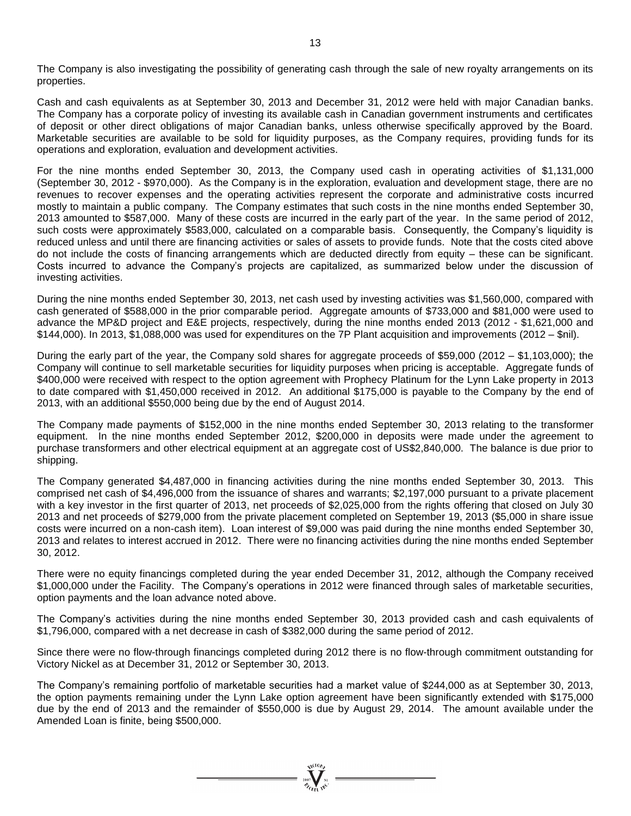The Company is also investigating the possibility of generating cash through the sale of new royalty arrangements on its properties.

Cash and cash equivalents as at September 30, 2013 and December 31, 2012 were held with major Canadian banks. The Company has a corporate policy of investing its available cash in Canadian government instruments and certificates of deposit or other direct obligations of major Canadian banks, unless otherwise specifically approved by the Board. Marketable securities are available to be sold for liquidity purposes, as the Company requires, providing funds for its operations and exploration, evaluation and development activities.

For the nine months ended September 30, 2013, the Company used cash in operating activities of \$1,131,000 (September 30, 2012 - \$970,000). As the Company is in the exploration, evaluation and development stage, there are no revenues to recover expenses and the operating activities represent the corporate and administrative costs incurred mostly to maintain a public company. The Company estimates that such costs in the nine months ended September 30, 2013 amounted to \$587,000. Many of these costs are incurred in the early part of the year. In the same period of 2012, such costs were approximately \$583,000, calculated on a comparable basis. Consequently, the Company's liquidity is reduced unless and until there are financing activities or sales of assets to provide funds. Note that the costs cited above do not include the costs of financing arrangements which are deducted directly from equity – these can be significant. Costs incurred to advance the Company's projects are capitalized, as summarized below under the discussion of investing activities.

During the nine months ended September 30, 2013, net cash used by investing activities was \$1,560,000, compared with cash generated of \$588,000 in the prior comparable period. Aggregate amounts of \$733,000 and \$81,000 were used to advance the MP&D project and E&E projects, respectively, during the nine months ended 2013 (2012 - \$1,621,000 and \$144,000). In 2013, \$1,088,000 was used for expenditures on the 7P Plant acquisition and improvements (2012 – \$nil).

During the early part of the year, the Company sold shares for aggregate proceeds of \$59,000 (2012 – \$1,103,000); the Company will continue to sell marketable securities for liquidity purposes when pricing is acceptable. Aggregate funds of \$400,000 were received with respect to the option agreement with Prophecy Platinum for the Lynn Lake property in 2013 to date compared with \$1,450,000 received in 2012. An additional \$175,000 is payable to the Company by the end of 2013, with an additional \$550,000 being due by the end of August 2014.

The Company made payments of \$152,000 in the nine months ended September 30, 2013 relating to the transformer equipment. In the nine months ended September 2012, \$200,000 in deposits were made under the agreement to purchase transformers and other electrical equipment at an aggregate cost of US\$2,840,000. The balance is due prior to shipping.

The Company generated \$4,487,000 in financing activities during the nine months ended September 30, 2013. This comprised net cash of \$4,496,000 from the issuance of shares and warrants; \$2,197,000 pursuant to a private placement with a key investor in the first quarter of 2013, net proceeds of \$2,025,000 from the rights offering that closed on July 30 2013 and net proceeds of \$279,000 from the private placement completed on September 19, 2013 (\$5,000 in share issue costs were incurred on a non-cash item). Loan interest of \$9,000 was paid during the nine months ended September 30, 2013 and relates to interest accrued in 2012. There were no financing activities during the nine months ended September 30, 2012.

There were no equity financings completed during the year ended December 31, 2012, although the Company received \$1,000,000 under the Facility. The Company's operations in 2012 were financed through sales of marketable securities, option payments and the loan advance noted above.

The Company's activities during the nine months ended September 30, 2013 provided cash and cash equivalents of \$1,796,000, compared with a net decrease in cash of \$382,000 during the same period of 2012.

Since there were no flow-through financings completed during 2012 there is no flow-through commitment outstanding for Victory Nickel as at December 31, 2012 or September 30, 2013.

The Company's remaining portfolio of marketable securities had a market value of \$244,000 as at September 30, 2013, the option payments remaining under the Lynn Lake option agreement have been significantly extended with \$175,000 due by the end of 2013 and the remainder of \$550,000 is due by August 29, 2014. The amount available under the Amended Loan is finite, being \$500,000.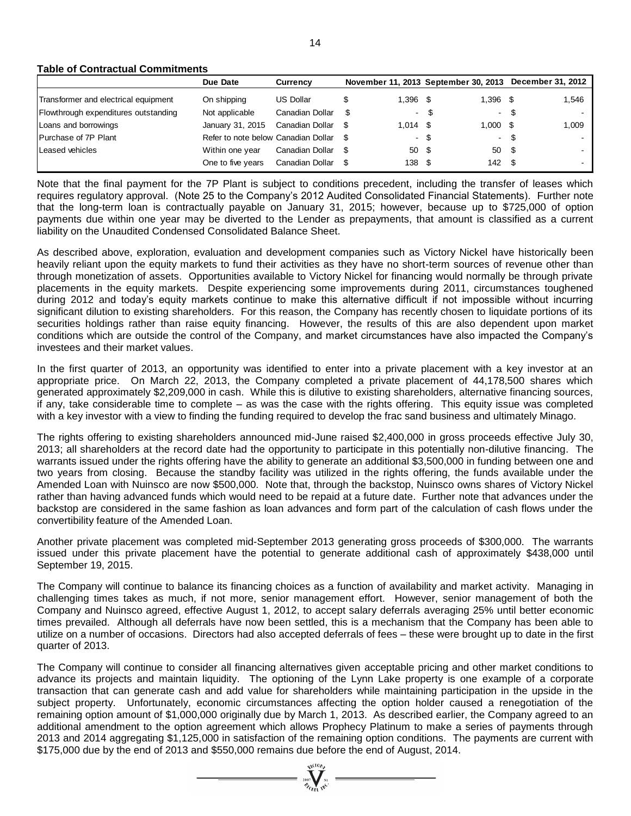#### **Table of Contractual Commitments**

|                                      | Due Date                            | <b>Currency</b>  |            |      |                     | November 11, 2013 September 30, 2013 December 31, 2012 |       |
|--------------------------------------|-------------------------------------|------------------|------------|------|---------------------|--------------------------------------------------------|-------|
| Transformer and electrical equipment | On shipping                         | <b>US Dollar</b> | $1.396$ \$ |      | 1.396 \$            |                                                        | 1,546 |
| Flowthrough expenditures outstanding | Not applicable                      | Canadian Dollar  |            | - \$ | - \$                |                                                        |       |
| Loans and borrowings                 | January 31, 2015                    | Canadian Dollar  | $1.014$ \$ |      | $1.000 \text{ }$ \$ |                                                        | 1,009 |
| Purchase of 7P Plant                 | Refer to note below Canadian Dollar |                  |            | - \$ | - \$                |                                                        |       |
| Leased vehicles                      | Within one year                     | Canadian Dollar  | 50         | - \$ | 50 \$               |                                                        |       |
|                                      | One to five years                   | Canadian Dollar  | 138        | - \$ | $142 \quad$ \$      |                                                        |       |

Note that the final payment for the 7P Plant is subject to conditions precedent, including the transfer of leases which requires regulatory approval. (Note 25 to the Company's 2012 Audited Consolidated Financial Statements). Further note that the long-term loan is contractually payable on January 31, 2015; however, because up to \$725,000 of option payments due within one year may be diverted to the Lender as prepayments, that amount is classified as a current liability on the Unaudited Condensed Consolidated Balance Sheet.

As described above, exploration, evaluation and development companies such as Victory Nickel have historically been heavily reliant upon the equity markets to fund their activities as they have no short-term sources of revenue other than through monetization of assets. Opportunities available to Victory Nickel for financing would normally be through private placements in the equity markets. Despite experiencing some improvements during 2011, circumstances toughened during 2012 and today's equity markets continue to make this alternative difficult if not impossible without incurring significant dilution to existing shareholders. For this reason, the Company has recently chosen to liquidate portions of its securities holdings rather than raise equity financing. However, the results of this are also dependent upon market conditions which are outside the control of the Company, and market circumstances have also impacted the Company's investees and their market values. The other that due to consider the end of 2013 and consider the end of August M31 September 21, 2013. And the end of August, 2013 and the end of August, 2013 and 2013 and 2013 and 2013 and 2013 and 2013 and 2013 and 2013 a

In the first quarter of 2013, an opportunity was identified to enter into a private placement with a key investor at an appropriate price. On March 22, 2013, the Company completed a private placement of 44,178,500 shares which generated approximately \$2,209,000 in cash. While this is dilutive to existing shareholders, alternative financing sources, if any, take considerable time to complete – as was the case with the rights offering. This equity issue was completed with a key investor with a view to finding the funding required to develop the frac sand business and ultimately Minago.

The rights offering to existing shareholders announced mid-June raised \$2,400,000 in gross proceeds effective July 30, 2013; all shareholders at the record date had the opportunity to participate in this potentially non-dilutive financing. The warrants issued under the rights offering have the ability to generate an additional \$3,500,000 in funding between one and two years from closing. Because the standby facility was utilized in the rights offering, the funds available under the Amended Loan with Nuinsco are now \$500,000. Note that, through the backstop, Nuinsco owns shares of Victory Nickel rather than having advanced funds which would need to be repaid at a future date. Further note that advances under the backstop are considered in the same fashion as loan advances and form part of the calculation of cash flows under the convertibility feature of the Amended Loan.

Another private placement was completed mid-September 2013 generating gross proceeds of \$300,000. The warrants issued under this private placement have the potential to generate additional cash of approximately \$438,000 until September 19, 2015.

The Company will continue to balance its financing choices as a function of availability and market activity. Managing in challenging times takes as much, if not more, senior management effort. However, senior management of both the Company and Nuinsco agreed, effective August 1, 2012, to accept salary deferrals averaging 25% until better economic times prevailed. Although all deferrals have now been settled, this is a mechanism that the Company has been able to utilize on a number of occasions. Directors had also accepted deferrals of fees – these were brought up to date in the first quarter of 2013.

The Company will continue to consider all financing alternatives given acceptable pricing and other market conditions to advance its projects and maintain liquidity. The optioning of the Lynn Lake property is one example of a corporate transaction that can generate cash and add value for shareholders while maintaining participation in the upside in the subject property. Unfortunately, economic circumstances affecting the option holder caused a renegotiation of the remaining option amount of \$1,000,000 originally due by March 1, 2013. As described earlier, the Company agreed to an additional amendment to the option agreement which allows Prophecy Platinum to make a series of payments through 2013 and 2014 aggregating \$1,125,000 in satisfaction of the remaining option conditions. The payments are current with

 $\sum_{\substack{2007\\ \mathscr{U}_{GEMM}}}\sum_{\substack{N\text{i}\\\text{m}\in\mathbb{Z}}}$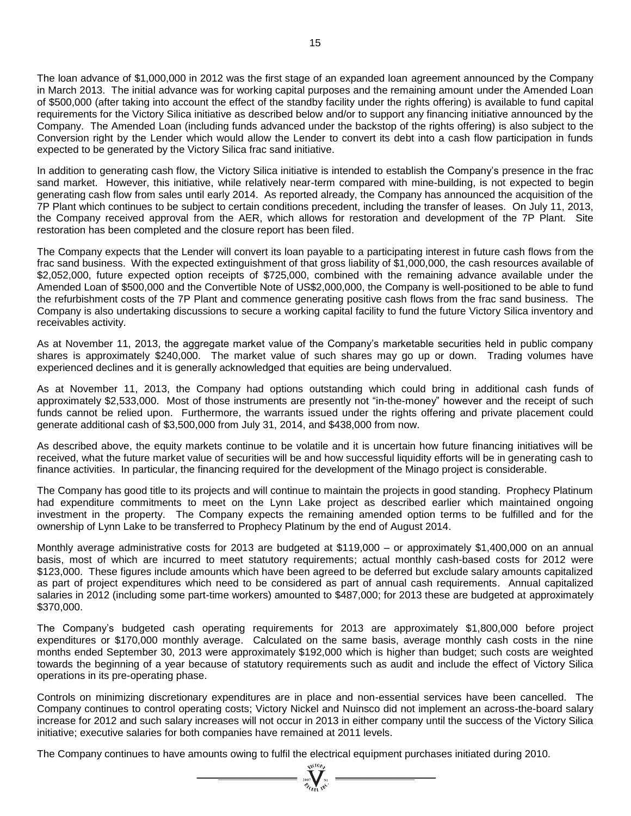The loan advance of \$1,000,000 in 2012 was the first stage of an expanded loan agreement announced by the Company in March 2013. The initial advance was for working capital purposes and the remaining amount under the Amended Loan of \$500,000 (after taking into account the effect of the standby facility under the rights offering) is available to fund capital requirements for the Victory Silica initiative as described below and/or to support any financing initiative announced by the Company. The Amended Loan (including funds advanced under the backstop of the rights offering) is also subject to the Conversion right by the Lender which would allow the Lender to convert its debt into a cash flow participation in funds expected to be generated by the Victory Silica frac sand initiative.

In addition to generating cash flow, the Victory Silica initiative is intended to establish the Company's presence in the frac sand market. However, this initiative, while relatively near-term compared with mine-building, is not expected to begin generating cash flow from sales until early 2014. As reported already, the Company has announced the acquisition of the 7P Plant which continues to be subject to certain conditions precedent, including the transfer of leases. On July 11, 2013, the Company received approval from the AER, which allows for restoration and development of the 7P Plant. Site restoration has been completed and the closure report has been filed.

The Company expects that the Lender will convert its loan payable to a participating interest in future cash flows from the frac sand business. With the expected extinguishment of that gross liability of \$1,000,000, the cash resources available of \$2,052,000, future expected option receipts of \$725,000, combined with the remaining advance available under the Amended Loan of \$500,000 and the Convertible Note of US\$2,000,000, the Company is well-positioned to be able to fund the refurbishment costs of the 7P Plant and commence generating positive cash flows from the frac sand business. The Company is also undertaking discussions to secure a working capital facility to fund the future Victory Silica inventory and receivables activity.

As at November 11, 2013, the aggregate market value of the Company's marketable securities held in public company shares is approximately \$240,000. The market value of such shares may go up or down. Trading volumes have experienced declines and it is generally acknowledged that equities are being undervalued.

As at November 11, 2013, the Company had options outstanding which could bring in additional cash funds of approximately \$2,533,000. Most of those instruments are presently not "in-the-money" however and the receipt of such funds cannot be relied upon. Furthermore, the warrants issued under the rights offering and private placement could generate additional cash of \$3,500,000 from July 31, 2014, and \$438,000 from now.

As described above, the equity markets continue to be volatile and it is uncertain how future financing initiatives will be received, what the future market value of securities will be and how successful liquidity efforts will be in generating cash to finance activities. In particular, the financing required for the development of the Minago project is considerable.

The Company has good title to its projects and will continue to maintain the projects in good standing. Prophecy Platinum had expenditure commitments to meet on the Lynn Lake project as described earlier which maintained ongoing investment in the property. The Company expects the remaining amended option terms to be fulfilled and for the ownership of Lynn Lake to be transferred to Prophecy Platinum by the end of August 2014.

Monthly average administrative costs for 2013 are budgeted at \$119,000 – or approximately \$1,400,000 on an annual basis, most of which are incurred to meet statutory requirements; actual monthly cash-based costs for 2012 were \$123,000. These figures include amounts which have been agreed to be deferred but exclude salary amounts capitalized as part of project expenditures which need to be considered as part of annual cash requirements. Annual capitalized salaries in 2012 (including some part-time workers) amounted to \$487,000; for 2013 these are budgeted at approximately \$370,000.

The Company's budgeted cash operating requirements for 2013 are approximately \$1,800,000 before project expenditures or \$170,000 monthly average. Calculated on the same basis, average monthly cash costs in the nine months ended September 30, 2013 were approximately \$192,000 which is higher than budget; such costs are weighted towards the beginning of a year because of statutory requirements such as audit and include the effect of Victory Silica operations in its pre-operating phase.

Controls on minimizing discretionary expenditures are in place and non-essential services have been cancelled. The Company continues to control operating costs; Victory Nickel and Nuinsco did not implement an across-the-board salary increase for 2012 and such salary increases will not occur in 2013 in either company until the success of the Victory Silica initiative; executive salaries for both companies have remained at 2011 levels.

The Company continues to have amounts owing to fulfil the electrical equipment purchases initiated during 2010.<br>  $\frac{1}{\sqrt[n]{\sum_{k=1}^{N} \sum_{k=1}^{N} x_k}}$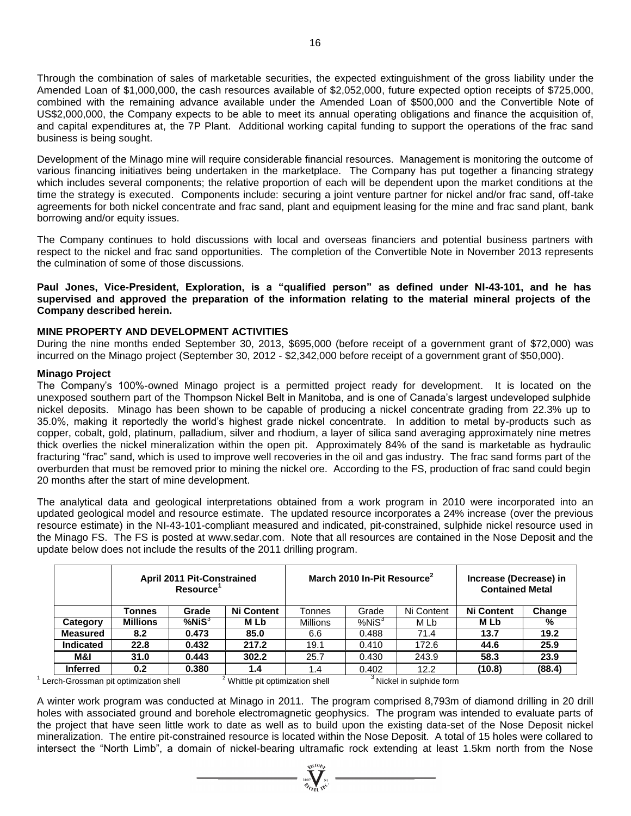Through the combination of sales of marketable securities, the expected extinguishment of the gross liability under the Amended Loan of \$1,000,000, the cash resources available of \$2,052,000, future expected option receipts of \$725,000, combined with the remaining advance available under the Amended Loan of \$500,000 and the Convertible Note of US\$2,000,000, the Company expects to be able to meet its annual operating obligations and finance the acquisition of, and capital expenditures at, the 7P Plant. Additional working capital funding to support the operations of the frac sand business is being sought.

Development of the Minago mine will require considerable financial resources. Management is monitoring the outcome of various financing initiatives being undertaken in the marketplace. The Company has put together a financing strategy which includes several components; the relative proportion of each will be dependent upon the market conditions at the time the strategy is executed. Components include: securing a joint venture partner for nickel and/or frac sand, off-take agreements for both nickel concentrate and frac sand, plant and equipment leasing for the mine and frac sand plant, bank borrowing and/or equity issues.

The Company continues to hold discussions with local and overseas financiers and potential business partners with respect to the nickel and frac sand opportunities. The completion of the Convertible Note in November 2013 represents the culmination of some of those discussions.

**Paul Jones, Vice-President, Exploration, is a "qualified person" as defined under NI-43-101, and he has supervised and approved the preparation of the information relating to the material mineral projects of the Company described herein.**

# **MINE PROPERTY AND DEVELOPMENT ACTIVITIES**

During the nine months ended September 30, 2013, \$695,000 (before receipt of a government grant of \$72,000) was incurred on the Minago project (September 30, 2012 - \$2,342,000 before receipt of a government grant of \$50,000).

# **Minago Project**

The Company's 100%-owned Minago project is a permitted project ready for development. It is located on the unexposed southern part of the Thompson Nickel Belt in Manitoba, and is one of Canada's largest undeveloped sulphide nickel deposits. Minago has been shown to be capable of producing a nickel concentrate grading from 22.3% up to 35.0%, making it reportedly the world's highest grade nickel concentrate. In addition to metal by-products such as copper, cobalt, gold, platinum, palladium, silver and rhodium, a layer of silica sand averaging approximately nine metres thick overlies the nickel mineralization within the open pit. Approximately 84% of the sand is marketable as hydraulic fracturing "frac" sand, which is used to improve well recoveries in the oil and gas industry. The frac sand forms part of the overburden that must be removed prior to mining the nickel ore. According to the FS, production of frac sand could begin 20 months after the start of mine development.

The analytical data and geological interpretations obtained from a work program in 2010 were incorporated into an updated geological model and resource estimate. The updated resource incorporates a 24% increase (over the previous resource estimate) in the NI-43-101-compliant measured and indicated, pit-constrained, sulphide nickel resource used in the Minago FS. The FS is posted at [www.sedar.com.](http://www.sedar.com/) Note that all resources are contained in the Nose Deposit and the update below does not include the results of the 2011 drilling program.

|                                       |                  | <b>April 2011 Pit-Constrained</b><br><b>Resource</b> |                                             | March 2010 In-Pit Resource <sup>2</sup> |              |                         | Increase (Decrease) in<br><b>Contained Metal</b> |        |
|---------------------------------------|------------------|------------------------------------------------------|---------------------------------------------|-----------------------------------------|--------------|-------------------------|--------------------------------------------------|--------|
|                                       | Tonnes           | Grade                                                | <b>Ni Content</b>                           | Tonnes                                  | Grade        | Ni Content              | <b>Ni Content</b>                                | Change |
| Category                              | <b>Millions</b>  | $%$ Ni $S^3$                                         | M Lb                                        | <b>Millions</b>                         | $%$ Ni $S^3$ | M Lb                    | M Lb                                             | %      |
| <b>Measured</b>                       | 8.2              | 0.473                                                | 85.0                                        | 6.6                                     | 0.488        | 71.4                    | 13.7                                             | 19.2   |
| <b>Indicated</b>                      | 22.8             | 0.432                                                | 217.2                                       | 19.1                                    | 0.410        | 172.6                   | 44.6                                             | 25.9   |
| M&I                                   | 31.0             | 0.443                                                | 302.2                                       | 25.7                                    | 0.430        | 243.9                   | 58.3                                             | 23.9   |
| <b>Inferred</b>                       | 0.2 <sub>0</sub> | 0.380                                                | 1.4                                         | 1.4                                     | 0.402        | 12.2                    | (10.8)                                           | (88.4) |
| Lerch-Grossman pit optimization shell |                  |                                                      | <sup>2</sup> Whittle pit optimization shell |                                         |              | Nickel in sulphide form |                                                  |        |

A winter work program was conducted at Minago in 2011. The program comprised 8,793m of diamond drilling in 20 drill holes with associated ground and borehole electromagnetic geophysics. The program was intended to evaluate parts of the project that have seen little work to date as well as to build upon the existing data-set of the Nose Deposit nickel mineralization. The entire pit-constrained resource is located within the Nose Deposit. A total of 15 holes were collared to intersect the "North Limb", a domain of nickel-bearing ultramafic rock extending at least 1.5km north from the Nose

 $\sum_{\substack{2007\\ \mathscr{D}_{\text{Cyl}}\text{ with}}}$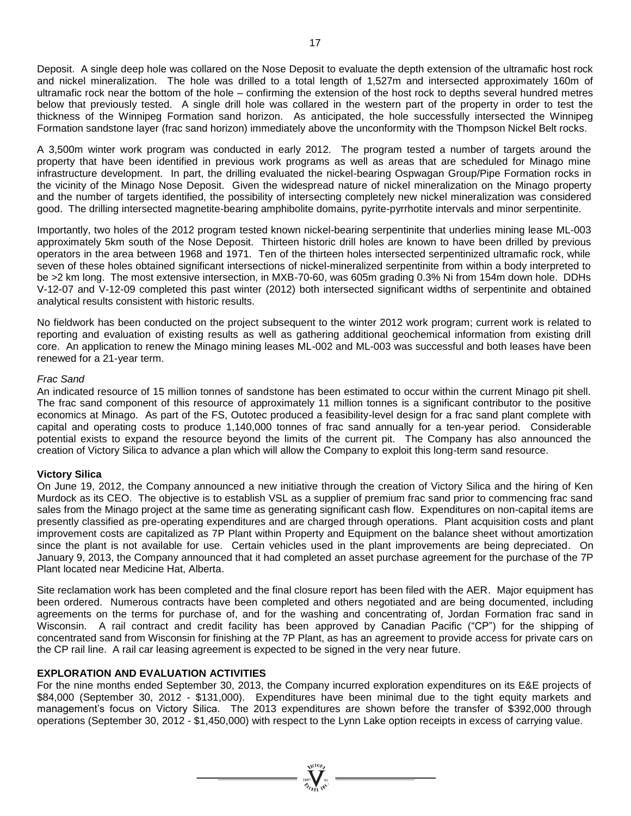Deposit. A single deep hole was collared on the Nose Deposit to evaluate the depth extension of the ultramafic host rock and nickel mineralization. The hole was drilled to a total length of 1,527m and intersected approximately 160m of ultramafic rock near the bottom of the hole – confirming the extension of the host rock to depths several hundred metres below that previously tested. A single drill hole was collared in the western part of the property in order to test the thickness of the Winnipeg Formation sand horizon. As anticipated, the hole successfully intersected the Winnipeg Formation sandstone layer (frac sand horizon) immediately above the unconformity with the Thompson Nickel Belt rocks.

A 3,500m winter work program was conducted in early 2012. The program tested a number of targets around the property that have been identified in previous work programs as well as areas that are scheduled for Minago mine infrastructure development. In part, the drilling evaluated the nickel-bearing Ospwagan Group/Pipe Formation rocks in the vicinity of the Minago Nose Deposit. Given the widespread nature of nickel mineralization on the Minago property and the number of targets identified, the possibility of intersecting completely new nickel mineralization was considered good. The drilling intersected magnetite-bearing amphibolite domains, pyrite-pyrrhotite intervals and minor serpentinite.

Importantly, two holes of the 2012 program tested known nickel-bearing serpentinite that underlies mining lease ML-003 approximately 5km south of the Nose Deposit. Thirteen historic drill holes are known to have been drilled by previous operators in the area between 1968 and 1971. Ten of the thirteen holes intersected serpentinized ultramafic rock, while seven of these holes obtained significant intersections of nickel-mineralized serpentinite from within a body interpreted to be >2 km long. The most extensive intersection, in MXB-70-60, was 605m grading 0.3% Ni from 154m down hole. DDHs V-12-07 and V-12-09 completed this past winter (2012) both intersected significant widths of serpentinite and obtained analytical results consistent with historic results.

No fieldwork has been conducted on the project subsequent to the winter 2012 work program; current work is related to reporting and evaluation of existing results as well as gathering additional geochemical information from existing drill core. An application to renew the Minago mining leases ML-002 and ML-003 was successful and both leases have been renewed for a 21-year term.

# *Frac Sand*

An indicated resource of 15 million tonnes of sandstone has been estimated to occur within the current Minago pit shell. The frac sand component of this resource of approximately 11 million tonnes is a significant contributor to the positive economics at Minago. As part of the FS, Outotec produced a feasibility-level design for a frac sand plant complete with capital and operating costs to produce 1,140,000 tonnes of frac sand annually for a ten-year period. Considerable potential exists to expand the resource beyond the limits of the current pit. The Company has also announced the creation of Victory Silica to advance a plan which will allow the Company to exploit this long-term sand resource.

#### **Victory Silica**

On June 19, 2012, the Company announced a new initiative through the creation of Victory Silica and the hiring of Ken Murdock as its CEO. The objective is to establish VSL as a supplier of premium frac sand prior to commencing frac sand sales from the Minago project at the same time as generating significant cash flow. Expenditures on non-capital items are presently classified as pre-operating expenditures and are charged through operations. Plant acquisition costs and plant improvement costs are capitalized as 7P Plant within Property and Equipment on the balance sheet without amortization since the plant is not available for use. Certain vehicles used in the plant improvements are being depreciated. On January 9, 2013, the Company announced that it had completed an asset purchase agreement for the purchase of the 7P Plant located near Medicine Hat, Alberta.

Site reclamation work has been completed and the final closure report has been filed with the AER. Major equipment has been ordered. Numerous contracts have been completed and others negotiated and are being documented, including agreements on the terms for purchase of, and for the washing and concentrating of, Jordan Formation frac sand in Wisconsin. A rail contract and credit facility has been approved by Canadian Pacific ("CP") for the shipping of concentrated sand from Wisconsin for finishing at the 7P Plant, as has an agreement to provide access for private cars on the CP rail line. A rail car leasing agreement is expected to be signed in the very near future.

# **EXPLORATION AND EVALUATION ACTIVITIES**

For the nine months ended September 30, 2013, the Company incurred exploration expenditures on its E&E projects of \$84,000 (September 30, 2012 - \$131,000). Expenditures have been minimal due to the tight equity markets and management's focus on Victory Silica. The 2013 expenditures are shown before the transfer of \$392,000 through operations (September 30, 2012 - \$1,450,000) with respect to the Lynn Lake option receipts in excess of carrying value.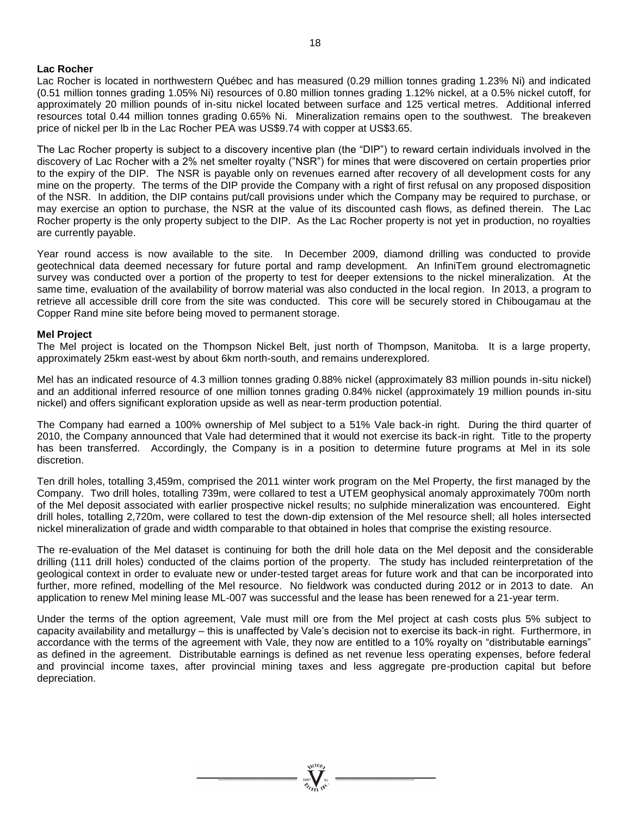#### **Lac Rocher**

Lac Rocher is located in northwestern Québec and has measured (0.29 million tonnes grading 1.23% Ni) and indicated (0.51 million tonnes grading 1.05% Ni) resources of 0.80 million tonnes grading 1.12% nickel, at a 0.5% nickel cutoff, for approximately 20 million pounds of in-situ nickel located between surface and 125 vertical metres. Additional inferred resources total 0.44 million tonnes grading 0.65% Ni. Mineralization remains open to the southwest. The breakeven price of nickel per lb in the Lac Rocher PEA was US\$9.74 with copper at US\$3.65.

The Lac Rocher property is subject to a discovery incentive plan (the "DIP") to reward certain individuals involved in the discovery of Lac Rocher with a 2% net smelter royalty ("NSR") for mines that were discovered on certain properties prior to the expiry of the DIP. The NSR is payable only on revenues earned after recovery of all development costs for any mine on the property. The terms of the DIP provide the Company with a right of first refusal on any proposed disposition of the NSR. In addition, the DIP contains put/call provisions under which the Company may be required to purchase, or may exercise an option to purchase, the NSR at the value of its discounted cash flows, as defined therein. The Lac Rocher property is the only property subject to the DIP. As the Lac Rocher property is not yet in production, no royalties are currently payable.

Year round access is now available to the site. In December 2009, diamond drilling was conducted to provide geotechnical data deemed necessary for future portal and ramp development. An InfiniTem ground electromagnetic survey was conducted over a portion of the property to test for deeper extensions to the nickel mineralization. At the same time, evaluation of the availability of borrow material was also conducted in the local region. In 2013, a program to retrieve all accessible drill core from the site was conducted. This core will be securely stored in Chibougamau at the Copper Rand mine site before being moved to permanent storage.

#### **Mel Project**

The Mel project is located on the Thompson Nickel Belt, just north of Thompson, Manitoba. It is a large property, approximately 25km east-west by about 6km north-south, and remains underexplored.

Mel has an indicated resource of 4.3 million tonnes grading 0.88% nickel (approximately 83 million pounds in-situ nickel) and an additional inferred resource of one million tonnes grading 0.84% nickel (approximately 19 million pounds in-situ nickel) and offers significant exploration upside as well as near-term production potential.

The Company had earned a 100% ownership of Mel subject to a 51% Vale back-in right. During the third quarter of 2010, the Company announced that Vale had determined that it would not exercise its back-in right. Title to the property has been transferred. Accordingly, the Company is in a position to determine future programs at Mel in its sole discretion.

Ten drill holes, totalling 3,459m, comprised the 2011 winter work program on the Mel Property, the first managed by the Company. Two drill holes, totalling 739m, were collared to test a UTEM geophysical anomaly approximately 700m north of the Mel deposit associated with earlier prospective nickel results; no sulphide mineralization was encountered. Eight drill holes, totalling 2,720m, were collared to test the down-dip extension of the Mel resource shell; all holes intersected nickel mineralization of grade and width comparable to that obtained in holes that comprise the existing resource.

The re-evaluation of the Mel dataset is continuing for both the drill hole data on the Mel deposit and the considerable drilling (111 drill holes) conducted of the claims portion of the property. The study has included reinterpretation of the geological context in order to evaluate new or under-tested target areas for future work and that can be incorporated into further, more refined, modelling of the Mel resource. No fieldwork was conducted during 2012 or in 2013 to date. An application to renew Mel mining lease ML-007 was successful and the lease has been renewed for a 21-year term.

Under the terms of the option agreement, Vale must mill ore from the Mel project at cash costs plus 5% subject to capacity availability and metallurgy – this is unaffected by Vale's decision not to exercise its back-in right. Furthermore, in accordance with the terms of the agreement with Vale, they now are entitled to a 10% royalty on "distributable earnings" as defined in the agreement. Distributable earnings is defined as net revenue less operating expenses, before federal and provincial income taxes, after provincial mining taxes and less aggregate pre-production capital but before depreciation.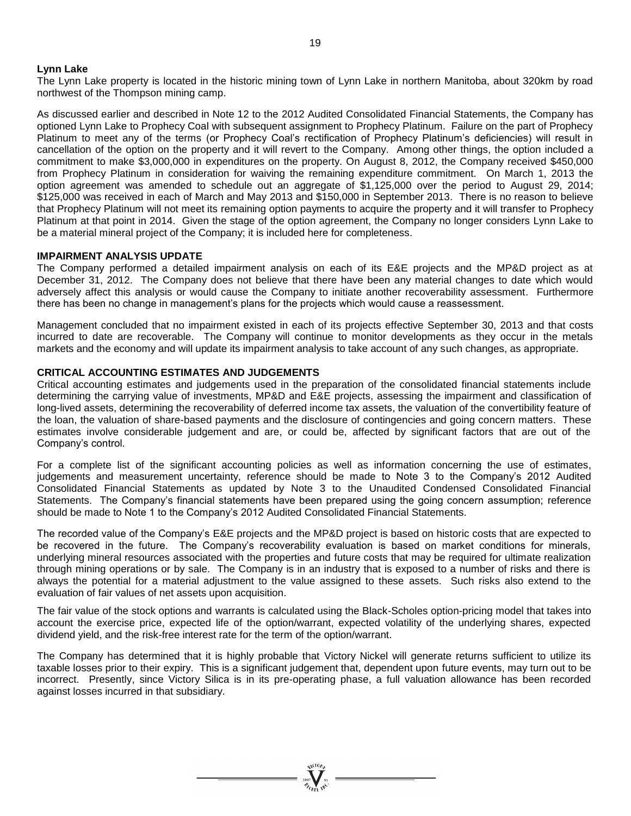# **Lynn Lake**

The Lynn Lake property is located in the historic mining town of Lynn Lake in northern Manitoba, about 320km by road northwest of the Thompson mining camp.

As discussed earlier and described in Note 12 to the 2012 Audited Consolidated Financial Statements, the Company has optioned Lynn Lake to Prophecy Coal with subsequent assignment to Prophecy Platinum. Failure on the part of Prophecy Platinum to meet any of the terms (or Prophecy Coal's rectification of Prophecy Platinum's deficiencies) will result in cancellation of the option on the property and it will revert to the Company. Among other things, the option included a commitment to make \$3,000,000 in expenditures on the property. On August 8, 2012, the Company received \$450,000 from Prophecy Platinum in consideration for waiving the remaining expenditure commitment. On March 1, 2013 the option agreement was amended to schedule out an aggregate of \$1,125,000 over the period to August 29, 2014; \$125,000 was received in each of March and May 2013 and \$150,000 in September 2013. There is no reason to believe that Prophecy Platinum will not meet its remaining option payments to acquire the property and it will transfer to Prophecy Platinum at that point in 2014. Given the stage of the option agreement, the Company no longer considers Lynn Lake to be a material mineral project of the Company; it is included here for completeness.

#### **IMPAIRMENT ANALYSIS UPDATE**

The Company performed a detailed impairment analysis on each of its E&E projects and the MP&D project as at December 31, 2012. The Company does not believe that there have been any material changes to date which would adversely affect this analysis or would cause the Company to initiate another recoverability assessment. Furthermore there has been no change in management's plans for the projects which would cause a reassessment.

Management concluded that no impairment existed in each of its projects effective September 30, 2013 and that costs incurred to date are recoverable. The Company will continue to monitor developments as they occur in the metals markets and the economy and will update its impairment analysis to take account of any such changes, as appropriate.

#### **CRITICAL ACCOUNTING ESTIMATES AND JUDGEMENTS**

Critical accounting estimates and judgements used in the preparation of the consolidated financial statements include determining the carrying value of investments, MP&D and E&E projects, assessing the impairment and classification of long-lived assets, determining the recoverability of deferred income tax assets, the valuation of the convertibility feature of the loan, the valuation of share-based payments and the disclosure of contingencies and going concern matters. These estimates involve considerable judgement and are, or could be, affected by significant factors that are out of the Company's control.

For a complete list of the significant accounting policies as well as information concerning the use of estimates, judgements and measurement uncertainty, reference should be made to Note 3 to the Company's 2012 Audited Consolidated Financial Statements as updated by Note 3 to the Unaudited Condensed Consolidated Financial Statements. The Company's financial statements have been prepared using the going concern assumption; reference should be made to Note 1 to the Company's 2012 Audited Consolidated Financial Statements.

The recorded value of the Company's E&E projects and the MP&D project is based on historic costs that are expected to be recovered in the future. The Company's recoverability evaluation is based on market conditions for minerals, underlying mineral resources associated with the properties and future costs that may be required for ultimate realization through mining operations or by sale. The Company is in an industry that is exposed to a number of risks and there is always the potential for a material adjustment to the value assigned to these assets. Such risks also extend to the evaluation of fair values of net assets upon acquisition.

The fair value of the stock options and warrants is calculated using the Black-Scholes option-pricing model that takes into account the exercise price, expected life of the option/warrant, expected volatility of the underlying shares, expected dividend yield, and the risk-free interest rate for the term of the option/warrant.

The Company has determined that it is highly probable that Victory Nickel will generate returns sufficient to utilize its taxable losses prior to their expiry. This is a significant judgement that, dependent upon future events, may turn out to be incorrect. Presently, since Victory Silica is in its pre-operating phase, a full valuation allowance has been recorded against losses incurred in that subsidiary.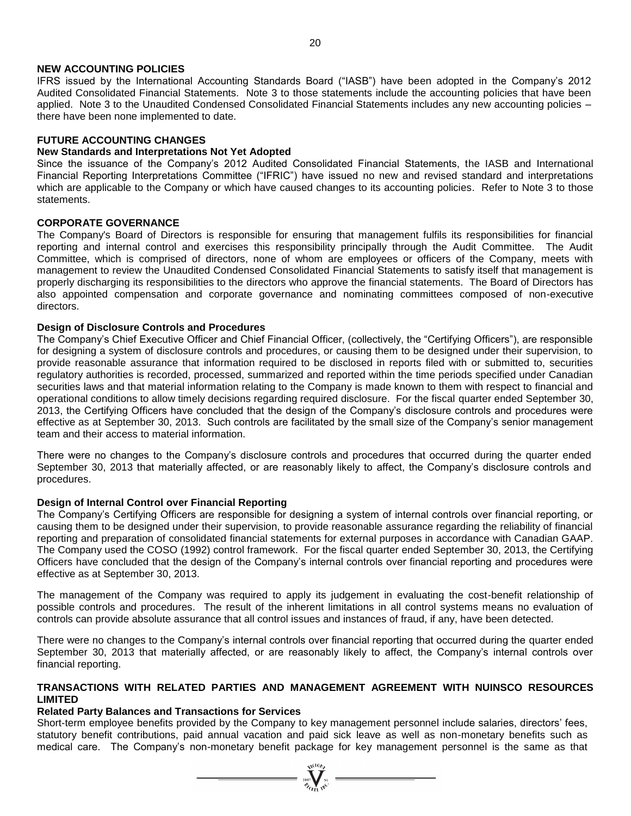# **NEW ACCOUNTING POLICIES**

IFRS issued by the International Accounting Standards Board ("IASB") have been adopted in the Company's 2012 Audited Consolidated Financial Statements. Note 3 to those statements include the accounting policies that have been applied. Note 3 to the Unaudited Condensed Consolidated Financial Statements includes any new accounting policies – there have been none implemented to date.

# **FUTURE ACCOUNTING CHANGES**

# **New Standards and Interpretations Not Yet Adopted**

Since the issuance of the Company's 2012 Audited Consolidated Financial Statements, the IASB and International Financial Reporting Interpretations Committee ("IFRIC") have issued no new and revised standard and interpretations which are applicable to the Company or which have caused changes to its accounting policies. Refer to Note 3 to those statements.

# **CORPORATE GOVERNANCE**

The Company's Board of Directors is responsible for ensuring that management fulfils its responsibilities for financial reporting and internal control and exercises this responsibility principally through the Audit Committee. The Audit Committee, which is comprised of directors, none of whom are employees or officers of the Company, meets with management to review the Unaudited Condensed Consolidated Financial Statements to satisfy itself that management is properly discharging its responsibilities to the directors who approve the financial statements. The Board of Directors has also appointed compensation and corporate governance and nominating committees composed of non-executive directors.

# **Design of Disclosure Controls and Procedures**

The Company's Chief Executive Officer and Chief Financial Officer, (collectively, the "Certifying Officers"), are responsible for designing a system of disclosure controls and procedures, or causing them to be designed under their supervision, to provide reasonable assurance that information required to be disclosed in reports filed with or submitted to, securities regulatory authorities is recorded, processed, summarized and reported within the time periods specified under Canadian securities laws and that material information relating to the Company is made known to them with respect to financial and operational conditions to allow timely decisions regarding required disclosure. For the fiscal quarter ended September 30, 2013, the Certifying Officers have concluded that the design of the Company's disclosure controls and procedures were effective as at September 30, 2013. Such controls are facilitated by the small size of the Company's senior management team and their access to material information.

There were no changes to the Company's disclosure controls and procedures that occurred during the quarter ended September 30, 2013 that materially affected, or are reasonably likely to affect, the Company's disclosure controls and procedures.

# **Design of Internal Control over Financial Reporting**

The Company's Certifying Officers are responsible for designing a system of internal controls over financial reporting, or causing them to be designed under their supervision, to provide reasonable assurance regarding the reliability of financial reporting and preparation of consolidated financial statements for external purposes in accordance with Canadian GAAP. The Company used the COSO (1992) control framework. For the fiscal quarter ended September 30, 2013, the Certifying Officers have concluded that the design of the Company's internal controls over financial reporting and procedures were effective as at September 30, 2013.

The management of the Company was required to apply its judgement in evaluating the cost-benefit relationship of possible controls and procedures. The result of the inherent limitations in all control systems means no evaluation of controls can provide absolute assurance that all control issues and instances of fraud, if any, have been detected.

There were no changes to the Company's internal controls over financial reporting that occurred during the quarter ended September 30, 2013 that materially affected, or are reasonably likely to affect, the Company's internal controls over financial reporting.

# **TRANSACTIONS WITH RELATED PARTIES AND MANAGEMENT AGREEMENT WITH NUINSCO RESOURCES LIMITED**

# **Related Party Balances and Transactions for Services**

Short-term employee benefits provided by the Company to key management personnel include salaries, directors' fees, statutory benefit contributions, paid annual vacation and paid sick leave as well as non-monetary benefits such as medical care. The Company's non-monetary benefit package for key management personnel is the same as that

 $\sum_{\substack{i=0\\ \mathscr{U}(i)=1}}^{\mathscr{U}(i)\mathscr{U}_i}$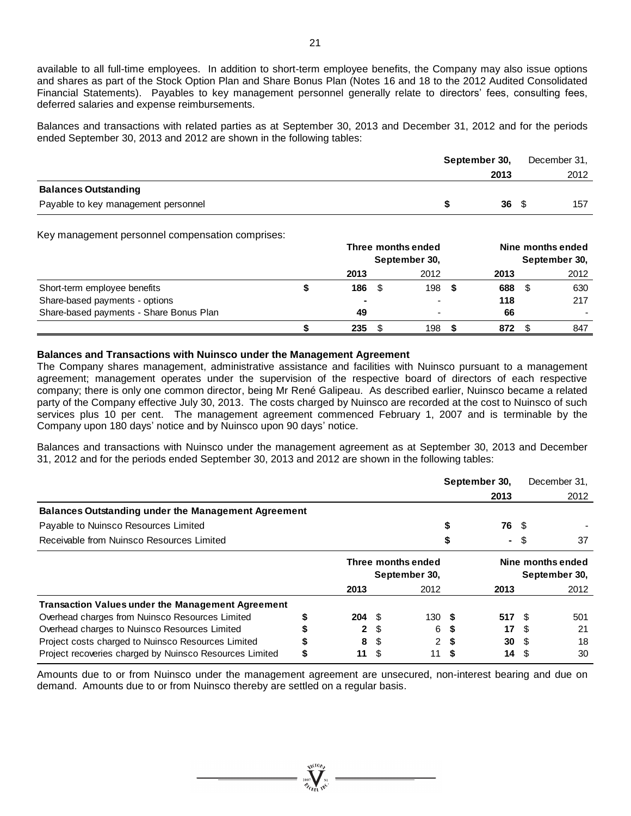available to all full-time employees. In addition to short-term employee benefits, the Company may also issue options and shares as part of the Stock Option Plan and Share Bonus Plan (Notes 16 and 18 to the 2012 Audited Consolidated Financial Statements). Payables to key management personnel generally relate to directors' fees, consulting fees, deferred salaries and expense reimbursements.

Balances and transactions with related parties as at September 30, 2013 and December 31, 2012 and for the periods ended September 30, 2013 and 2012 are shown in the following tables:

|                                     | September 30, | December 31, |
|-------------------------------------|---------------|--------------|
|                                     | 2013          | 2012         |
| <b>Balances Outstanding</b>         |               |              |
| Payable to key management personnel | $36 \quad$    | 157          |

Key management personnel compensation comprises:

|                                         | Three months ended<br>September 30, |  |      | Nine months ended<br>September 30, |      |  |      |
|-----------------------------------------|-------------------------------------|--|------|------------------------------------|------|--|------|
|                                         | 2013                                |  | 2012 |                                    | 2013 |  | 2012 |
| Short-term employee benefits            | 186                                 |  | 198  |                                    | 688  |  | 630  |
| Share-based payments - options          | $\blacksquare$                      |  |      |                                    | 118  |  | 217  |
| Share-based payments - Share Bonus Plan | 49                                  |  |      |                                    | 66   |  |      |
|                                         | 235                                 |  | 198  |                                    | 872  |  | 847  |

#### **Balances and Transactions with Nuinsco under the Management Agreement**

The Company shares management, administrative assistance and facilities with Nuinsco pursuant to a management agreement; management operates under the supervision of the respective board of directors of each respective company; there is only one common director, being Mr René Galipeau. As described earlier, Nuinsco became a related party of the Company effective July 30, 2013. The costs charged by Nuinsco are recorded at the cost to Nuinsco of such services plus 10 per cent. The management agreement commenced February 1, 2007 and is terminable by the Company upon 180 days' notice and by Nuinsco upon 90 days' notice.

Balances and transactions with Nuinsco under the management agreement as at September 30, 2013 and December 31, 2012 and for the periods ended September 30, 2013 and 2012 are shown in the following tables:

|                                                            |   |                                     |      |                                    |      | September 30, |      | December 31. |
|------------------------------------------------------------|---|-------------------------------------|------|------------------------------------|------|---------------|------|--------------|
|                                                            |   |                                     |      |                                    |      | 2013          |      | 2012         |
| <b>Balances Outstanding under the Management Agreement</b> |   |                                     |      |                                    |      |               |      |              |
| Payable to Nuinsco Resources Limited                       |   |                                     |      |                                    |      | 76 S          |      |              |
| Receivable from Nuinsco Resources Limited                  |   |                                     |      |                                    |      | ۰             | S    | 37           |
|                                                            |   | Three months ended<br>September 30, |      | Nine months ended<br>September 30, |      |               |      |              |
|                                                            |   | 2013                                |      | 2012                               |      | 2013          |      | 2012         |
| <b>Transaction Values under the Management Agreement</b>   |   |                                     |      |                                    |      |               |      |              |
| Overhead charges from Nuinsco Resources Limited            |   | $204 \tIm$                          |      | 130S                               |      | 517           |      | 501          |
| Overhead charges to Nuinsco Resources Limited              |   | 2                                   | S    | 6                                  |      | 17            |      | 21           |
| Project costs charged to Nuinsco Resources Limited         |   | 8                                   | \$.  | $\overline{2}$                     |      | 30            |      | 18           |
| Project recoveries charged by Nuinsco Resources Limited    | S | 11                                  | - \$ | 11                                 | - 55 | 14            | - \$ | 30           |

Amounts due to or from Nuinsco under the management agreement are unsecured, non-interest bearing and due on demand. Amounts due to or from Nuinsco thereby are settled on a regular basis.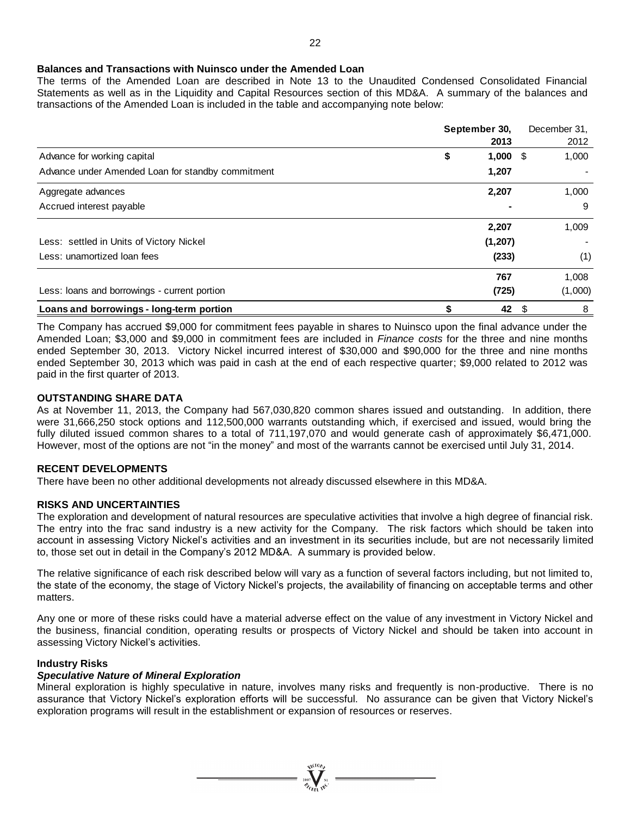#### **Balances and Transactions with Nuinsco under the Amended Loan**

The terms of the Amended Loan are described in Note 13 to the Unaudited Condensed Consolidated Financial Statements as well as in the Liquidity and Capital Resources section of this MD&A. A summary of the balances and transactions of the Amended Loan is included in the table and accompanying note below:

|                                                   | September 30, |          | December 31, |
|---------------------------------------------------|---------------|----------|--------------|
|                                                   |               | 2013     | 2012         |
| Advance for working capital                       | \$            | 1,000    | 1,000<br>S   |
| Advance under Amended Loan for standby commitment |               | 1,207    |              |
| Aggregate advances                                |               | 2,207    | 1,000        |
| Accrued interest payable                          |               |          | 9            |
|                                                   |               | 2,207    | 1,009        |
| Less: settled in Units of Victory Nickel          |               | (1, 207) |              |
| Less: unamortized loan fees                       |               | (233)    | (1)          |
|                                                   |               | 767      | 1,008        |
| Less: loans and borrowings - current portion      |               | (725)    | (1,000)      |
| Loans and borrowings - long-term portion          |               | 42       | \$<br>8      |

The Company has accrued \$9,000 for commitment fees payable in shares to Nuinsco upon the final advance under the Amended Loan; \$3,000 and \$9,000 in commitment fees are included in *Finance costs* for the three and nine months ended September 30, 2013. Victory Nickel incurred interest of \$30,000 and \$90,000 for the three and nine months ended September 30, 2013 which was paid in cash at the end of each respective quarter; \$9,000 related to 2012 was paid in the first quarter of 2013.

#### **OUTSTANDING SHARE DATA**

As at November 11, 2013, the Company had 567,030,820 common shares issued and outstanding. In addition, there were 31,666,250 stock options and 112,500,000 warrants outstanding which, if exercised and issued, would bring the fully diluted issued common shares to a total of 711,197,070 and would generate cash of approximately \$6,471,000. However, most of the options are not "in the money" and most of the warrants cannot be exercised until July 31, 2014.

#### **RECENT DEVELOPMENTS**

There have been no other additional developments not already discussed elsewhere in this MD&A.

# **RISKS AND UNCERTAINTIES**

The exploration and development of natural resources are speculative activities that involve a high degree of financial risk. The entry into the frac sand industry is a new activity for the Company. The risk factors which should be taken into account in assessing Victory Nickel's activities and an investment in its securities include, but are not necessarily limited to, those set out in detail in the Company's 2012 MD&A. A summary is provided below.

The relative significance of each risk described below will vary as a function of several factors including, but not limited to, the state of the economy, the stage of Victory Nickel's projects, the availability of financing on acceptable terms and other matters.

Any one or more of these risks could have a material adverse effect on the value of any investment in Victory Nickel and the business, financial condition, operating results or prospects of Victory Nickel and should be taken into account in assessing Victory Nickel's activities.

# **Industry Risks**

#### *Speculative Nature of Mineral Exploration*

Mineral exploration is highly speculative in nature, involves many risks and frequently is non-productive. There is no assurance that Victory Nickel's exploration efforts will be successful. No assurance can be given that Victory Nickel's exploration programs will result in the establishment or expansion of resources or reserves.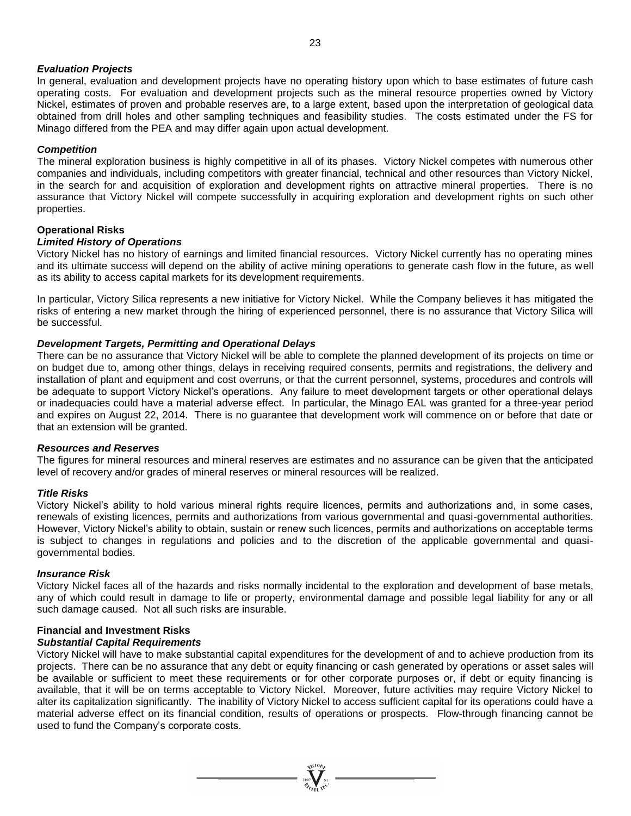# *Evaluation Projects*

In general, evaluation and development projects have no operating history upon which to base estimates of future cash operating costs. For evaluation and development projects such as the mineral resource properties owned by Victory Nickel, estimates of proven and probable reserves are, to a large extent, based upon the interpretation of geological data obtained from drill holes and other sampling techniques and feasibility studies. The costs estimated under the FS for Minago differed from the PEA and may differ again upon actual development.

#### *Competition*

The mineral exploration business is highly competitive in all of its phases. Victory Nickel competes with numerous other companies and individuals, including competitors with greater financial, technical and other resources than Victory Nickel, in the search for and acquisition of exploration and development rights on attractive mineral properties. There is no assurance that Victory Nickel will compete successfully in acquiring exploration and development rights on such other properties.

#### **Operational Risks**

#### *Limited History of Operations*

Victory Nickel has no history of earnings and limited financial resources. Victory Nickel currently has no operating mines and its ultimate success will depend on the ability of active mining operations to generate cash flow in the future, as well as its ability to access capital markets for its development requirements.

In particular, Victory Silica represents a new initiative for Victory Nickel. While the Company believes it has mitigated the risks of entering a new market through the hiring of experienced personnel, there is no assurance that Victory Silica will be successful.

#### *Development Targets, Permitting and Operational Delays*

There can be no assurance that Victory Nickel will be able to complete the planned development of its projects on time or on budget due to, among other things, delays in receiving required consents, permits and registrations, the delivery and installation of plant and equipment and cost overruns, or that the current personnel, systems, procedures and controls will be adequate to support Victory Nickel's operations. Any failure to meet development targets or other operational delays or inadequacies could have a material adverse effect. In particular, the Minago EAL was granted for a three-year period and expires on August 22, 2014. There is no guarantee that development work will commence on or before that date or that an extension will be granted.

#### *Resources and Reserves*

The figures for mineral resources and mineral reserves are estimates and no assurance can be given that the anticipated level of recovery and/or grades of mineral reserves or mineral resources will be realized.

#### *Title Risks*

Victory Nickel's ability to hold various mineral rights require licences, permits and authorizations and, in some cases, renewals of existing licences, permits and authorizations from various governmental and quasi-governmental authorities. However, Victory Nickel's ability to obtain, sustain or renew such licences, permits and authorizations on acceptable terms is subject to changes in regulations and policies and to the discretion of the applicable governmental and quasigovernmental bodies.

#### *Insurance Risk*

Victory Nickel faces all of the hazards and risks normally incidental to the exploration and development of base metals, any of which could result in damage to life or property, environmental damage and possible legal liability for any or all such damage caused. Not all such risks are insurable.

# **Financial and Investment Risks**

# *Substantial Capital Requirements*

Victory Nickel will have to make substantial capital expenditures for the development of and to achieve production from its projects. There can be no assurance that any debt or equity financing or cash generated by operations or asset sales will be available or sufficient to meet these requirements or for other corporate purposes or, if debt or equity financing is available, that it will be on terms acceptable to Victory Nickel. Moreover, future activities may require Victory Nickel to alter its capitalization significantly. The inability of Victory Nickel to access sufficient capital for its operations could have a material adverse effect on its financial condition, results of operations or prospects. Flow-through financing cannot be used to fund the Company's corporate costs.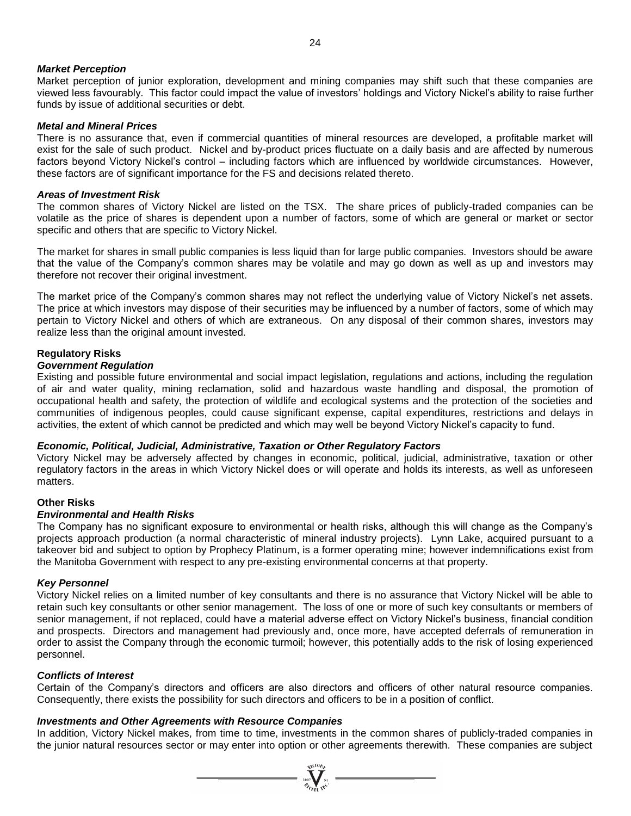#### *Market Perception*

Market perception of junior exploration, development and mining companies may shift such that these companies are viewed less favourably. This factor could impact the value of investors' holdings and Victory Nickel's ability to raise further funds by issue of additional securities or debt.

#### *Metal and Mineral Prices*

There is no assurance that, even if commercial quantities of mineral resources are developed, a profitable market will exist for the sale of such product. Nickel and by-product prices fluctuate on a daily basis and are affected by numerous factors beyond Victory Nickel's control – including factors which are influenced by worldwide circumstances. However, these factors are of significant importance for the FS and decisions related thereto.

#### *Areas of Investment Risk*

The common shares of Victory Nickel are listed on the TSX. The share prices of publicly-traded companies can be volatile as the price of shares is dependent upon a number of factors, some of which are general or market or sector specific and others that are specific to Victory Nickel.

The market for shares in small public companies is less liquid than for large public companies. Investors should be aware that the value of the Company's common shares may be volatile and may go down as well as up and investors may therefore not recover their original investment.

The market price of the Company's common shares may not reflect the underlying value of Victory Nickel's net assets. The price at which investors may dispose of their securities may be influenced by a number of factors, some of which may pertain to Victory Nickel and others of which are extraneous. On any disposal of their common shares, investors may realize less than the original amount invested.

# **Regulatory Risks**

#### *Government Regulation*

Existing and possible future environmental and social impact legislation, regulations and actions, including the regulation of air and water quality, mining reclamation, solid and hazardous waste handling and disposal, the promotion of occupational health and safety, the protection of wildlife and ecological systems and the protection of the societies and communities of indigenous peoples, could cause significant expense, capital expenditures, restrictions and delays in activities, the extent of which cannot be predicted and which may well be beyond Victory Nickel's capacity to fund.

# *Economic, Political, Judicial, Administrative, Taxation or Other Regulatory Factors*

Victory Nickel may be adversely affected by changes in economic, political, judicial, administrative, taxation or other regulatory factors in the areas in which Victory Nickel does or will operate and holds its interests, as well as unforeseen matters.

# **Other Risks**

#### *Environmental and Health Risks*

The Company has no significant exposure to environmental or health risks, although this will change as the Company's projects approach production (a normal characteristic of mineral industry projects). Lynn Lake, acquired pursuant to a takeover bid and subject to option by Prophecy Platinum, is a former operating mine; however indemnifications exist from the Manitoba Government with respect to any pre-existing environmental concerns at that property.

#### *Key Personnel*

Victory Nickel relies on a limited number of key consultants and there is no assurance that Victory Nickel will be able to retain such key consultants or other senior management. The loss of one or more of such key consultants or members of senior management, if not replaced, could have a material adverse effect on Victory Nickel's business, financial condition and prospects. Directors and management had previously and, once more, have accepted deferrals of remuneration in order to assist the Company through the economic turmoil; however, this potentially adds to the risk of losing experienced personnel.

# *Conflicts of Interest*

Certain of the Company's directors and officers are also directors and officers of other natural resource companies. Consequently, there exists the possibility for such directors and officers to be in a position of conflict.

# *Investments and Other Agreements with Resource Companies*

In addition, Victory Nickel makes, from time to time, investments in the common shares of publicly-traded companies in the junior natural resources sector or may enter into option or other agreements therewith. These companies are subject

 $\sum_{\substack{2007 \ \text{N} \text{N} \\ \mathcal{D}_{\text{f}}}} \sum_{\substack{N \mid \text{N} \\ \text{N} \mid \text{N} \mid}}$